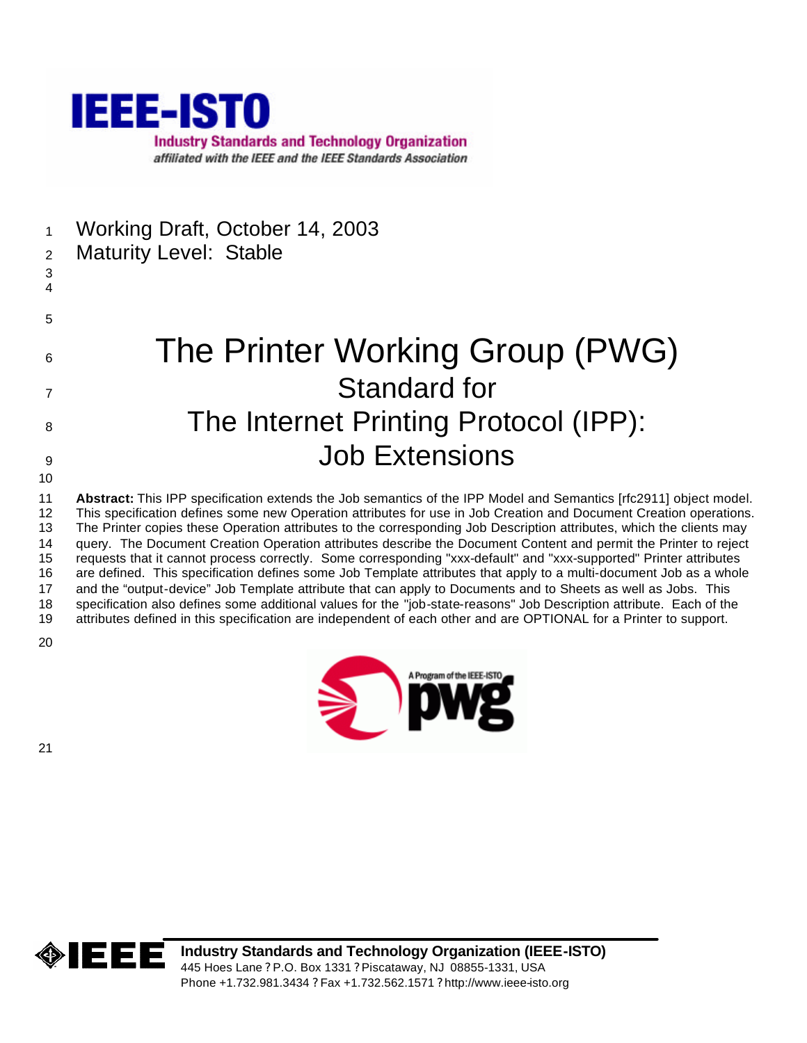

- Working Draft, October 14, 2003
- Maturity Level: Stable
- 
- 
- 6 The Printer Working Group (PWG) Standard for 8 The Internet Printing Protocol (IPP): Job Extensions
- 

 **Abstract:** This IPP specification extends the Job semantics of the IPP Model and Semantics [rfc2911] object model. This specification defines some new Operation attributes for use in Job Creation and Document Creation operations. The Printer copies these Operation attributes to the corresponding Job Description attributes, which the clients may query. The Document Creation Operation attributes describe the Document Content and permit the Printer to reject requests that it cannot process correctly. Some corresponding "xxx-default" and "xxx-supported" Printer attributes are defined. This specification defines some Job Template attributes that apply to a multi-document Job as a whole and the "output-device" Job Template attribute that can apply to Documents and to Sheets as well as Jobs. This specification also defines some additional values for the "job-state-reasons" Job Description attribute. Each of the attributes defined in this specification are independent of each other and are OPTIONAL for a Printer to support.



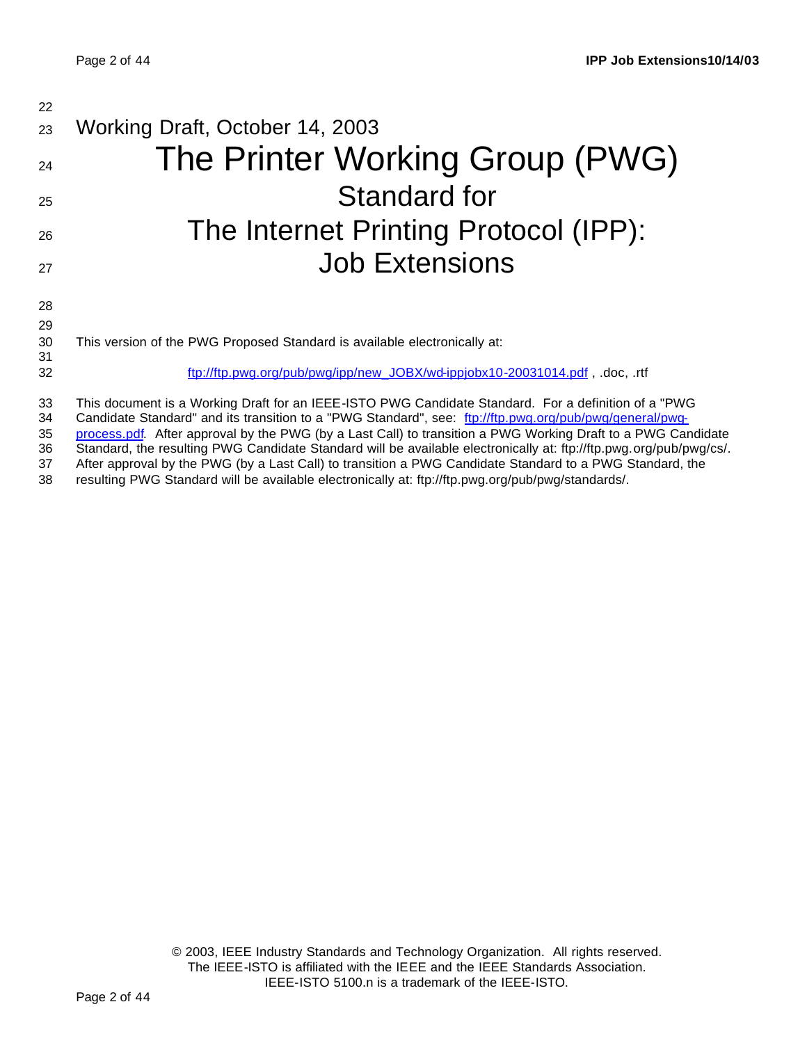| 22       |                                                                                                                                                                                                                    |
|----------|--------------------------------------------------------------------------------------------------------------------------------------------------------------------------------------------------------------------|
| 23       | Working Draft, October 14, 2003                                                                                                                                                                                    |
| 24       | The Printer Working Group (PWG)                                                                                                                                                                                    |
| 25       | Standard for                                                                                                                                                                                                       |
| 26       | The Internet Printing Protocol (IPP):                                                                                                                                                                              |
| 27       | <b>Job Extensions</b>                                                                                                                                                                                              |
| 28       |                                                                                                                                                                                                                    |
| 29       |                                                                                                                                                                                                                    |
| 30       | This version of the PWG Proposed Standard is available electronically at:                                                                                                                                          |
| 31       |                                                                                                                                                                                                                    |
| 32       | ftp://ftp.pwg.org/pub/pwg/ipp/new_JOBX/wd-ippjobx10-20031014.pdf, .doc, .rtf                                                                                                                                       |
| 33       | This document is a Working Draft for an IEEE-ISTO PWG Candidate Standard. For a definition of a "PWG                                                                                                               |
| 34<br>っに | Candidate Standard" and its transition to a "PWG Standard", see: ftp://ftp.pwg.org/pub/pwg/general/pwg-<br>process adt, After approval by the DWC (by a Last Call) to transition a DWC Working Draft to a DWC Canc |

35 process.pdf. After approval by the PWG (by a Last Call) to transition a PWG Working Draft to a PWG Candidate

36 Standard, the resulting PWG Candidate Standard will be available electronically at: ftp://ftp.pwg.org/pub/pwg/cs/.<br>37 After approval by the PWG (by a Last Call) to transition a PWG Candidate Standard to a PWG Standard, After approval by the PWG (by a Last Call) to transition a PWG Candidate Standard to a PWG Standard, the

38 resulting PWG Standard will be available electronically at: ftp://ftp.pwg.org/pub/pwg/standards/.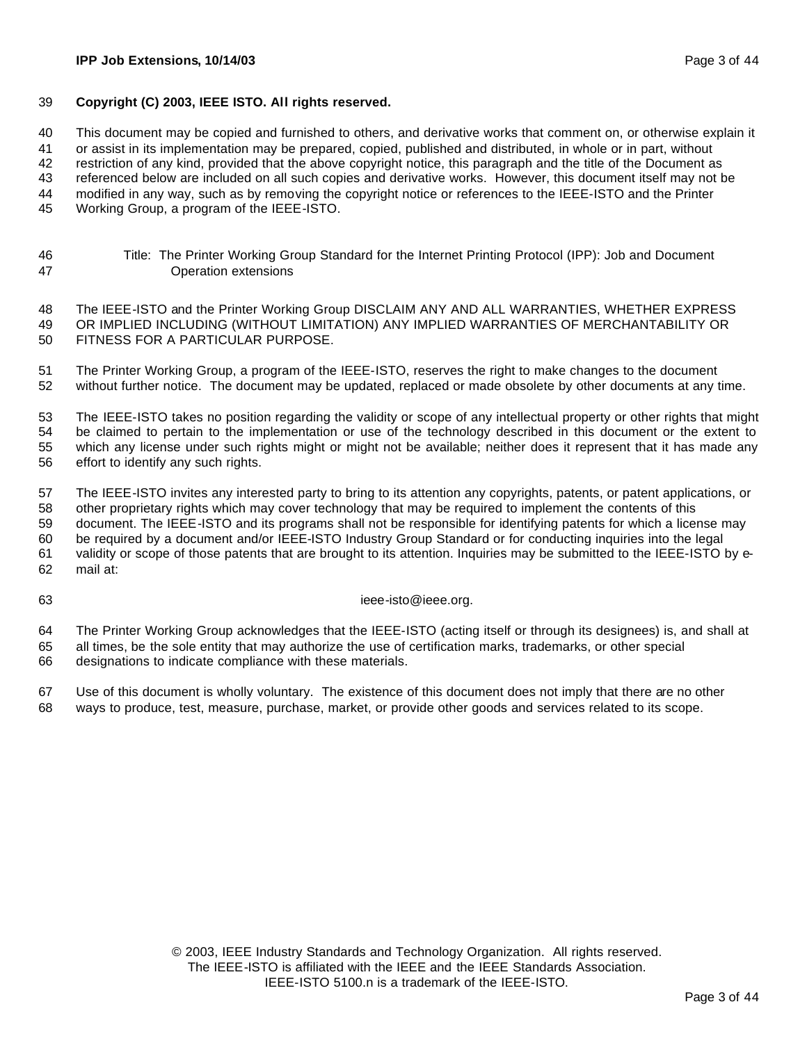#### **Copyright (C) 2003, IEEE ISTO. All rights reserved.**

This document may be copied and furnished to others, and derivative works that comment on, or otherwise explain it

or assist in its implementation may be prepared, copied, published and distributed, in whole or in part, without

restriction of any kind, provided that the above copyright notice, this paragraph and the title of the Document as

referenced below are included on all such copies and derivative works. However, this document itself may not be

modified in any way, such as by removing the copyright notice or references to the IEEE-ISTO and the Printer

Working Group, a program of the IEEE-ISTO.

 Title: The Printer Working Group Standard for the Internet Printing Protocol (IPP): Job and Document Operation extensions

 The IEEE-ISTO and the Printer Working Group DISCLAIM ANY AND ALL WARRANTIES, WHETHER EXPRESS OR IMPLIED INCLUDING (WITHOUT LIMITATION) ANY IMPLIED WARRANTIES OF MERCHANTABILITY OR FITNESS FOR A PARTICULAR PURPOSE.

 The Printer Working Group, a program of the IEEE-ISTO, reserves the right to make changes to the document without further notice. The document may be updated, replaced or made obsolete by other documents at any time.

 The IEEE-ISTO takes no position regarding the validity or scope of any intellectual property or other rights that might be claimed to pertain to the implementation or use of the technology described in this document or the extent to which any license under such rights might or might not be available; neither does it represent that it has made any effort to identify any such rights.

 The IEEE-ISTO invites any interested party to bring to its attention any copyrights, patents, or patent applications, or other proprietary rights which may cover technology that may be required to implement the contents of this document. The IEEE-ISTO and its programs shall not be responsible for identifying patents for which a license may be required by a document and/or IEEE-ISTO Industry Group Standard or for conducting inquiries into the legal validity or scope of those patents that are brought to its attention. Inquiries may be submitted to the IEEE-ISTO by e-mail at:

#### ieee-isto@ieee.org.

 The Printer Working Group acknowledges that the IEEE-ISTO (acting itself or through its designees) is, and shall at all times, be the sole entity that may authorize the use of certification marks, trademarks, or other special designations to indicate compliance with these materials.

 Use of this document is wholly voluntary. The existence of this document does not imply that there are no other ways to produce, test, measure, purchase, market, or provide other goods and services related to its scope.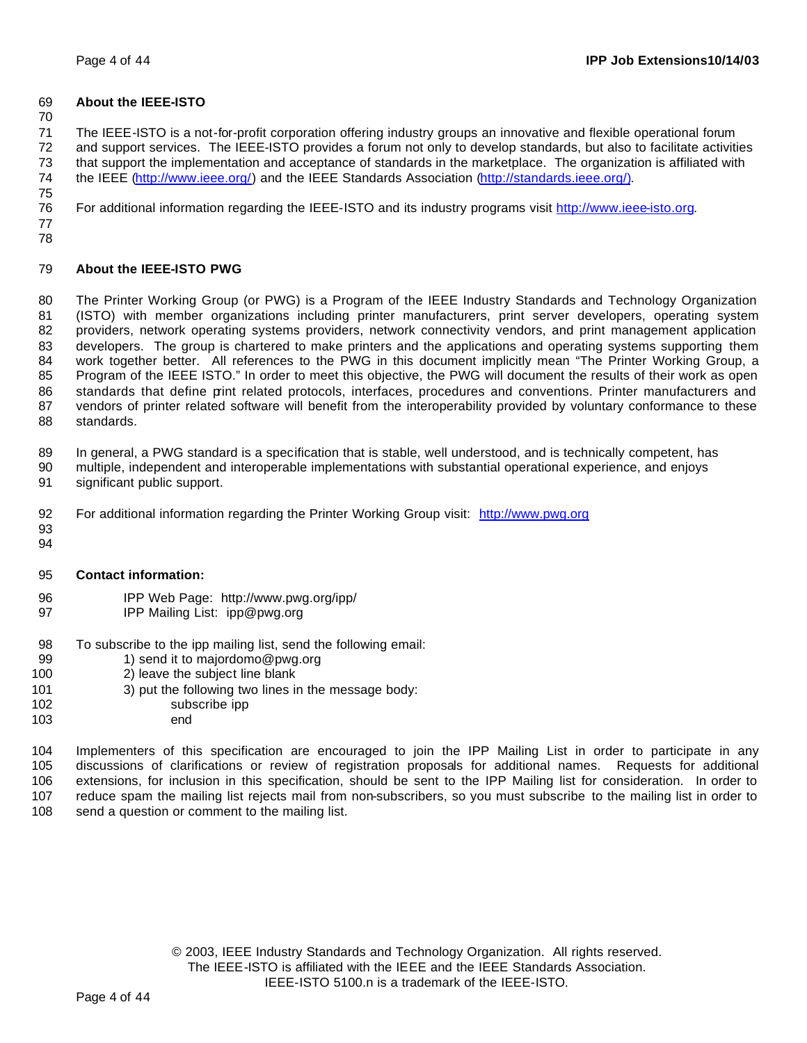### **About the IEEE-ISTO**

 The IEEE-ISTO is a not-for-profit corporation offering industry groups an innovative and flexible operational forum and support services. The IEEE-ISTO provides a forum not only to develop standards, but also to facilitate activities that support the implementation and acceptance of standards in the marketplace. The organization is affiliated with the IEEE (http://www.ieee.org/) and the IEEE Standards Association (http://standards.ieee.org/). 

For additional information regarding the IEEE-ISTO and its industry programs visit http://www.ieee-isto.org.

 

### **About the IEEE-ISTO PWG**

 The Printer Working Group (or PWG) is a Program of the IEEE Industry Standards and Technology Organization (ISTO) with member organizations including printer manufacturers, print server developers, operating system providers, network operating systems providers, network connectivity vendors, and print management application developers. The group is chartered to make printers and the applications and operating systems supporting them work together better. All references to the PWG in this document implicitly mean "The Printer Working Group, a Program of the IEEE ISTO." In order to meet this objective, the PWG will document the results of their work as open standards that define print related protocols, interfaces, procedures and conventions. Printer manufacturers and vendors of printer related software will benefit from the interoperability provided by voluntary conformance to these standards.

In general, a PWG standard is a specification that is stable, well understood, and is technically competent, has

- multiple, independent and interoperable implementations with substantial operational experience, and enjoys significant public support.
- For additional information regarding the Printer Working Group visit: http://www.pwg.org
- 

#### **Contact information:**

- IPP Web Page: http://www.pwg.org/ipp/
- **IPP Mailing List: ipp@pwg.org**
- To subscribe to the ipp mailing list, send the following email:
- 99 1) send it to majordomo@pwg.org
- 2) leave the subject line blank
- 101 3) put the following two lines in the message body:
- subscribe ipp
- end

 Implementers of this specification are encouraged to join the IPP Mailing List in order to participate in any discussions of clarifications or review of registration proposals for additional names. Requests for additional extensions, for inclusion in this specification, should be sent to the IPP Mailing list for consideration. In order to reduce spam the mailing list rejects mail from non-subscribers, so you must subscribe to the mailing list in order to 108 send a question or comment to the mailing list.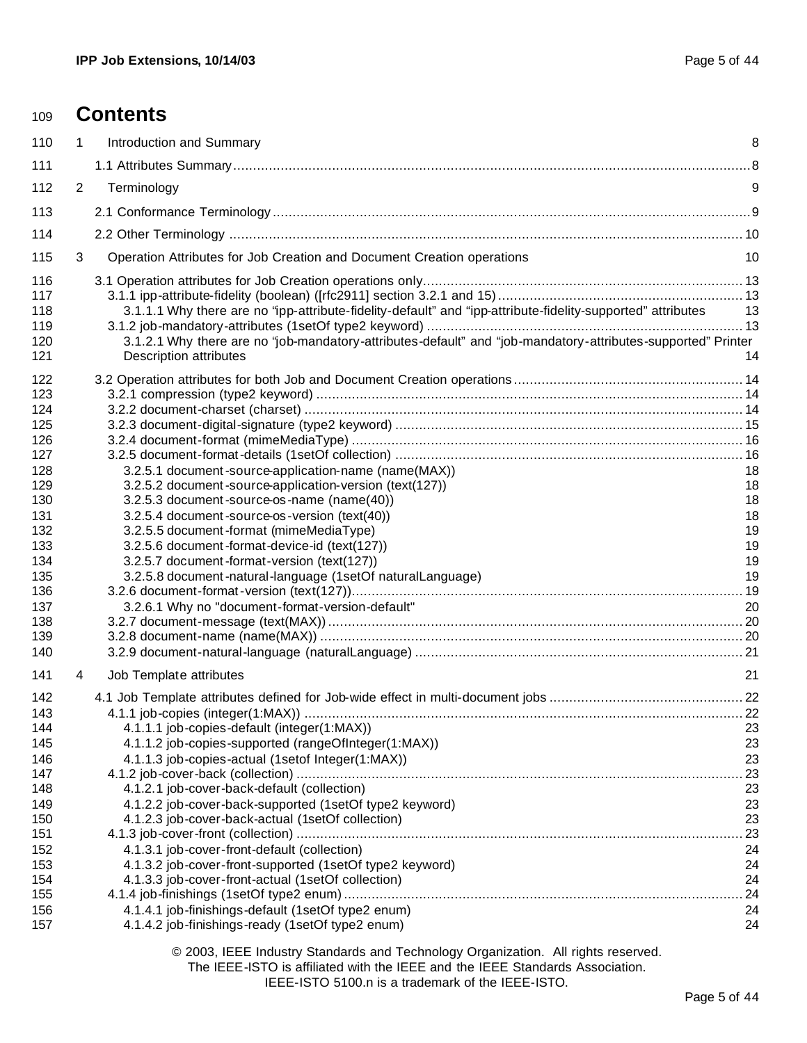| 109        |   | <b>Contents</b>                                                                                              |          |
|------------|---|--------------------------------------------------------------------------------------------------------------|----------|
| 110        | 1 | Introduction and Summary                                                                                     | 8        |
| 111        |   |                                                                                                              |          |
| 112        | 2 | Terminology                                                                                                  | 9        |
| 113        |   |                                                                                                              |          |
| 114        |   |                                                                                                              |          |
| 115        | 3 | Operation Attributes for Job Creation and Document Creation operations                                       | 10       |
| 116        |   |                                                                                                              |          |
| 117        |   |                                                                                                              |          |
| 118        |   | 3.1.1.1 Why there are no "ipp-attribute-fidelity-default" and "ipp-attribute-fidelity-supported" attributes  | 13       |
| 119        |   |                                                                                                              |          |
| 120        |   | 3.1.2.1 Why there are no "job-mandatory-attributes-default" and "job-mandatory-attributes-supported" Printer |          |
| 121        |   | <b>Description attributes</b>                                                                                | 14       |
| 122        |   |                                                                                                              |          |
| 123        |   |                                                                                                              |          |
| 124        |   |                                                                                                              |          |
| 125        |   |                                                                                                              |          |
| 126        |   |                                                                                                              |          |
| 127        |   |                                                                                                              |          |
| 128        |   | 3.2.5.1 document-source-application-name (name(MAX))                                                         | 18       |
| 129        |   | 3.2.5.2 document-source-application-version (text(127))                                                      | 18       |
| 130        |   | 3.2.5.3 document-source-os-name (name(40))                                                                   | 18       |
| 131        |   | 3.2.5.4 document-source-os-version (text(40))                                                                | 18       |
| 132        |   | 3.2.5.5 document-format (mimeMediaType)                                                                      | 19       |
| 133        |   | 3.2.5.6 document-format-device-id (text(127))                                                                | 19       |
| 134<br>135 |   | 3.2.5.7 document-format-version (text(127))<br>3.2.5.8 document-natural-language (1setOf naturalLanguage)    | 19<br>19 |
| 136        |   |                                                                                                              |          |
| 137        |   | 3.2.6.1 Why no "document-format-version-default"                                                             | 20       |
| 138        |   |                                                                                                              |          |
| 139        |   |                                                                                                              |          |
| 140        |   |                                                                                                              |          |
| 141        | 4 | Job Template attributes                                                                                      | 21       |
| 142        |   |                                                                                                              |          |
| 143        |   |                                                                                                              |          |
| 144        |   | 4.1.1.1 job-copies-default (integer(1:MAX))                                                                  | 23       |
| 145        |   | 4.1.1.2 job-copies-supported (rangeOfInteger(1:MAX))                                                         | 23       |
| 146        |   | 4.1.1.3 job-copies-actual (1setof Integer(1:MAX))                                                            | 23       |
| 147<br>148 |   |                                                                                                              | .23      |
| 149        |   | 4.1.2.1 job-cover-back-default (collection)<br>4.1.2.2 job-cover-back-supported (1setOf type2 keyword)       | 23<br>23 |
| 150        |   | 4.1.2.3 job-cover-back-actual (1setOf collection)                                                            | 23       |
| 151        |   |                                                                                                              | .23      |
| 152        |   | 4.1.3.1 job-cover-front-default (collection)                                                                 | 24       |
| 153        |   | 4.1.3.2 job-cover-front-supported (1setOf type2 keyword)                                                     | 24       |
| 154        |   | 4.1.3.3 job-cover-front-actual (1setOf collection)                                                           | 24       |
| 155        |   |                                                                                                              | .24      |
| 156        |   | 4.1.4.1 job-finishings-default (1setOf type2 enum)                                                           | 24       |
| 157        |   | 4.1.4.2 job-finishings-ready (1setOf type2 enum)                                                             | 24       |

© 2003, IEEE Industry Standards and Technology Organization. All rights reserved.

The IEEE-ISTO is affiliated with the IEEE and the IEEE Standards Association.

IEEE-ISTO 5100.n is a trademark of the IEEE-ISTO.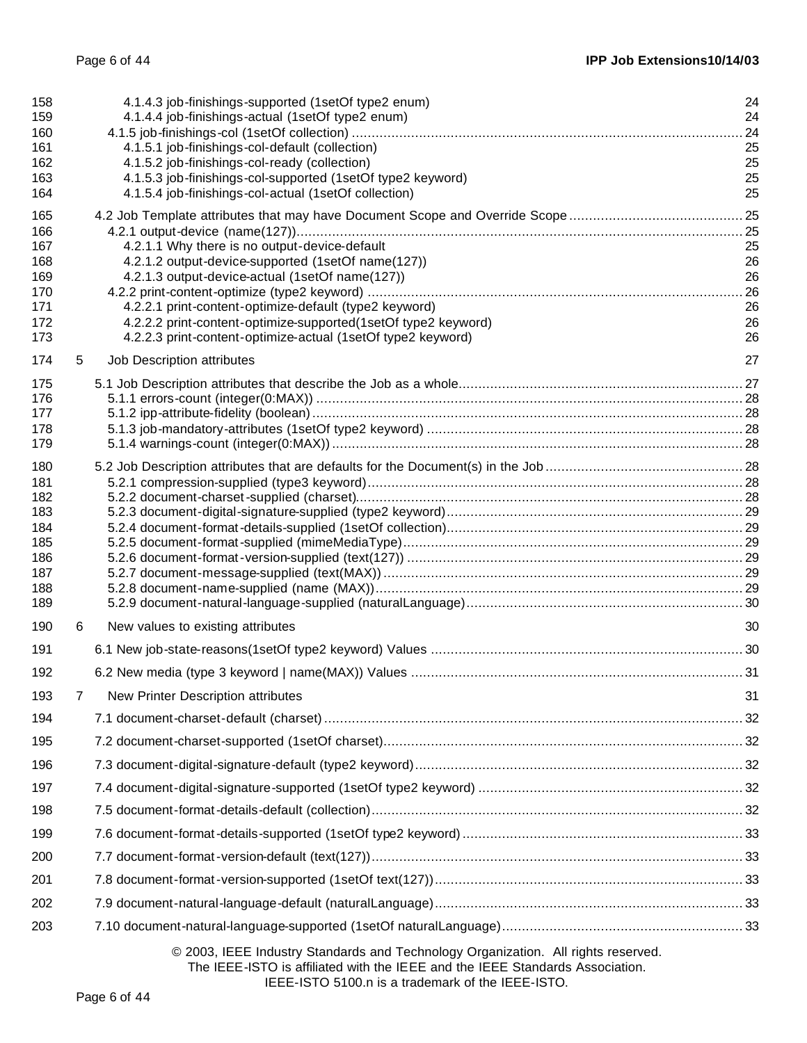| 158<br>159<br>160 |   | 4.1.4.3 job-finishings-supported (1setOf type2 enum)<br>4.1.4.4 job-finishings-actual (1setOf type2 enum) | 24<br>24<br>24 |
|-------------------|---|-----------------------------------------------------------------------------------------------------------|----------------|
| 161               |   | 4.1.5.1 job-finishings-col-default (collection)                                                           | 25             |
| 162               |   | 4.1.5.2 job-finishings-col-ready (collection)                                                             | 25             |
| 163               |   | 4.1.5.3 job-finishings-col-supported (1setOf type2 keyword)                                               | 25             |
| 164               |   | 4.1.5.4 job-finishings-col-actual (1setOf collection)                                                     | 25             |
| 165<br>166        |   |                                                                                                           |                |
| 167               |   | 4.2.1.1 Why there is no output-device-default                                                             | 25             |
| 168               |   | 4.2.1.2 output-device-supported (1setOf name(127))                                                        | 26             |
| 169               |   | 4.2.1.3 output-device-actual (1setOf name(127))                                                           | 26<br>.26      |
| 170<br>171        |   | 4.2.2.1 print-content-optimize-default (type2 keyword)                                                    | 26             |
| 172               |   | 4.2.2.2 print-content-optimize-supported(1setOf type2 keyword)                                            | 26             |
| 173               |   | 4.2.2.3 print-content-optimize-actual (1setOf type2 keyword)                                              | 26             |
| 174               | 5 | Job Description attributes                                                                                | 27             |
| 175               |   |                                                                                                           |                |
| 176<br>177        |   |                                                                                                           |                |
| 178               |   |                                                                                                           |                |
| 179               |   |                                                                                                           |                |
| 180               |   |                                                                                                           |                |
| 181               |   |                                                                                                           |                |
| 182<br>183        |   |                                                                                                           |                |
| 184               |   |                                                                                                           |                |
| 185               |   |                                                                                                           |                |
| 186<br>187        |   |                                                                                                           |                |
| 188               |   |                                                                                                           |                |
| 189               |   |                                                                                                           |                |
| 190               | 6 | New values to existing attributes                                                                         | 30             |
| 191               |   |                                                                                                           |                |
| 192               |   |                                                                                                           |                |
| 193               | 7 | New Printer Description attributes                                                                        | 31             |
| 194               |   |                                                                                                           |                |
| 195               |   |                                                                                                           |                |
| 196               |   |                                                                                                           |                |
| 197               |   |                                                                                                           |                |
| 198               |   |                                                                                                           |                |
| 199               |   |                                                                                                           |                |
| 200               |   |                                                                                                           |                |
| 201               |   |                                                                                                           |                |
| 202               |   |                                                                                                           |                |
| 203               |   |                                                                                                           |                |
|                   |   | @ 2003. IEEE Industry Standards and Technology Organization. All rights reserved                          |                |

### © 2003, IEEE Industry Standards and Technology Organization. All rights reserved. The IEEE-ISTO is affiliated with the IEEE and the IEEE Standards Association.

IEEE-ISTO 5100.n is a trademark of the IEEE-ISTO.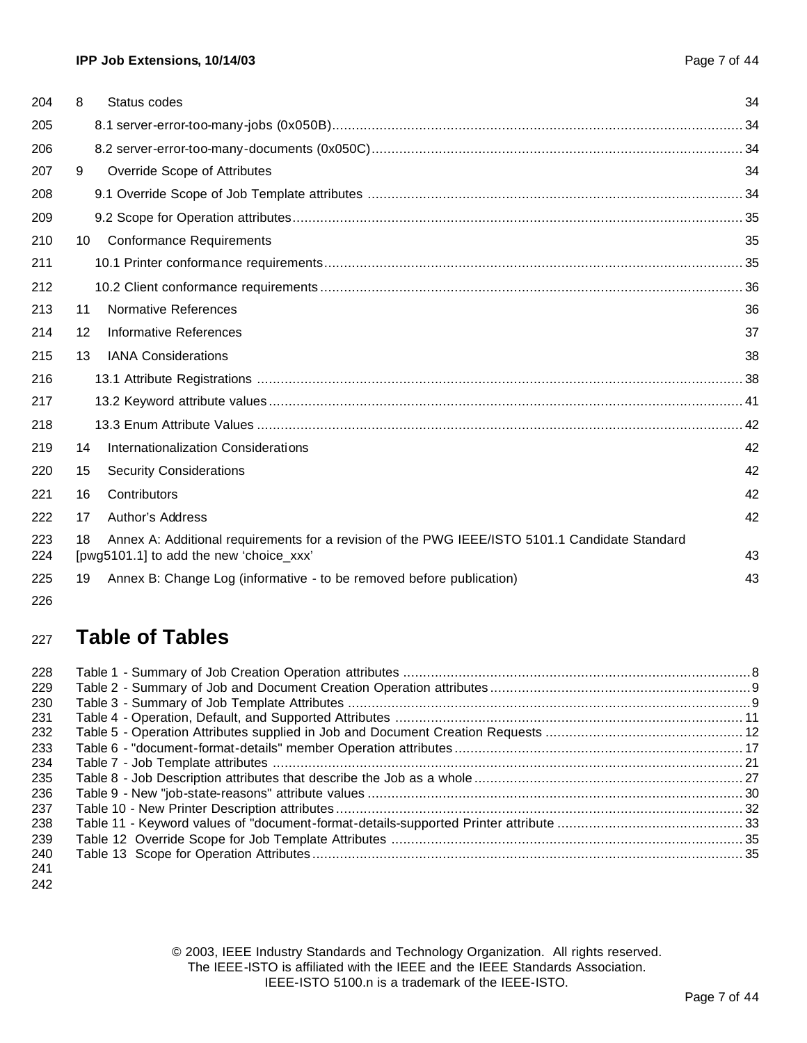| 204        | 8  | Status codes                                                                                                                              | 34 |
|------------|----|-------------------------------------------------------------------------------------------------------------------------------------------|----|
| 205        |    |                                                                                                                                           |    |
| 206        |    |                                                                                                                                           |    |
| 207        | 9  | Override Scope of Attributes                                                                                                              | 34 |
| 208        |    |                                                                                                                                           |    |
| 209        |    |                                                                                                                                           |    |
| 210        | 10 | <b>Conformance Requirements</b>                                                                                                           | 35 |
| 211        |    |                                                                                                                                           |    |
| 212        |    |                                                                                                                                           |    |
| 213        | 11 | Normative References                                                                                                                      | 36 |
| 214        | 12 | <b>Informative References</b>                                                                                                             | 37 |
| 215        | 13 | <b>IANA Considerations</b>                                                                                                                | 38 |
| 216        |    |                                                                                                                                           |    |
| 217        |    |                                                                                                                                           |    |
| 218        |    |                                                                                                                                           |    |
| 219        | 14 | Internationalization Considerations                                                                                                       | 42 |
| 220        | 15 | <b>Security Considerations</b>                                                                                                            | 42 |
| 221        | 16 | Contributors                                                                                                                              | 42 |
| 222        | 17 | Author's Address                                                                                                                          | 42 |
| 223<br>224 | 18 | Annex A: Additional requirements for a revision of the PWG IEEE/ISTO 5101.1 Candidate Standard<br>[pwg5101.1] to add the new 'choice_xxx' | 43 |
| 225        | 19 | Annex B: Change Log (informative - to be removed before publication)                                                                      | 43 |
| 226        |    |                                                                                                                                           |    |

# **Table of Tables**

| 228 |  |
|-----|--|
| 229 |  |
| 230 |  |
| 231 |  |
| 232 |  |
| 233 |  |
| 234 |  |
| 235 |  |
| 236 |  |
| 237 |  |
| 238 |  |
| 239 |  |
| 240 |  |
| 241 |  |

© 2003, IEEE Industry Standards and Technology Organization. All rights reserved. The IEEE-ISTO is affiliated with the IEEE and the IEEE Standards Association. IEEE-ISTO 5100.n is a trademark of the IEEE-ISTO.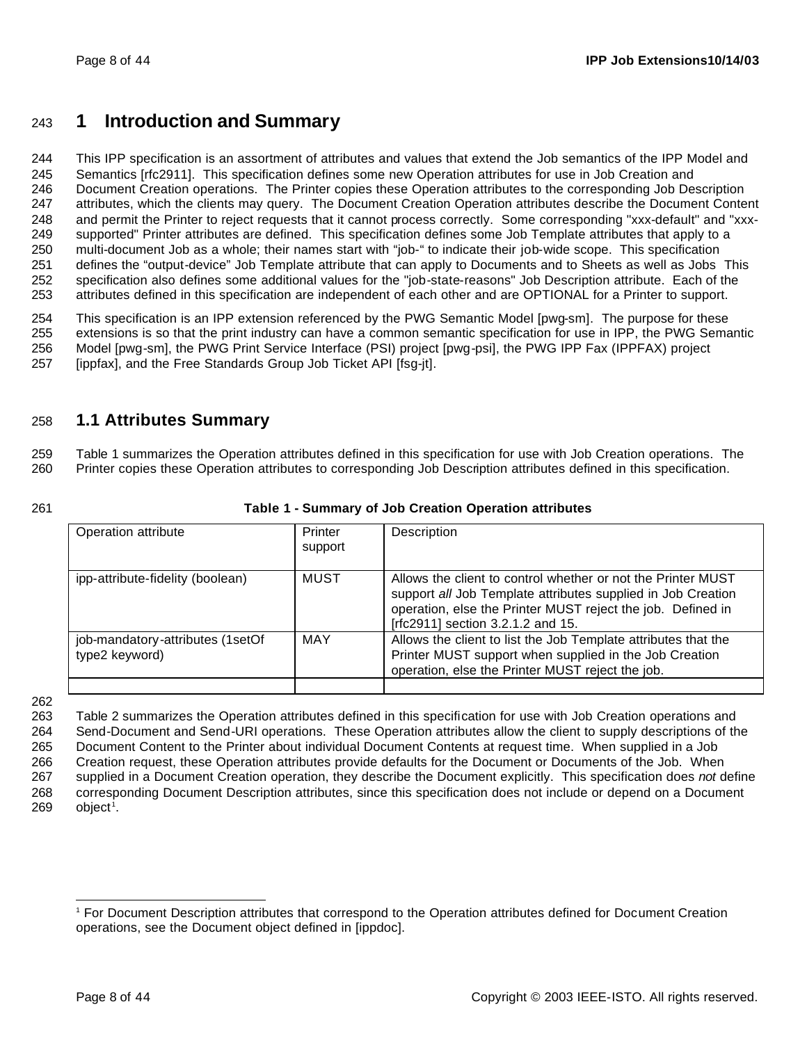## **1 Introduction and Summary**

 This IPP specification is an assortment of attributes and values that extend the Job semantics of the IPP Model and Semantics [rfc2911]. This specification defines some new Operation attributes for use in Job Creation and Document Creation operations. The Printer copies these Operation attributes to the corresponding Job Description attributes, which the clients may query. The Document Creation Operation attributes describe the Document Content and permit the Printer to reject requests that it cannot process correctly. Some corresponding "xxx-default" and "xxx- supported" Printer attributes are defined. This specification defines some Job Template attributes that apply to a multi-document Job as a whole; their names start with "job-" to indicate their job-wide scope. This specification defines the "output-device" Job Template attribute that can apply to Documents and to Sheets as well as Jobs This specification also defines some additional values for the "job-state-reasons" Job Description attribute. Each of the attributes defined in this specification are independent of each other and are OPTIONAL for a Printer to support.

 This specification is an IPP extension referenced by the PWG Semantic Model [pwg-sm]. The purpose for these extensions is so that the print industry can have a common semantic specification for use in IPP, the PWG Semantic Model [pwg-sm], the PWG Print Service Interface (PSI) project [pwg-psi], the PWG IPP Fax (IPPFAX) project [ippfax], and the Free Standards Group Job Ticket API [fsg-jt].

## **1.1 Attributes Summary**

 Table 1 summarizes the Operation attributes defined in this specification for use with Job Creation operations. The Printer copies these Operation attributes to corresponding Job Description attributes defined in this specification.

#### **Table 1 - Summary of Job Creation Operation attributes**

| Operation attribute                                | Printer<br>support | Description                                                                                                                                                                                                                      |
|----------------------------------------------------|--------------------|----------------------------------------------------------------------------------------------------------------------------------------------------------------------------------------------------------------------------------|
| ipp-attribute-fidelity (boolean)                   | MUST               | Allows the client to control whether or not the Printer MUST<br>support all Job Template attributes supplied in Job Creation<br>operation, else the Printer MUST reject the job. Defined in<br>[rfc2911] section 3.2.1.2 and 15. |
| job-mandatory-attributes (1setOf<br>type2 keyword) | <b>MAY</b>         | Allows the client to list the Job Template attributes that the<br>Printer MUST support when supplied in the Job Creation<br>operation, else the Printer MUST reject the job.                                                     |

 Table 2 summarizes the Operation attributes defined in this specification for use with Job Creation operations and Send-Document and Send-URI operations. These Operation attributes allow the client to supply descriptions of the Document Content to the Printer about individual Document Contents at request time. When supplied in a Job Creation request, these Operation attributes provide defaults for the Document or Documents of the Job. When supplied in a Document Creation operation, they describe the Document explicitly. This specification does *not* define corresponding Document Description attributes, since this specification does not include or depend on a Document object<sup>1</sup>.

 For Document Description attributes that correspond to the Operation attributes defined for Document Creation operations, see the Document object defined in [ippdoc].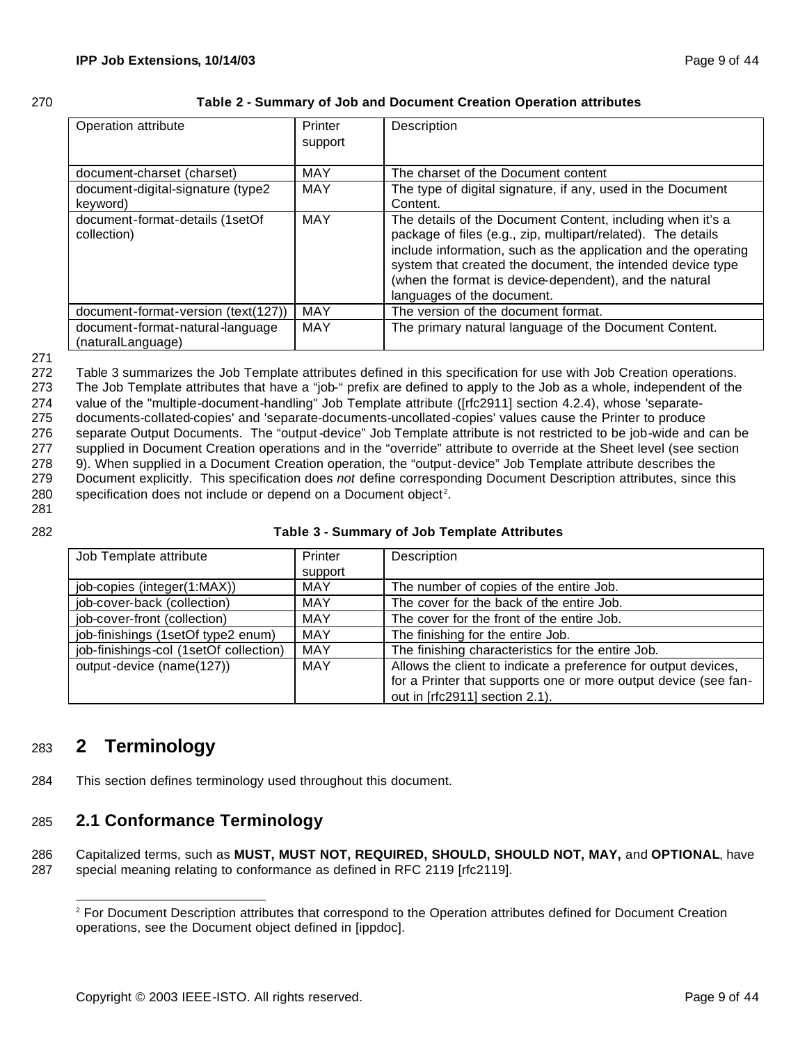| œ |         |
|---|---------|
|   | ٠<br>۰, |

#### **Table 2 - Summary of Job and Document Creation Operation attributes**

| Operation attribute                                   | Printer<br>support | Description                                                                                                                                                                                                                                                                                                                                        |
|-------------------------------------------------------|--------------------|----------------------------------------------------------------------------------------------------------------------------------------------------------------------------------------------------------------------------------------------------------------------------------------------------------------------------------------------------|
| document-charset (charset)                            | <b>MAY</b>         | The charset of the Document content                                                                                                                                                                                                                                                                                                                |
| document-digital-signature (type2<br>keyword)         | <b>MAY</b>         | The type of digital signature, if any, used in the Document<br>Content.                                                                                                                                                                                                                                                                            |
| document-format-details (1setOf<br>collection)        | <b>MAY</b>         | The details of the Document Content, including when it's a<br>package of files (e.g., zip, multipart/related). The details<br>include information, such as the application and the operating<br>system that created the document, the intended device type<br>(when the format is device-dependent), and the natural<br>languages of the document. |
| document-format-version (text(127))                   | <b>MAY</b>         | The version of the document format.                                                                                                                                                                                                                                                                                                                |
| document-format-natural-language<br>(naturalLanguage) | <b>MAY</b>         | The primary natural language of the Document Content.                                                                                                                                                                                                                                                                                              |

#### 271

 Table 3 summarizes the Job Template attributes defined in this specification for use with Job Creation operations. The Job Template attributes that have a "job-" prefix are defined to apply to the Job as a whole, independent of the value of the "multiple-document-handling" Job Template attribute ([rfc2911] section 4.2.4), whose 'separate- documents-collated-copies' and 'separate-documents-uncollated-copies' values cause the Printer to produce separate Output Documents. The "output-device" Job Template attribute is not restricted to be job-wide and can be supplied in Document Creation operations and in the "override" attribute to override at the Sheet level (see section 9). When supplied in a Document Creation operation, the "output-device" Job Template attribute describes the Document explicitly. This specification does *not* define corresponding Document Description attributes, since this specification does not include or depend on a Document object<sup>2</sup>.

281

#### 282 **Table 3 - Summary of Job Template Attributes**

| Job Template attribute                 | Printer    | Description                                                     |  |
|----------------------------------------|------------|-----------------------------------------------------------------|--|
|                                        | support    |                                                                 |  |
| job-copies (integer(1:MAX))            | <b>MAY</b> | The number of copies of the entire Job.                         |  |
| job-cover-back (collection)            | <b>MAY</b> | The cover for the back of the entire Job.                       |  |
| job-cover-front (collection)           | <b>MAY</b> | The cover for the front of the entire Job.                      |  |
| job-finishings (1setOf type2 enum)     | MAY        | The finishing for the entire Job.                               |  |
| job-finishings-col (1setOf collection) | MAY        | The finishing characteristics for the entire Job.               |  |
| output-device (name(127))              | MAY        | Allows the client to indicate a preference for output devices,  |  |
|                                        |            | for a Printer that supports one or more output device (see fan- |  |
|                                        |            | out in [rfc2911] section 2.1).                                  |  |

# <sup>283</sup> **2 Terminology**

284 This section defines terminology used throughout this document.

# 285 **2.1 Conformance Terminology**

286 Capitalized terms, such as **MUST, MUST NOT, REQUIRED, SHOULD, SHOULD NOT, MAY,** and **OPTIONAL**, have 287 special meaning relating to conformance as defined in RFC 2119 [rfc2119].

 <sup>2</sup> For Document Description attributes that correspond to the Operation attributes defined for Document Creation operations, see the Document object defined in [ippdoc].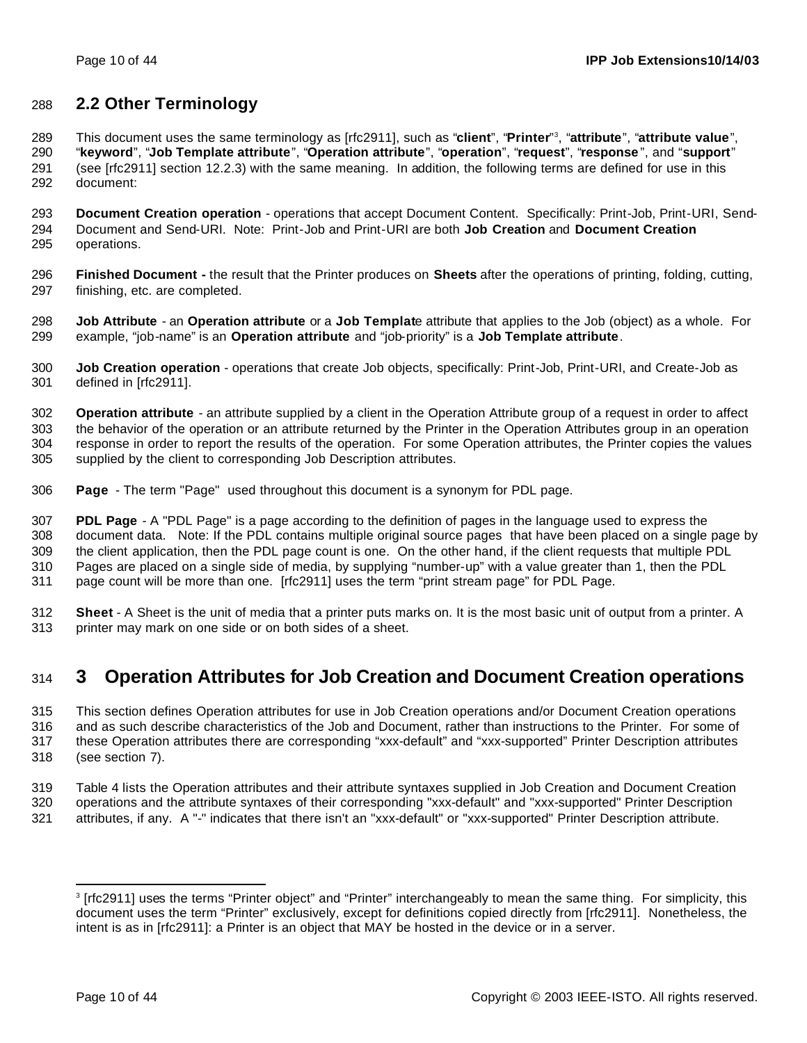## **2.2 Other Terminology**

This document uses the same terminology as [rfc2911], such as "**client**", "**Printer**" <sup>3</sup> , "**attribute**", "**attribute value**", "**keyword**", "**Job Template attribute**", "**Operation attribute**", "**operation**", "**request**", "**response** ", and "**support**" (see [rfc2911] section 12.2.3) with the same meaning. In addition, the following terms are defined for use in this document:

 **Document Creation operation** - operations that accept Document Content. Specifically: Print-Job, Print-URI, Send- Document and Send-URI. Note: Print-Job and Print-URI are both **Job Creation** and **Document Creation** operations.

 **Finished Document -** the result that the Printer produces on **Sheets** after the operations of printing, folding, cutting, finishing, etc. are completed.

 **Job Attribute** - an **Operation attribute** or a **Job Templat**e attribute that applies to the Job (object) as a whole. For example, "job-name" is an **Operation attribute** and "job-priority" is a **Job Template attribute**.

 **Job Creation operation** - operations that create Job objects, specifically: Print-Job, Print-URI, and Create-Job as defined in [rfc2911].

 **Operation attribute** - an attribute supplied by a client in the Operation Attribute group of a request in order to affect the behavior of the operation or an attribute returned by the Printer in the Operation Attributes group in an operation response in order to report the results of the operation. For some Operation attributes, the Printer copies the values supplied by the client to corresponding Job Description attributes.

**Page** - The term "Page" used throughout this document is a synonym for PDL page.

 **PDL Page** - A "PDL Page" is a page according to the definition of pages in the language used to express the document data. Note: If the PDL contains multiple original source pages that have been placed on a single page by the client application, then the PDL page count is one. On the other hand, if the client requests that multiple PDL Pages are placed on a single side of media, by supplying "number-up" with a value greater than 1, then the PDL page count will be more than one. [rfc2911] uses the term "print stream page" for PDL Page.

 **Sheet** - A Sheet is the unit of media that a printer puts marks on. It is the most basic unit of output from a printer. A printer may mark on one side or on both sides of a sheet.

## **3 Operation Attributes for Job Creation and Document Creation operations**

 This section defines Operation attributes for use in Job Creation operations and/or Document Creation operations and as such describe characteristics of the Job and Document, rather than instructions to the Printer. For some of these Operation attributes there are corresponding "xxx-default" and "xxx-supported" Printer Description attributes (see section 7).

 Table 4 lists the Operation attributes and their attribute syntaxes supplied in Job Creation and Document Creation operations and the attribute syntaxes of their corresponding "xxx-default" and "xxx-supported" Printer Description attributes, if any. A "-" indicates that there isn't an "xxx-default" or "xxx-supported" Printer Description attribute.

 [rfc2911] uses the terms "Printer object" and "Printer" interchangeably to mean the same thing. For simplicity, this document uses the term "Printer" exclusively, except for definitions copied directly from [rfc2911]. Nonetheless, the intent is as in [rfc2911]: a Printer is an object that MAY be hosted in the device or in a server.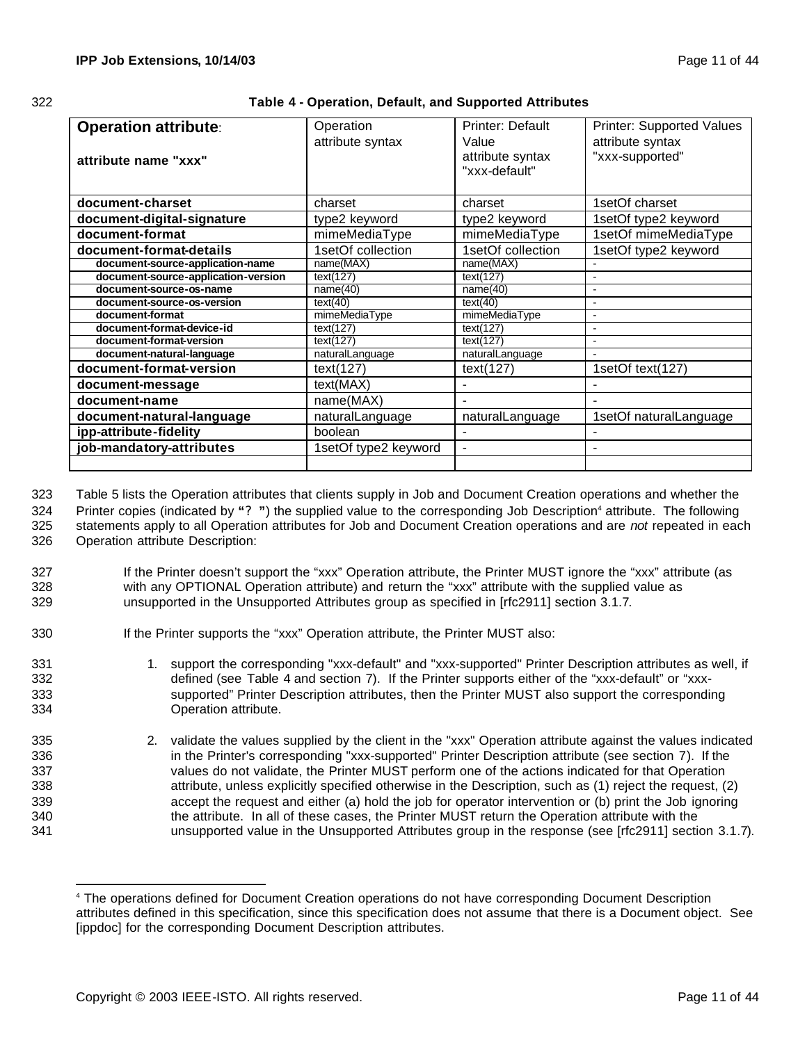| œ<br>œ       |  |
|--------------|--|
| ٦<br>×<br>۰, |  |

| 322 | Table 4 - Operation, Default, and Supported Attributes |
|-----|--------------------------------------------------------|
|-----|--------------------------------------------------------|

| <b>Operation attribute:</b><br>attribute name "xxx" | Operation<br>attribute syntax | Printer: Default<br>Value<br>attribute syntax<br>"xxx-default" | Printer: Supported Values<br>attribute syntax<br>"xxx-supported" |
|-----------------------------------------------------|-------------------------------|----------------------------------------------------------------|------------------------------------------------------------------|
| document-charset                                    | charset                       | charset                                                        | 1setOf charset                                                   |
| document-digital-signature                          | type2 keyword                 | type2 keyword                                                  | 1setOf type2 keyword                                             |
| document-format                                     | mimeMediaType                 | mimeMediaType                                                  | 1setOf mimeMediaType                                             |
| document-format-details                             | 1setOf collection             | 1setOf collection                                              | 1setOf type2 keyword                                             |
| document-source-application-name                    | name(MAX)                     | name(MAX)                                                      |                                                                  |
| document-source-application-version                 | text(127)                     | text(127)                                                      |                                                                  |
| document-source-os-name                             | name(40)                      | name(40)                                                       | $\blacksquare$                                                   |
| document-source-os-version                          | text(40)                      | text(40)                                                       |                                                                  |
| document-format                                     | mimeMediaType                 | mimeMediaType                                                  |                                                                  |
| document-format-device-id                           | text(127)                     | text(127)                                                      | $\overline{\phantom{a}}$                                         |
| document-format-version                             | text(127)                     | text(127)                                                      | $\overline{\phantom{a}}$                                         |
| document-natural-language                           | naturalLanguage               | naturalLanguage                                                |                                                                  |
| document-format-version                             | text(127)                     | text(127)                                                      | 1setOf text(127)                                                 |
| document-message                                    | text(MAX)                     |                                                                |                                                                  |
| document-name                                       | name(MAX)                     |                                                                |                                                                  |
| document-natural-language                           | naturalLanguage               | naturalLanguage                                                | 1setOf naturalLanguage                                           |
| ipp-attribute-fidelity                              | boolean                       | ۰                                                              |                                                                  |
| job-mandatory-attributes                            | 1setOf type2 keyword          | $\blacksquare$                                                 |                                                                  |
|                                                     |                               |                                                                |                                                                  |

 Table 5 lists the Operation attributes that clients supply in Job and Document Creation operations and whether the 324 Printer copies (indicated by "?") the supplied value to the corresponding Job Description<sup>4</sup> attribute. The following statements apply to all Operation attributes for Job and Document Creation operations and are *not* repeated in each Operation attribute Description:

- 327 If the Printer doesn't support the "xxx" Operation attribute, the Printer MUST ignore the "xxx" attribute (as 328 with any OPTIONAL Operation attribute) and return the "xxx" attribute with the supplied value as 329 unsupported in the Unsupported Attributes group as specified in [rfc2911] section 3.1.7.
- 330 If the Printer supports the "xxx" Operation attribute, the Printer MUST also:
- 331 1. support the corresponding "xxx-default" and "xxx-supported" Printer Description attributes as well, if 332 defined (see Table 4 and section 7). If the Printer supports either of the "xxx-default" or "xxx-333 supported" Printer Description attributes, then the Printer MUST also support the corresponding 334 Operation attribute.
- 335 2. validate the values supplied by the client in the "xxx" Operation attribute against the values indicated 336 in the Printer's corresponding "xxx-supported" Printer Description attribute (see section 7). If the 337 values do not validate, the Printer MUST perform one of the actions indicated for that Operation 338 attribute, unless explicitly specified otherwise in the Description, such as (1) reject the request, (2) 339 accept the request and either (a) hold the job for operator intervention or (b) print the Job ignoring 340 the attribute. In all of these cases, the Printer MUST return the Operation attribute with the 341 unsupported value in the Unsupported Attributes group in the response (see [rfc2911] section 3.1.7).

<sup>4</sup> The operations defined for Document Creation operations do not have corresponding Document Description attributes defined in this specification, since this specification does not assume that there is a Document object. See [ippdoc] for the corresponding Document Description attributes.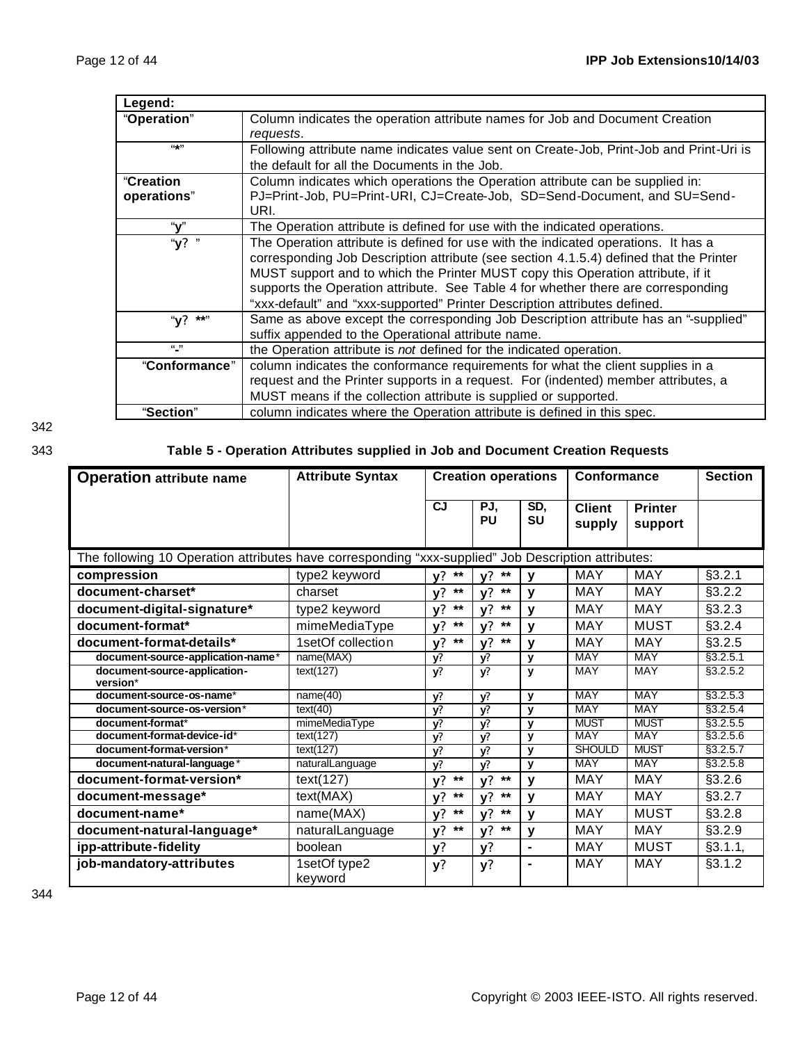| Legend:          |                                                                                         |
|------------------|-----------------------------------------------------------------------------------------|
| "Operation"      | Column indicates the operation attribute names for Job and Document Creation            |
|                  | requests.                                                                               |
| $(4 + 1)$        | Following attribute name indicates value sent on Create-Job, Print-Job and Print-Uri is |
|                  | the default for all the Documents in the Job.                                           |
| <b>"Creation</b> | Column indicates which operations the Operation attribute can be supplied in:           |
| operations"      | PJ=Print-Job, PU=Print-URI, CJ=Create-Job, SD=Send-Document, and SU=Send-               |
|                  | URI.                                                                                    |
| "v"              | The Operation attribute is defined for use with the indicated operations.               |
| "y? "            | The Operation attribute is defined for use with the indicated operations. It has a      |
|                  | corresponding Job Description attribute (see section 4.1.5.4) defined that the Printer  |
|                  | MUST support and to which the Printer MUST copy this Operation attribute, if it         |
|                  | supports the Operation attribute. See Table 4 for whether there are corresponding       |
|                  | "xxx-default" and "xxx-supported" Printer Description attributes defined.               |
| " $y$ ?<br>**"   | Same as above except the corresponding Job Description attribute has an "-supplied"     |
|                  | suffix appended to the Operational attribute name.                                      |
| $\frac{1}{2}$    | the Operation attribute is not defined for the indicated operation.                     |
| "Conformance"    | column indicates the conformance requirements for what the client supplies in a         |
|                  | request and the Printer supports in a request. For (indented) member attributes, a      |
|                  | MUST means if the collection attribute is supplied or supported.                        |
| "Section"        | column indicates where the Operation attribute is defined in this spec.                 |

342

## 343 **Table 5 - Operation Attributes supplied in Job and Document Creation Requests**

| <b>Operation attribute name</b>                                                                     | <b>Attribute Syntax</b> | <b>Creation operations</b> |                    | Conformance      |                         | <b>Section</b>            |           |
|-----------------------------------------------------------------------------------------------------|-------------------------|----------------------------|--------------------|------------------|-------------------------|---------------------------|-----------|
|                                                                                                     |                         | <b>CJ</b>                  | PJ,<br>PU          | SD,<br><b>SU</b> | <b>Client</b><br>supply | <b>Printer</b><br>support |           |
| The following 10 Operation attributes have corresponding "xxx-supplied" Job Description attributes: |                         |                            |                    |                  |                         |                           |           |
| compression                                                                                         | type2 keyword           | $y?$ **                    | $***$<br>۷?        | $\mathbf v$      | <b>MAY</b>              | <b>MAY</b>                | §3.2.1    |
| document-charset*                                                                                   | charset                 | $***$<br>V <sup>2</sup>    | $***$<br>$v$ ?     | $\mathbf v$      | <b>MAY</b>              | <b>MAY</b>                | §3.2.2    |
| document-digital-signature*                                                                         | type2 keyword           | $***$<br>$y$ ?             | $***$<br>v?        | $\mathbf v$      | MAY                     | <b>MAY</b>                | §3.2.3    |
| document-format*                                                                                    | mimeMediaType           | $***$<br>V <sup>2</sup>    | $***$<br>٧?        | $\mathbf v$      | <b>MAY</b>              | <b>MUST</b>               | §3.2.4    |
| document-format-details*                                                                            | 1setOf collection       | $***$<br>$y$ ?             | $***$<br>$y$ ?     | v                | <b>MAY</b>              | <b>MAY</b>                | §3.2.5    |
| document-source-application-name*                                                                   | name(MAX)               | $\overline{y}$             | y?                 | y                | <b>MAY</b>              | <b>MAY</b>                | §3.2.5.1  |
| document-source-application-<br>version*                                                            | text(127)               | y?                         | y?                 | y                | <b>MAY</b>              | <b>MAY</b>                | \$3.2.5.2 |
| document-source-os-name*                                                                            | name(40)                | y?                         | y?                 | $\mathbf{v}$     | <b>MAY</b>              | <b>MAY</b>                | §3.2.5.3  |
| document-source-os-version*                                                                         | text(40)                | y?                         | V?                 | $\mathbf v$      | <b>MAY</b>              | <b>MAY</b>                | \$3.2.5.4 |
| document-format*                                                                                    | mimeMediaType           | y?                         | $\mathbf{v}$       | $\mathbf{v}$     | <b>MUST</b>             | <b>MUST</b>               | §3.2.5.5  |
| document-format-device-id*                                                                          | text(127)               | $\overline{y}$             | y?                 | y                | <b>MAY</b>              | <b>MAY</b>                | \$3.2.5.6 |
| document-format-version*                                                                            | text(127)               | y?                         | V?                 | y                | <b>SHOULD</b>           | <b>MUST</b>               | \$3.2.5.7 |
| document-natural-language*                                                                          | naturalLanguage         | $\overline{y}$             | $\mathbf{v}$       | $\mathbf{v}$     | <b>MAY</b>              | <b>MAY</b>                | \$3.2.5.8 |
| document-format-version*                                                                            | text(127)               | $***$<br>$y$ ?             | $\star\star$<br>y? | y                | <b>MAY</b>              | <b>MAY</b>                | §3.2.6    |
| document-message*                                                                                   | text(MAX)               | $***$<br>V <sup>2</sup>    | $***$<br>$y$ ?     | $\mathbf v$      | MAY                     | <b>MAY</b>                | §3.2.7    |
| document-name*                                                                                      | name(MAX)               | $***$<br>$y$ ?             | $***$<br>$y$ ?     | $\mathbf v$      | <b>MAY</b>              | <b>MUST</b>               | §3.2.8    |
| document-natural-language*                                                                          | naturalLanguage         | $***$<br>$y$ ?             | $***$<br>y?        | y                | <b>MAY</b>              | <b>MAY</b>                | §3.2.9    |
| ipp-attribute-fidelity                                                                              | boolean                 | y?                         | y?                 | $\blacksquare$   | MAY                     | <b>MUST</b>               | §3.1.1,   |
| job-mandatory-attributes                                                                            | 1setOf type2<br>keyword | y?                         | y?                 | $\blacksquare$   | <b>MAY</b>              | <b>MAY</b>                | §3.1.2    |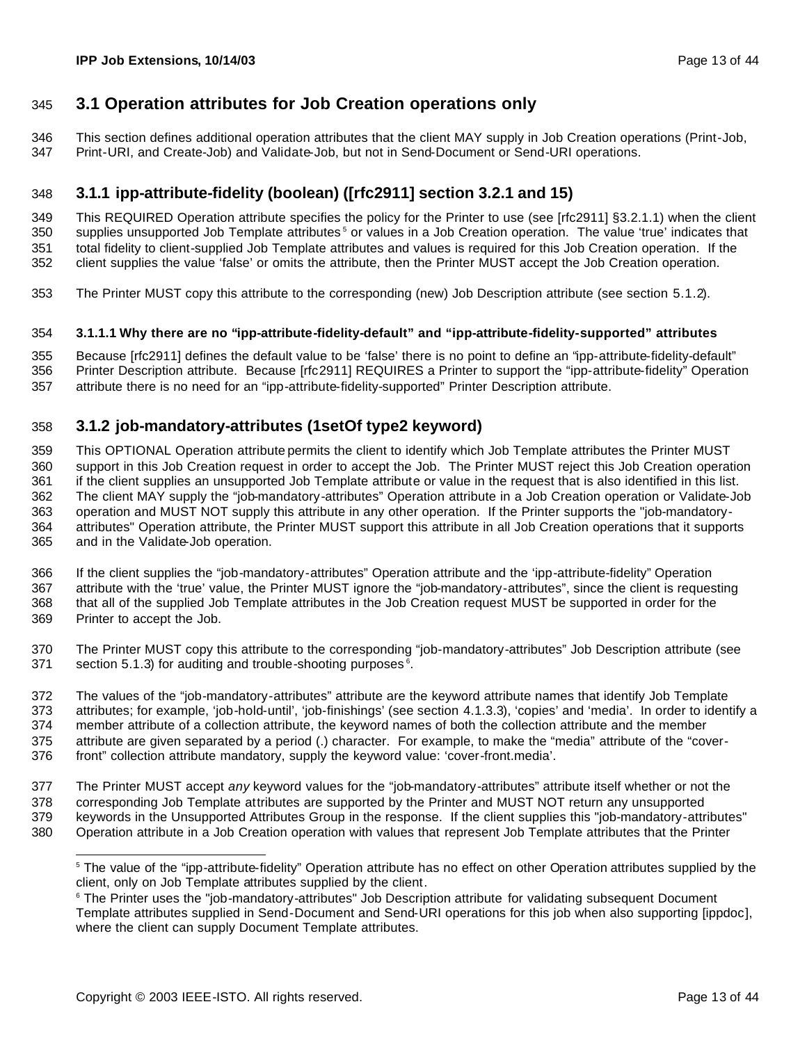## **3.1 Operation attributes for Job Creation operations only**

 This section defines additional operation attributes that the client MAY supply in Job Creation operations (Print-Job, Print-URI, and Create-Job) and Validate-Job, but not in Send-Document or Send-URI operations.

### **3.1.1 ipp-attribute-fidelity (boolean) ([rfc2911] section 3.2.1 and 15)**

 This REQUIRED Operation attribute specifies the policy for the Printer to use (see [rfc2911] §3.2.1.1) when the client 350 supplies unsupported Job Template attributes<sup>5</sup> or values in a Job Creation operation. The value 'true' indicates that total fidelity to client-supplied Job Template attributes and values is required for this Job Creation operation. If the client supplies the value 'false' or omits the attribute, then the Printer MUST accept the Job Creation operation.

The Printer MUST copy this attribute to the corresponding (new) Job Description attribute (see section 5.1.2).

#### **3.1.1.1 Why there are no "ipp-attribute-fidelity-default" and "ipp-attribute-fidelity-supported" attributes**

 Because [rfc2911] defines the default value to be 'false' there is no point to define an "ipp-attribute-fidelity-default" Printer Description attribute. Because [rfc2911] REQUIRES a Printer to support the "ipp-attribute-fidelity" Operation attribute there is no need for an "ipp-attribute-fidelity-supported" Printer Description attribute.

### **3.1.2 job-mandatory-attributes (1setOf type2 keyword)**

 This OPTIONAL Operation attribute permits the client to identify which Job Template attributes the Printer MUST support in this Job Creation request in order to accept the Job. The Printer MUST reject this Job Creation operation if the client supplies an unsupported Job Template attribute or value in the request that is also identified in this list. The client MAY supply the "job-mandatory-attributes" Operation attribute in a Job Creation operation or Validate-Job operation and MUST NOT supply this attribute in any other operation. If the Printer supports the "job-mandatory- attributes" Operation attribute, the Printer MUST support this attribute in all Job Creation operations that it supports and in the Validate-Job operation.

 If the client supplies the "job-mandatory-attributes" Operation attribute and the 'ipp-attribute-fidelity" Operation attribute with the 'true' value, the Printer MUST ignore the "job-mandatory-attributes", since the client is requesting that all of the supplied Job Template attributes in the Job Creation request MUST be supported in order for the Printer to accept the Job.

 The Printer MUST copy this attribute to the corresponding "job-mandatory-attributes" Job Description attribute (see section 5.1.3) for auditing and trouble-shooting purposes  $6$ .

 The values of the "job-mandatory-attributes" attribute are the keyword attribute names that identify Job Template attributes; for example, 'job-hold-until', 'job-finishings' (see section 4.1.3.3), 'copies' and 'media'. In order to identify a member attribute of a collection attribute, the keyword names of both the collection attribute and the member attribute are given separated by a period (.) character. For example, to make the "media" attribute of the "cover-front" collection attribute mandatory, supply the keyword value: 'cover-front.media'.

 The Printer MUST accept *any* keyword values for the "job-mandatory-attributes" attribute itself whether or not the corresponding Job Template attributes are supported by the Printer and MUST NOT return any unsupported keywords in the Unsupported Attributes Group in the response. If the client supplies this "job-mandatory-attributes"

Operation attribute in a Job Creation operation with values that represent Job Template attributes that the Printer

<sup>&</sup>lt;sup>5</sup> The value of the "ipp-attribute-fidelity" Operation attribute has no effect on other Operation attributes supplied by the client, only on Job Template attributes supplied by the client.

 The Printer uses the "job-mandatory-attributes" Job Description attribute for validating subsequent Document Template attributes supplied in Send-Document and Send-URI operations for this job when also supporting [ippdoc], where the client can supply Document Template attributes.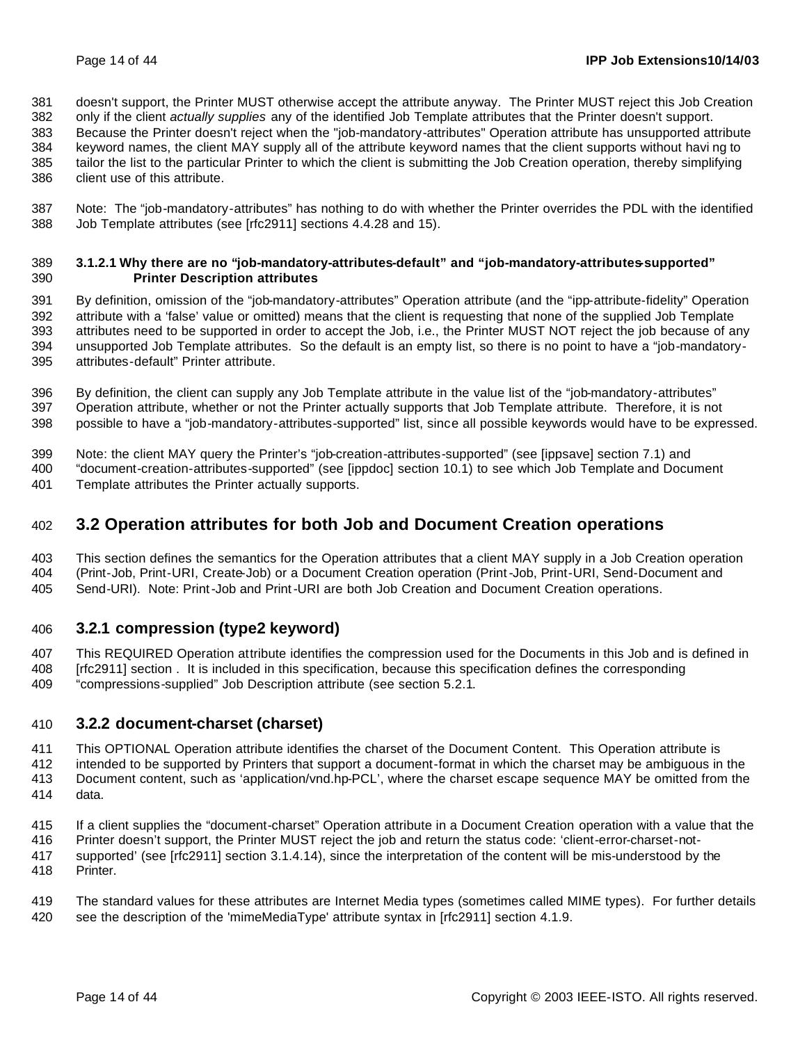doesn't support, the Printer MUST otherwise accept the attribute anyway. The Printer MUST reject this Job Creation

 only if the client *actually supplies* any of the identified Job Template attributes that the Printer doesn't support. Because the Printer doesn't reject when the "job-mandatory-attributes" Operation attribute has unsupported attribute

keyword names, the client MAY supply all of the attribute keyword names that the client supports without havi ng to

 tailor the list to the particular Printer to which the client is submitting the Job Creation operation, thereby simplifying client use of this attribute.

 Note: The "job-mandatory-attributes" has nothing to do with whether the Printer overrides the PDL with the identified Job Template attributes (see [rfc2911] sections 4.4.28 and 15).

#### **3.1.2.1 Why there are no "job-mandatory-attributes-default" and "job-mandatory-attributes-supported" Printer Description attributes**

 By definition, omission of the "job-mandatory-attributes" Operation attribute (and the "ipp-attribute-fidelity" Operation attribute with a 'false' value or omitted) means that the client is requesting that none of the supplied Job Template attributes need to be supported in order to accept the Job, i.e., the Printer MUST NOT reject the job because of any unsupported Job Template attributes. So the default is an empty list, so there is no point to have a "job-mandatory-attributes-default" Printer attribute.

 By definition, the client can supply any Job Template attribute in the value list of the "job-mandatory-attributes" Operation attribute, whether or not the Printer actually supports that Job Template attribute. Therefore, it is not possible to have a "job-mandatory-attributes-supported" list, since all possible keywords would have to be expressed.

Note: the client MAY query the Printer's "job-creation-attributes-supported" (see [ippsave] section 7.1) and

 "document-creation-attributes-supported" (see [ippdoc] section 10.1) to see which Job Template and Document Template attributes the Printer actually supports.

## **3.2 Operation attributes for both Job and Document Creation operations**

 This section defines the semantics for the Operation attributes that a client MAY supply in a Job Creation operation (Print-Job, Print-URI, Create-Job) or a Document Creation operation (Print-Job, Print-URI, Send-Document and Send-URI). Note: Print-Job and Print-URI are both Job Creation and Document Creation operations.

### **3.2.1 compression (type2 keyword)**

 This REQUIRED Operation attribute identifies the compression used for the Documents in this Job and is defined in [rfc2911] section . It is included in this specification, because this specification defines the corresponding

"compressions-supplied" Job Description attribute (see section 5.2.1.

### **3.2.2 document-charset (charset)**

 This OPTIONAL Operation attribute identifies the charset of the Document Content. This Operation attribute is intended to be supported by Printers that support a document-format in which the charset may be ambiguous in the Document content, such as 'application/vnd.hp-PCL', where the charset escape sequence MAY be omitted from the

data.

If a client supplies the "document-charset" Operation attribute in a Document Creation operation with a value that the

Printer doesn't support, the Printer MUST reject the job and return the status code: 'client-error-charset-not-

 supported' (see [rfc2911] section 3.1.4.14), since the interpretation of the content will be mis-understood by the Printer.

 The standard values for these attributes are Internet Media types (sometimes called MIME types). For further details see the description of the 'mimeMediaType' attribute syntax in [rfc2911] section 4.1.9.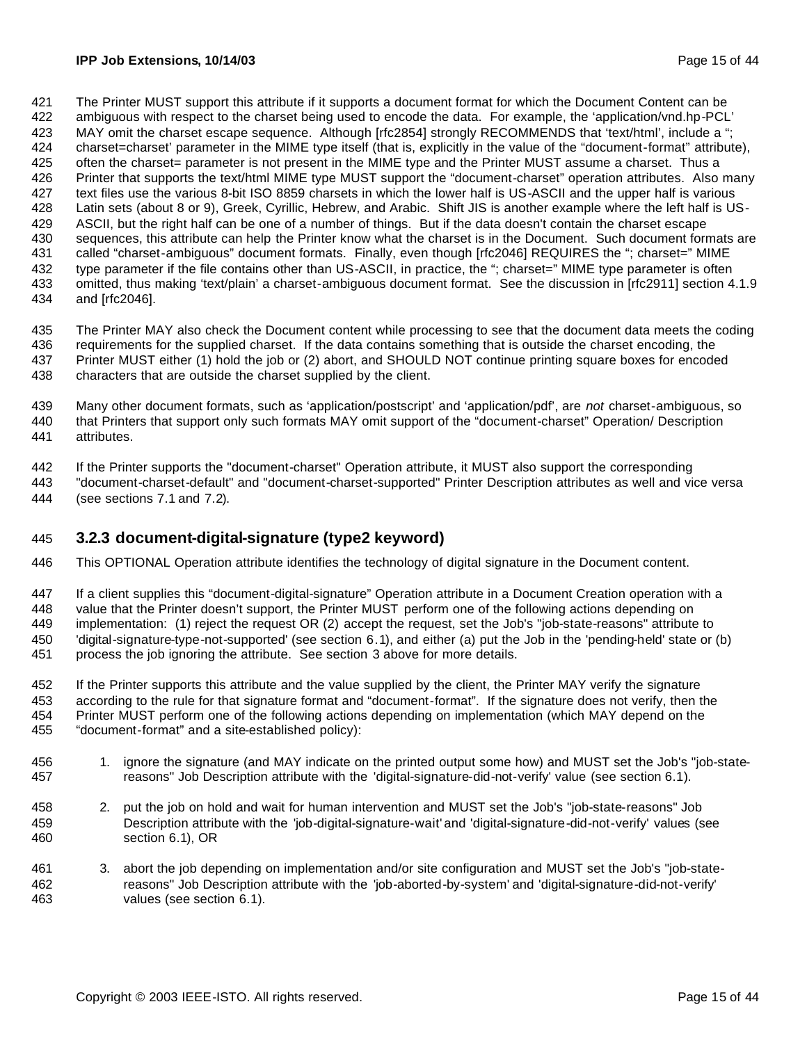The Printer MUST support this attribute if it supports a document format for which the Document Content can be ambiguous with respect to the charset being used to encode the data. For example, the 'application/vnd.hp-PCL' 423 MAY omit the charset escape sequence. Although [rfc2854] strongly RECOMMENDS that 'text/html', include a "; charset=charset' parameter in the MIME type itself (that is, explicitly in the value of the "document-format" attribute), often the charset= parameter is not present in the MIME type and the Printer MUST assume a charset. Thus a Printer that supports the text/html MIME type MUST support the "document-charset" operation attributes. Also many text files use the various 8-bit ISO 8859 charsets in which the lower half is US-ASCII and the upper half is various Latin sets (about 8 or 9), Greek, Cyrillic, Hebrew, and Arabic. Shift JIS is another example where the left half is US- ASCII, but the right half can be one of a number of things. But if the data doesn't contain the charset escape sequences, this attribute can help the Printer know what the charset is in the Document. Such document formats are 431 called "charset-ambiguous" document formats. Finally, even though [rfc2046] REQUIRES the "; charset=" MIME type parameter if the file contains other than US-ASCII, in practice, the "; charset=" MIME type parameter is often omitted, thus making 'text/plain' a charset-ambiguous document format. See the discussion in [rfc2911] section 4.1.9 and [rfc2046].

 The Printer MAY also check the Document content while processing to see that the document data meets the coding requirements for the supplied charset. If the data contains something that is outside the charset encoding, the Printer MUST either (1) hold the job or (2) abort, and SHOULD NOT continue printing square boxes for encoded characters that are outside the charset supplied by the client.

 Many other document formats, such as 'application/postscript' and 'application/pdf', are *not* charset-ambiguous, so that Printers that support only such formats MAY omit support of the "document-charset" Operation/ Description attributes.

If the Printer supports the "document-charset" Operation attribute, it MUST also support the corresponding

 "document-charset-default" and "document-charset-supported" Printer Description attributes as well and vice versa (see sections 7.1 and 7.2).

### **3.2.3 document-digital-signature (type2 keyword)**

This OPTIONAL Operation attribute identifies the technology of digital signature in the Document content.

 If a client supplies this "document-digital-signature" Operation attribute in a Document Creation operation with a value that the Printer doesn't support, the Printer MUST perform one of the following actions depending on implementation: (1) reject the request OR (2) accept the request, set the Job's "job-state-reasons" attribute to 'digital-signature-type-not-supported' (see section 6.1), and either (a) put the Job in the 'pending-held' state or (b) process the job ignoring the attribute. See section 3 above for more details.

 If the Printer supports this attribute and the value supplied by the client, the Printer MAY verify the signature according to the rule for that signature format and "document-format". If the signature does not verify, then the Printer MUST perform one of the following actions depending on implementation (which MAY depend on the "document-format" and a site-established policy):

- 1. ignore the signature (and MAY indicate on the printed output some how) and MUST set the Job's "job-state-reasons" Job Description attribute with the 'digital-signature-did-not-verify' value (see section 6.1).
- 2. put the job on hold and wait for human intervention and MUST set the Job's "job-state-reasons" Job Description attribute with the 'job-digital-signature-wait' and 'digital-signature-did-not-verify' values (see section 6.1), OR
- 3. abort the job depending on implementation and/or site configuration and MUST set the Job's "job-state- reasons" Job Description attribute with the 'job-aborted-by-system' and 'digital-signature-did-not-verify' values (see section 6.1).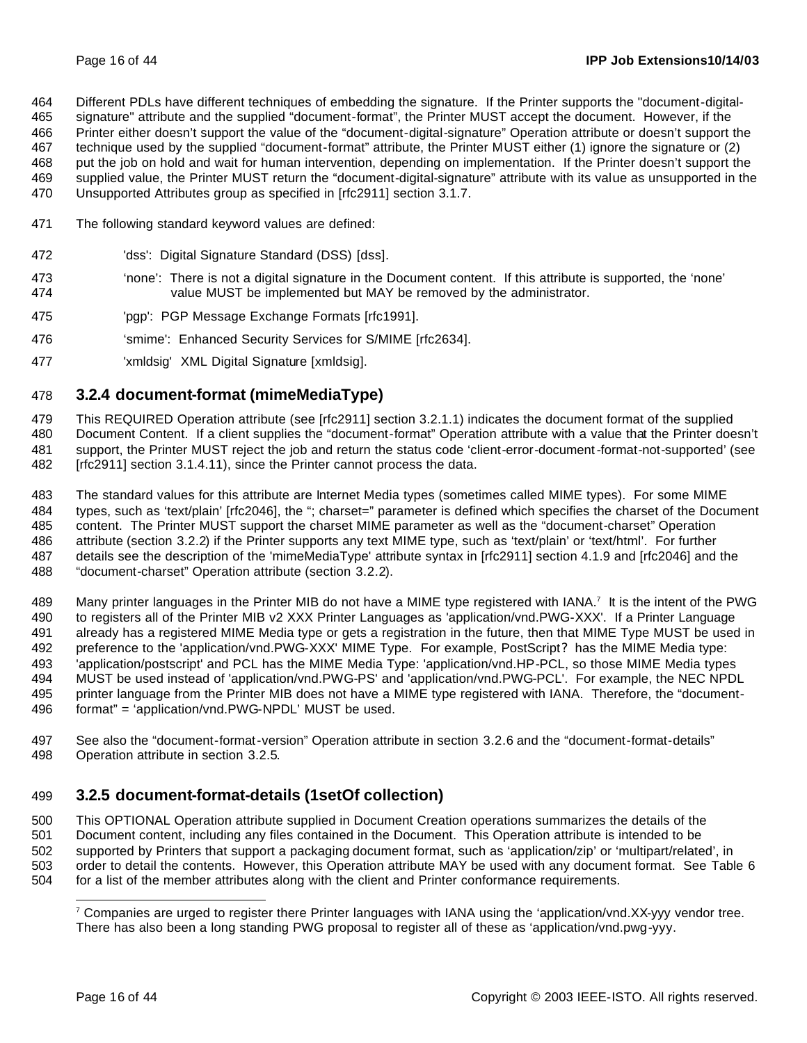Different PDLs have different techniques of embedding the signature. If the Printer supports the "document-digital-

 signature" attribute and the supplied "document-format", the Printer MUST accept the document. However, if the Printer either doesn't support the value of the "document-digital-signature" Operation attribute or doesn't support the

technique used by the supplied "document-format" attribute, the Printer MUST either (1) ignore the signature or (2)

put the job on hold and wait for human intervention, depending on implementation. If the Printer doesn't support the

- supplied value, the Printer MUST return the "document-digital-signature" attribute with its value as unsupported in the Unsupported Attributes group as specified in [rfc2911] section 3.1.7.
- 
- The following standard keyword values are defined:
- 'dss': Digital Signature Standard (DSS) [dss].
- 'none': There is not a digital signature in the Document content. If this attribute is supported, the 'none' value MUST be implemented but MAY be removed by the administrator.
- 'pgp': PGP Message Exchange Formats [rfc1991].
- 'smime': Enhanced Security Services for S/MIME [rfc2634].
- 'xmldsig' XML Digital Signature [xmldsig].

## **3.2.4 document-format (mimeMediaType)**

 This REQUIRED Operation attribute (see [rfc2911] section 3.2.1.1) indicates the document format of the supplied Document Content. If a client supplies the "document-format" Operation attribute with a value that the Printer doesn't support, the Printer MUST reject the job and return the status code 'client-error-document-format-not-supported' (see [rfc2911] section 3.1.4.11), since the Printer cannot process the data.

 The standard values for this attribute are Internet Media types (sometimes called MIME types). For some MIME types, such as 'text/plain' [rfc2046], the "; charset=" parameter is defined which specifies the charset of the Document content. The Printer MUST support the charset MIME parameter as well as the "document-charset" Operation attribute (section 3.2.2) if the Printer supports any text MIME type, such as 'text/plain' or 'text/html'. For further details see the description of the 'mimeMediaType' attribute syntax in [rfc2911] section 4.1.9 and [rfc2046] and the "document-charset" Operation attribute (section 3.2.2).

489 Many printer languages in the Printer MIB do not have a MIME type registered with IANA.<sup>7</sup> It is the intent of the PWG to registers all of the Printer MIB v2 XXX Printer Languages as 'application/vnd.PWG-XXX'. If a Printer Language already has a registered MIME Media type or gets a registration in the future, then that MIME Type MUST be used in preference to the 'application/vnd.PWG-XXX' MIME Type. For example, PostScript? has the MIME Media type: 'application/postscript' and PCL has the MIME Media Type: 'application/vnd.HP-PCL, so those MIME Media types MUST be used instead of 'application/vnd.PWG-PS' and 'application/vnd.PWG-PCL'. For example, the NEC NPDL printer language from the Printer MIB does not have a MIME type registered with IANA. Therefore, the "document-format" = 'application/vnd.PWG-NPDL' MUST be used.

 See also the "document-format-version" Operation attribute in section 3.2.6 and the "document-format-details" Operation attribute in section 3.2.5.

## **3.2.5 document-format-details (1setOf collection)**

 This OPTIONAL Operation attribute supplied in Document Creation operations summarizes the details of the Document content, including any files contained in the Document. This Operation attribute is intended to be supported by Printers that support a packaging document format, such as 'application/zip' or 'multipart/related', in order to detail the contents. However, this Operation attribute MAY be used with any document format. See Table 6 for a list of the member attributes along with the client and Printer conformance requirements.

 Companies are urged to register there Printer languages with IANA using the 'application/vnd.XX-yyy vendor tree. There has also been a long standing PWG proposal to register all of these as 'application/vnd.pwg-yyy.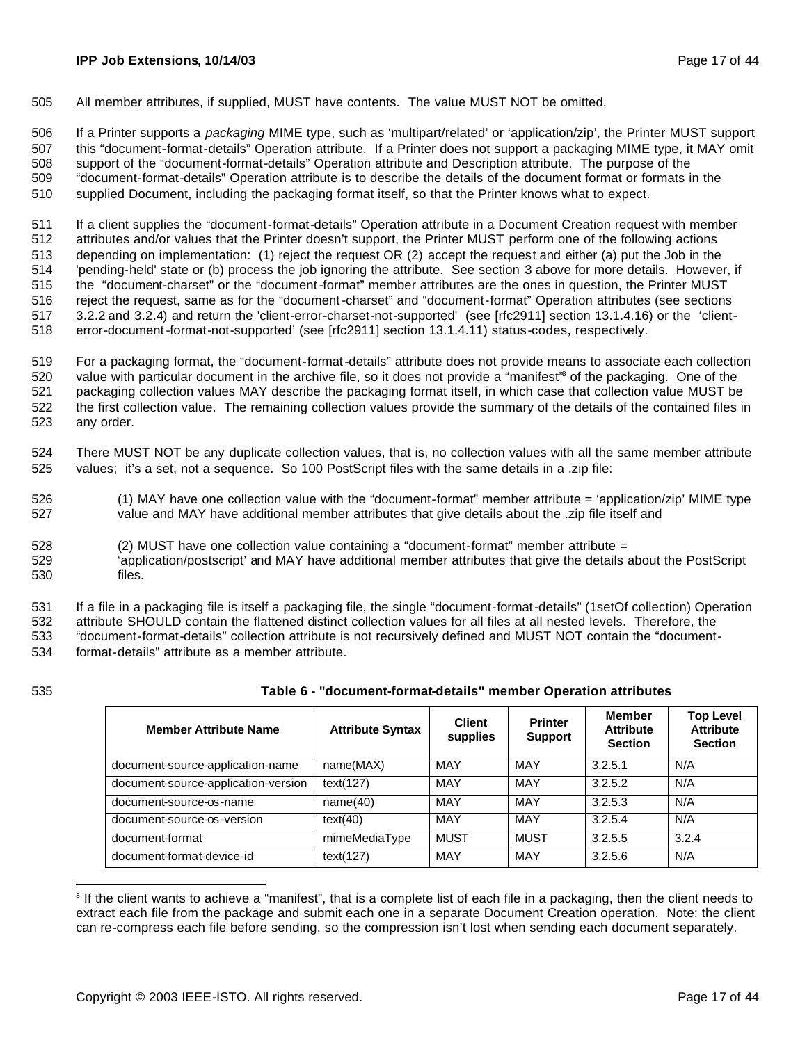505 All member attributes, if supplied, MUST have contents. The value MUST NOT be omitted.

 If a Printer supports a *packaging* MIME type, such as 'multipart/related' or 'application/zip', the Printer MUST support this "document-format-details" Operation attribute. If a Printer does not support a packaging MIME type, it MAY omit support of the "document-format-details" Operation attribute and Description attribute. The purpose of the "document-format-details" Operation attribute is to describe the details of the document format or formats in the supplied Document, including the packaging format itself, so that the Printer knows what to expect.

 If a client supplies the "document-format-details" Operation attribute in a Document Creation request with member attributes and/or values that the Printer doesn't support, the Printer MUST perform one of the following actions depending on implementation: (1) reject the request OR (2) accept the request and either (a) put the Job in the 'pending-held' state or (b) process the job ignoring the attribute. See section 3 above for more details. However, if the "document-charset" or the "document-format" member attributes are the ones in question, the Printer MUST reject the request, same as for the "document-charset" and "document-format" Operation attributes (see sections 3.2.2 and 3.2.4) and return the 'client-error-charset-not-supported' (see [rfc2911] section 13.1.4.16) or the 'client-error-document-format-not-supported' (see [rfc2911] section 13.1.4.11) status-codes, respectively.

 For a packaging format, the "document-format-details" attribute does not provide means to associate each collection 520 value with particular document in the archive file, so it does not provide a "manifest" of the packaging. One of the packaging collection values MAY describe the packaging format itself, in which case that collection value MUST be the first collection value. The remaining collection values provide the summary of the details of the contained files in any order.

- 524 There MUST NOT be any duplicate collection values, that is, no collection values with all the same member attribute 525 values; it's a set, not a sequence. So 100 PostScript files with the same details in a .zip file:
- 526 (1) MAY have one collection value with the "document-format" member attribute = 'application/zip' MIME type 527 value and MAY have additional member attributes that give details about the .zip file itself and
- 528 (2) MUST have one collection value containing a "document-format" member attribute =
- 529 'application/postscript' and MAY have additional member attributes that give the details about the PostScript 530 files.

531 If a file in a packaging file is itself a packaging file, the single "document-format-details" (1setOf collection) Operation

532 attribute SHOULD contain the flattened distinct collection values for all files at all nested levels. Therefore, the

533 "document-format-details" collection attribute is not recursively defined and MUST NOT contain the "document-534 format-details" attribute as a member attribute.

| 535<br>Table 6 - "document-format-details" member Operation attributes |  |
|------------------------------------------------------------------------|--|
|------------------------------------------------------------------------|--|

| <b>Member Attribute Name</b>        | <b>Attribute Syntax</b> | <b>Client</b><br>supplies | <b>Printer</b><br><b>Support</b> | <b>Member</b><br><b>Attribute</b><br><b>Section</b> | <b>Top Level</b><br><b>Attribute</b><br><b>Section</b> |
|-------------------------------------|-------------------------|---------------------------|----------------------------------|-----------------------------------------------------|--------------------------------------------------------|
| document-source-application-name    | name(MAX)               | MAY                       | MAY                              | 3.2.5.1                                             | N/A                                                    |
| document-source-application-version | text(127)               | MAY                       | MAY                              | 3.2.5.2                                             | N/A                                                    |
| document-source-os-name             | name(40)                | MAY                       | MAY                              | 3.2.5.3                                             | N/A                                                    |
| document-source-os-version          | text(40)                | MAY                       | <b>MAY</b>                       | 3.2.5.4                                             | N/A                                                    |
| document-format                     | mimeMediaType           | <b>MUST</b>               | <b>MUST</b>                      | 3.2.5.5                                             | 3.2.4                                                  |
| document-format-device-id           | text(127)               | MAY                       | MAY                              | 3.2.5.6                                             | N/A                                                    |

<sup>&</sup>lt;sup>8</sup> If the client wants to achieve a "manifest", that is a complete list of each file in a packaging, then the client needs to extract each file from the package and submit each one in a separate Document Creation operation. Note: the client can re-compress each file before sending, so the compression isn't lost when sending each document separately.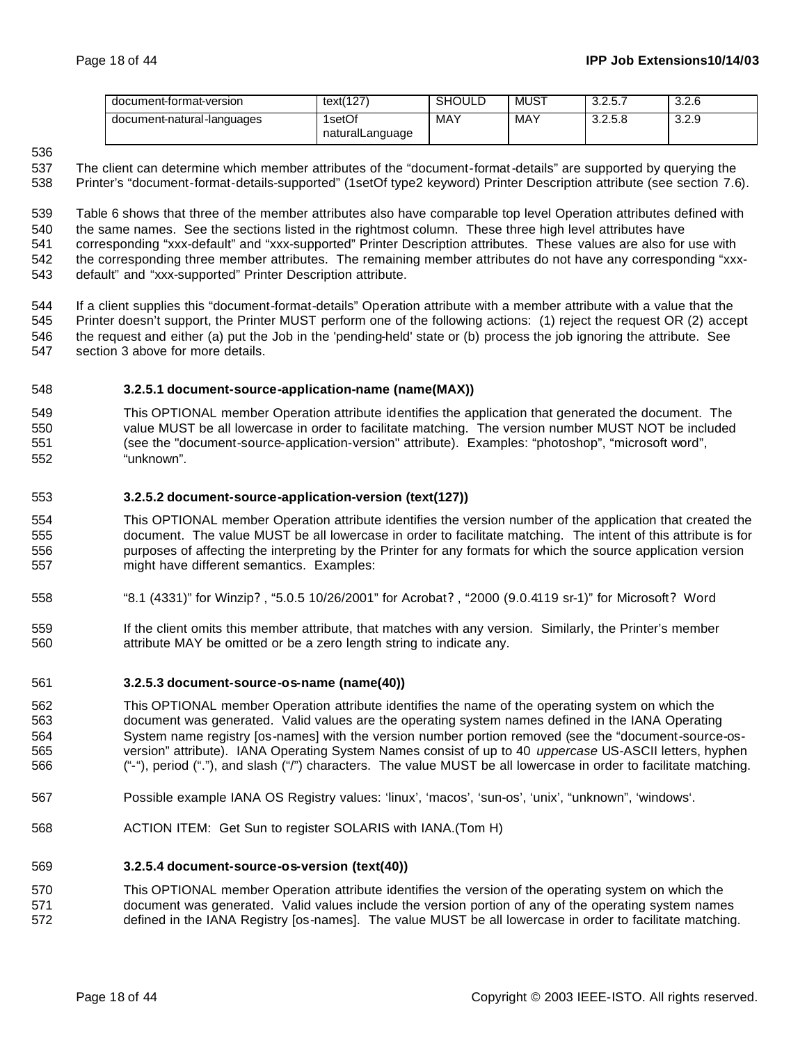| document-format-version    | text(127)                 | <b>SHOULD</b> | MUS <sub>1</sub> | 225<br>، ن. ۲. ب | 3.2.6 |
|----------------------------|---------------------------|---------------|------------------|------------------|-------|
| document-natural-languages | 1setOf<br>naturalLanguage | MAY           | MAY              | 3.2.5.8          | 3.2.9 |

### 

 The client can determine which member attributes of the "document-format-details" are supported by querying the Printer's "document-format-details-supported" (1setOf type2 keyword) Printer Description attribute (see section 7.6).

 Table 6 shows that three of the member attributes also have comparable top level Operation attributes defined with the same names. See the sections listed in the rightmost column. These three high level attributes have corresponding "xxx-default" and "xxx-supported" Printer Description attributes. These values are also for use with 542 the corresponding three member attributes. The remaining member attributes do not have any corresponding "xxx-default" and "xxx-supported" Printer Description attribute.

 If a client supplies this "document-format-details" Operation attribute with a member attribute with a value that the Printer doesn't support, the Printer MUST perform one of the following actions: (1) reject the request OR (2) accept the request and either (a) put the Job in the 'pending-held' state or (b) process the job ignoring the attribute. See section 3 above for more details.

#### **3.2.5.1 document-source-application-name (name(MAX))**

 This OPTIONAL member Operation attribute identifies the application that generated the document. The value MUST be all lowercase in order to facilitate matching. The version number MUST NOT be included (see the "document-source-application-version" attribute). Examples: "photoshop", "microsoft word", "unknown".

#### **3.2.5.2 document-source-application-version (text(127))**

 This OPTIONAL member Operation attribute identifies the version number of the application that created the document. The value MUST be all lowercase in order to facilitate matching. The intent of this attribute is for purposes of affecting the interpreting by the Printer for any formats for which the source application version might have different semantics. Examples:

- "8.1 (4331)" for Winzip? , "5.0.5 10/26/2001" for Acrobat? , "2000 (9.0.4119 sr-1)" for Microsoft? Word
- If the client omits this member attribute, that matches with any version. Similarly, the Printer's member attribute MAY be omitted or be a zero length string to indicate any.

#### **3.2.5.3 document-source-os-name (name(40))**

- This OPTIONAL member Operation attribute identifies the name of the operating system on which the document was generated. Valid values are the operating system names defined in the IANA Operating System name registry [os-names] with the version number portion removed (see the "document-source-os- version" attribute). IANA Operating System Names consist of up to 40 *uppercase* US-ASCII letters, hyphen ("-"), period ("."), and slash ("/") characters. The value MUST be all lowercase in order to facilitate matching.
- Possible example IANA OS Registry values: 'linux', 'macos', 'sun-os', 'unix', "unknown", 'windows'.
- ACTION ITEM: Get Sun to register SOLARIS with IANA.(Tom H)

#### **3.2.5.4 document-source-os-version (text(40))**

 This OPTIONAL member Operation attribute identifies the version of the operating system on which the document was generated. Valid values include the version portion of any of the operating system names defined in the IANA Registry [os-names]. The value MUST be all lowercase in order to facilitate matching.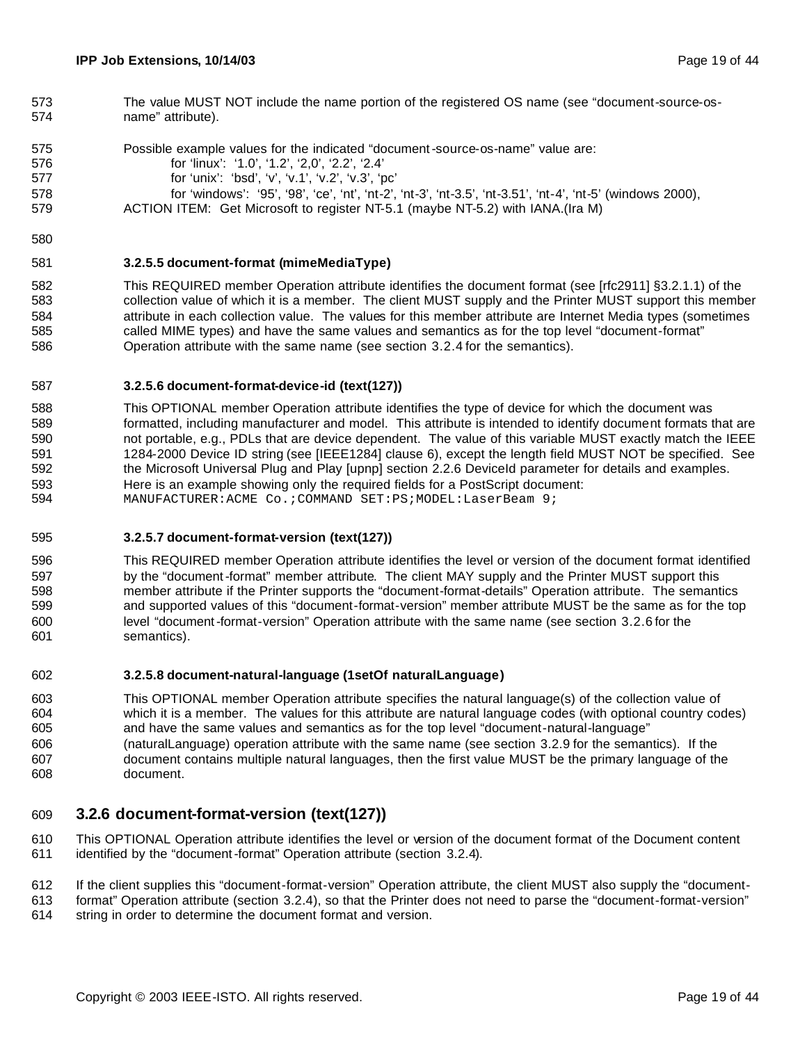- The value MUST NOT include the name portion of the registered OS name (see "document-source-os-name" attribute).
- Possible example values for the indicated "document-source-os-name" value are: for 'linux': '1.0', '1.2', '2,0', '2.2', '2.4' for 'unix': 'bsd', 'v', 'v.1', 'v.2', 'v.3', 'pc' for 'windows': '95', '98', 'ce', 'nt', 'nt-2', 'nt-3', 'nt-3.5', 'nt-3.51', 'nt-4', 'nt-5' (windows 2000), ACTION ITEM: Get Microsoft to register NT-5.1 (maybe NT-5.2) with IANA.(Ira M)
- 

#### **3.2.5.5 document-format (mimeMediaType)**

 This REQUIRED member Operation attribute identifies the document format (see [rfc2911] §3.2.1.1) of the collection value of which it is a member. The client MUST supply and the Printer MUST support this member attribute in each collection value. The values for this member attribute are Internet Media types (sometimes called MIME types) and have the same values and semantics as for the top level "document-format" Operation attribute with the same name (see section 3.2.4 for the semantics).

#### **3.2.5.6 document-format-device-id (text(127))**

 This OPTIONAL member Operation attribute identifies the type of device for which the document was formatted, including manufacturer and model. This attribute is intended to identify document formats that are not portable, e.g., PDLs that are device dependent. The value of this variable MUST exactly match the IEEE 1284-2000 Device ID string (see [IEEE1284] clause 6), except the length field MUST NOT be specified. See the Microsoft Universal Plug and Play [upnp] section 2.2.6 DeviceId parameter for details and examples. Here is an example showing only the required fields for a PostScript document: MANUFACTURER:ACME Co.;COMMAND SET:PS;MODEL:LaserBeam 9;

#### **3.2.5.7 document-format-version (text(127))**

 This REQUIRED member Operation attribute identifies the level or version of the document format identified by the "document-format" member attribute. The client MAY supply and the Printer MUST support this member attribute if the Printer supports the "document-format-details" Operation attribute. The semantics and supported values of this "document-format-version" member attribute MUST be the same as for the top level "document-format-version" Operation attribute with the same name (see section 3.2.6 for the semantics).

#### **3.2.5.8 document-natural-language (1setOf naturalLanguage)**

 This OPTIONAL member Operation attribute specifies the natural language(s) of the collection value of which it is a member. The values for this attribute are natural language codes (with optional country codes) and have the same values and semantics as for the top level "document-natural-language" (naturalLanguage) operation attribute with the same name (see section 3.2.9 for the semantics). If the document contains multiple natural languages, then the first value MUST be the primary language of the document.

#### **3.2.6 document-format-version (text(127))**

 This OPTIONAL Operation attribute identifies the level or version of the document format of the Document content identified by the "document-format" Operation attribute (section 3.2.4).

- If the client supplies this "document-format-version" Operation attribute, the client MUST also supply the "document-
- format" Operation attribute (section 3.2.4), so that the Printer does not need to parse the "document-format-version"
- string in order to determine the document format and version.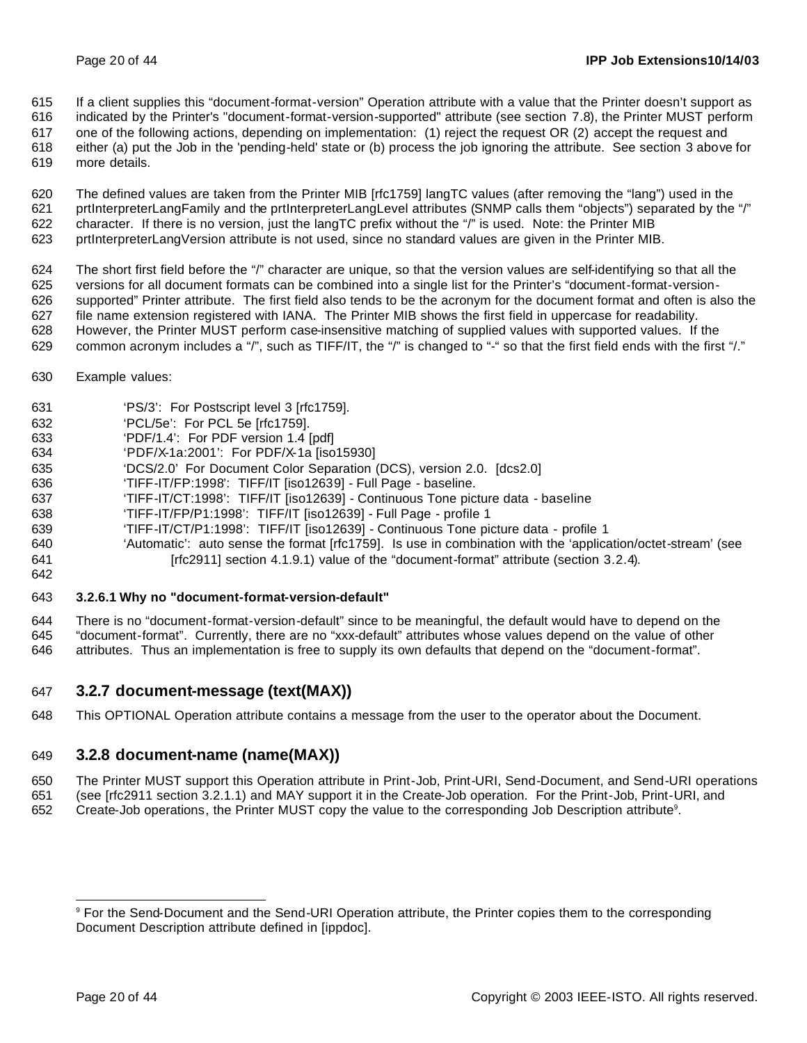If a client supplies this "document-format-version" Operation attribute with a value that the Printer doesn't support as

 indicated by the Printer's "document-format-version-supported" attribute (see section 7.8), the Printer MUST perform one of the following actions, depending on implementation: (1) reject the request OR (2) accept the request and

either (a) put the Job in the 'pending-held' state or (b) process the job ignoring the attribute. See section 3 above for

more details.

 The defined values are taken from the Printer MIB [rfc1759] langTC values (after removing the "lang") used in the prtInterpreterLangFamily and the prtInterpreterLangLevel attributes (SNMP calls them "objects") separated by the "/" character. If there is no version, just the langTC prefix without the "/" is used. Note: the Printer MIB prtInterpreterLangVersion attribute is not used, since no standard values are given in the Printer MIB.

 The short first field before the "/" character are unique, so that the version values are self-identifying so that all the versions for all document formats can be combined into a single list for the Printer's "document-format-version- supported" Printer attribute. The first field also tends to be the acronym for the document format and often is also the file name extension registered with IANA. The Printer MIB shows the first field in uppercase for readability. However, the Printer MUST perform case-insensitive matching of supplied values with supported values. If the

- 629 common acronym includes a "/", such as TIFF/IT, the "/" is changed to "-" so that the first field ends with the first "/."
- Example values:
- 'PS/3': For Postscript level 3 [rfc1759].
- 'PCL/5e': For PCL 5e [rfc1759].
- 'PDF/1.4': For PDF version 1.4 [pdf]
- 'PDF/X-1a:2001': For PDF/X-1a [iso15930]
- 'DCS/2.0' For Document Color Separation (DCS), version 2.0. [dcs2.0]
- 'TIFF-IT/FP:1998': TIFF/IT [iso12639] Full Page baseline.
- 'TIFF-IT/CT:1998': TIFF/IT [iso12639] Continuous Tone picture data baseline
- 'TIFF-IT/FP/P1:1998': TIFF/IT [iso12639] Full Page profile 1
- 'TIFF-IT/CT/P1:1998': TIFF/IT [iso12639] Continuous Tone picture data profile 1
- 'Automatic': auto sense the format [rfc1759]. Is use in combination with the 'application/octet-stream' (see **Francis** [rfc2911] section 4.1.9.1) value of the "document-format" attribute (section 3.2.4).
- 

#### **3.2.6.1 Why no "document-format-version-default"**

 There is no "document-format-version-default" since to be meaningful, the default would have to depend on the "document-format". Currently, there are no "xxx-default" attributes whose values depend on the value of other attributes. Thus an implementation is free to supply its own defaults that depend on the "document-format".

#### **3.2.7 document-message (text(MAX))**

This OPTIONAL Operation attribute contains a message from the user to the operator about the Document.

### **3.2.8 document-name (name(MAX))**

 The Printer MUST support this Operation attribute in Print-Job, Print-URI, Send-Document, and Send-URI operations (see [rfc2911 section 3.2.1.1) and MAY support it in the Create-Job operation. For the Print-Job, Print-URI, and 652 Create-Job operations, the Printer MUST copy the value to the corresponding Job Description attribute<sup>9</sup>.

 For the Send-Document and the Send-URI Operation attribute, the Printer copies them to the corresponding Document Description attribute defined in [ippdoc].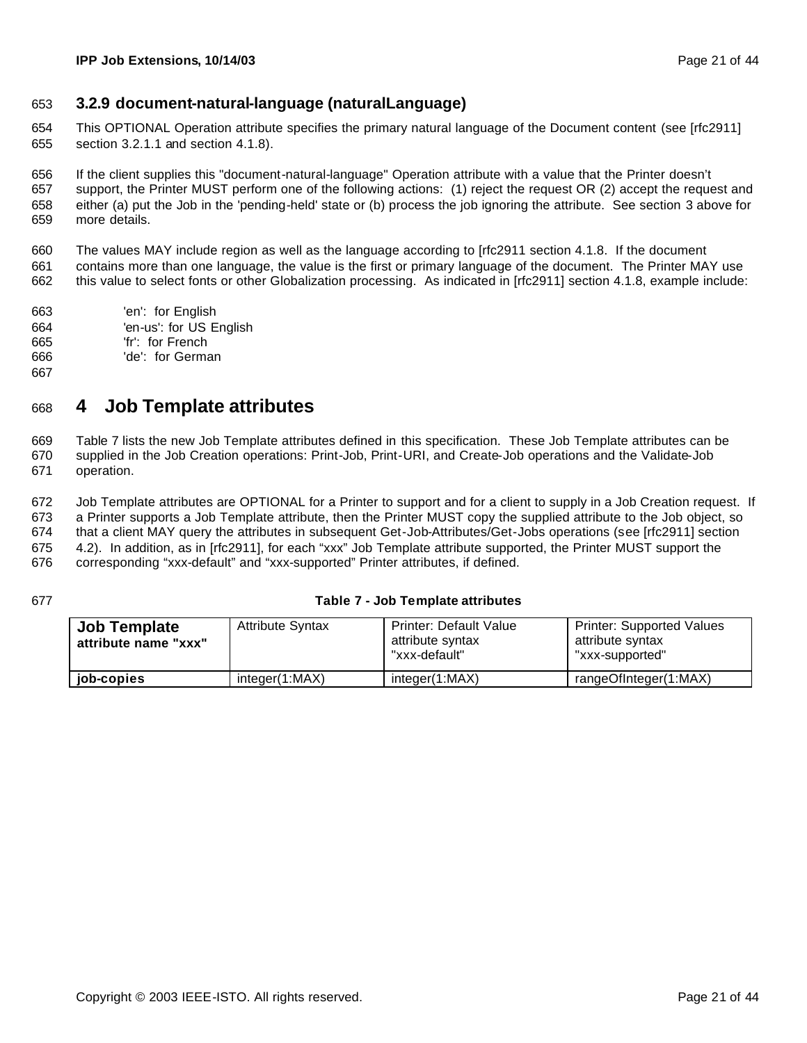### **3.2.9 document-natural-language (naturalLanguage)**

 This OPTIONAL Operation attribute specifies the primary natural language of the Document content (see [rfc2911] section 3.2.1.1 and section 4.1.8).

 If the client supplies this "document-natural-language" Operation attribute with a value that the Printer doesn't support, the Printer MUST perform one of the following actions: (1) reject the request OR (2) accept the request and either (a) put the Job in the 'pending-held' state or (b) process the job ignoring the attribute. See section 3 above for more details.

 The values MAY include region as well as the language according to [rfc2911 section 4.1.8. If the document contains more than one language, the value is the first or primary language of the document. The Printer MAY use this value to select fonts or other Globalization processing. As indicated in [rfc2911] section 4.1.8, example include:

- 'en': for English 'en-us': for US English 'fr': for French
- 'de': for German
- 

## **4 Job Template attributes**

 Table 7 lists the new Job Template attributes defined in this specification. These Job Template attributes can be supplied in the Job Creation operations: Print-Job, Print-URI, and Create-Job operations and the Validate-Job operation.

 Job Template attributes are OPTIONAL for a Printer to support and for a client to supply in a Job Creation request. If a Printer supports a Job Template attribute, then the Printer MUST copy the supplied attribute to the Job object, so that a client MAY query the attributes in subsequent Get-Job-Attributes/Get-Jobs operations (see [rfc2911] section 4.2). In addition, as in [rfc2911], for each "xxx" Job Template attribute supported, the Printer MUST support the corresponding "xxx-default" and "xxx-supported" Printer attributes, if defined.

#### **Table 7 - Job Template attributes**

| <b>Job Template</b><br>attribute name "xxx" | <b>Attribute Syntax</b> | <b>Printer: Default Value</b><br>attribute syntax<br>"xxx-default" | <b>Printer: Supported Values</b><br>attribute syntax<br>"xxx-supported" |
|---------------------------------------------|-------------------------|--------------------------------------------------------------------|-------------------------------------------------------------------------|
| job-copies                                  | integer(1:MAX)          | integer(1:MAX)                                                     | rangeOfInteger(1:MAX)                                                   |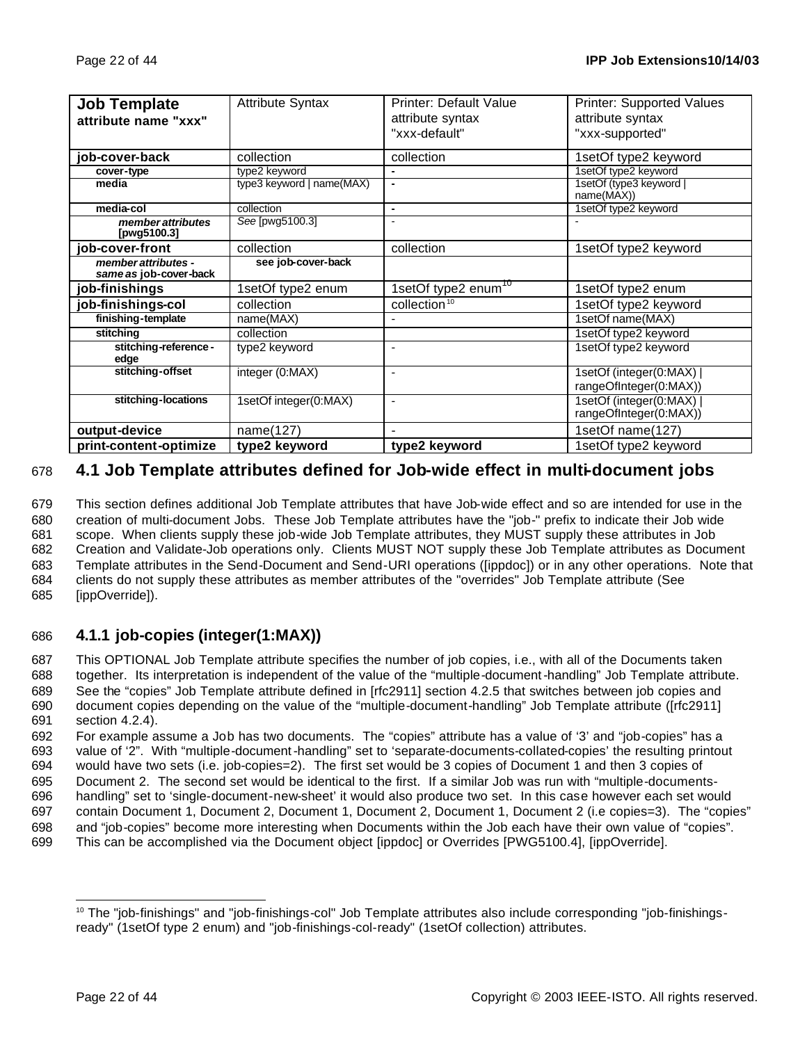| <b>Job Template</b>                           | <b>Attribute Syntax</b>   | <b>Printer: Default Value</b>   | Printer: Supported Values                          |
|-----------------------------------------------|---------------------------|---------------------------------|----------------------------------------------------|
| attribute name "xxx"                          |                           | attribute syntax                | attribute syntax                                   |
|                                               |                           | "xxx-default"                   | "xxx-supported"                                    |
| job-cover-back                                | collection                | collection                      | 1setOf type2 keyword                               |
| cover-type                                    | type2 keyword             | $\blacksquare$                  | 1setOf type2 keyword                               |
| media                                         | type3 keyword   name(MAX) | ٠                               | 1setOf (type3 keyword  <br>name(MAX))              |
| media-col                                     | collection                | $\blacksquare$                  | 1setOf type2 keyword                               |
| member attributes<br>[pwg5100.3]              | See [pwg5100.3]           | ٠                               |                                                    |
| job-cover-front                               | collection                | collection                      | 1setOf type2 keyword                               |
| member attributes -<br>same as job-cover-back | see job-cover-back        |                                 |                                                    |
| job-finishings                                | 1setOf type2 enum         | 1setOf type2 enum <sup>10</sup> | 1setOf type2 enum                                  |
| job-finishings-col                            | collection                | collection <sup>10</sup>        | 1setOf type2 keyword                               |
| finishing-template                            | name(MAX)                 |                                 | 1setOf name(MAX)                                   |
| stitching                                     | collection                |                                 | 1setOf type2 keyword                               |
| stitching-reference -<br>edge                 | type2 keyword             | $\overline{\phantom{a}}$        | 1setOf type2 keyword                               |
| stitching-offset                              | integer (0:MAX)           | $\sim$                          | 1setOf (integer(0:MAX)  <br>rangeOfInteger(0:MAX)) |
| stitching-locations                           | 1setOf integer(0:MAX)     | $\blacksquare$                  | 1setOf (integer(0:MAX)  <br>rangeOfInteger(0:MAX)) |
| output-device                                 | name(127)                 |                                 | 1setOf name(127)                                   |
| print-content-optimize                        | type2 keyword             | type2 keyword                   | 1setOf type2 keyword                               |

## 678 **4.1 Job Template attributes defined for Job-wide effect in multi-document jobs**

 This section defines additional Job Template attributes that have Job-wide effect and so are intended for use in the creation of multi-document Jobs. These Job Template attributes have the "job-" prefix to indicate their Job wide scope. When clients supply these job-wide Job Template attributes, they MUST supply these attributes in Job Creation and Validate-Job operations only. Clients MUST NOT supply these Job Template attributes as Document Template attributes in the Send-Document and Send-URI operations ([ippdoc]) or in any other operations. Note that clients do not supply these attributes as member attributes of the "overrides" Job Template attribute (See [ippOverride]).

## 686 **4.1.1 job-copies (integer(1:MAX))**

 This OPTIONAL Job Template attribute specifies the number of job copies, i.e., with all of the Documents taken together. Its interpretation is independent of the value of the "multiple-document-handling" Job Template attribute. See the "copies" Job Template attribute defined in [rfc2911] section 4.2.5 that switches between job copies and document copies depending on the value of the "multiple-document-handling" Job Template attribute ([rfc2911] section 4.2.4).

 For example assume a Job has two documents. The "copies" attribute has a value of '3' and "job-copies" has a value of '2". With "multiple-document-handling" set to 'separate-documents-collated-copies' the resulting printout would have two sets (i.e. job-copies=2). The first set would be 3 copies of Document 1 and then 3 copies of Document 2. The second set would be identical to the first. If a similar Job was run with "multiple-documents- handling" set to 'single-document-new-sheet' it would also produce two set. In this case however each set would contain Document 1, Document 2, Document 1, Document 2, Document 1, Document 2 (i.e copies=3). The "copies" and "job-copies" become more interesting when Documents within the Job each have their own value of "copies". This can be accomplished via the Document object [ippdoc] or Overrides [PWG5100.4], [ippOverride].

 <sup>10</sup> The "job-finishings" and "job-finishings-col" Job Template attributes also include corresponding "job-finishingsready" (1setOf type 2 enum) and "job-finishings-col-ready" (1setOf collection) attributes.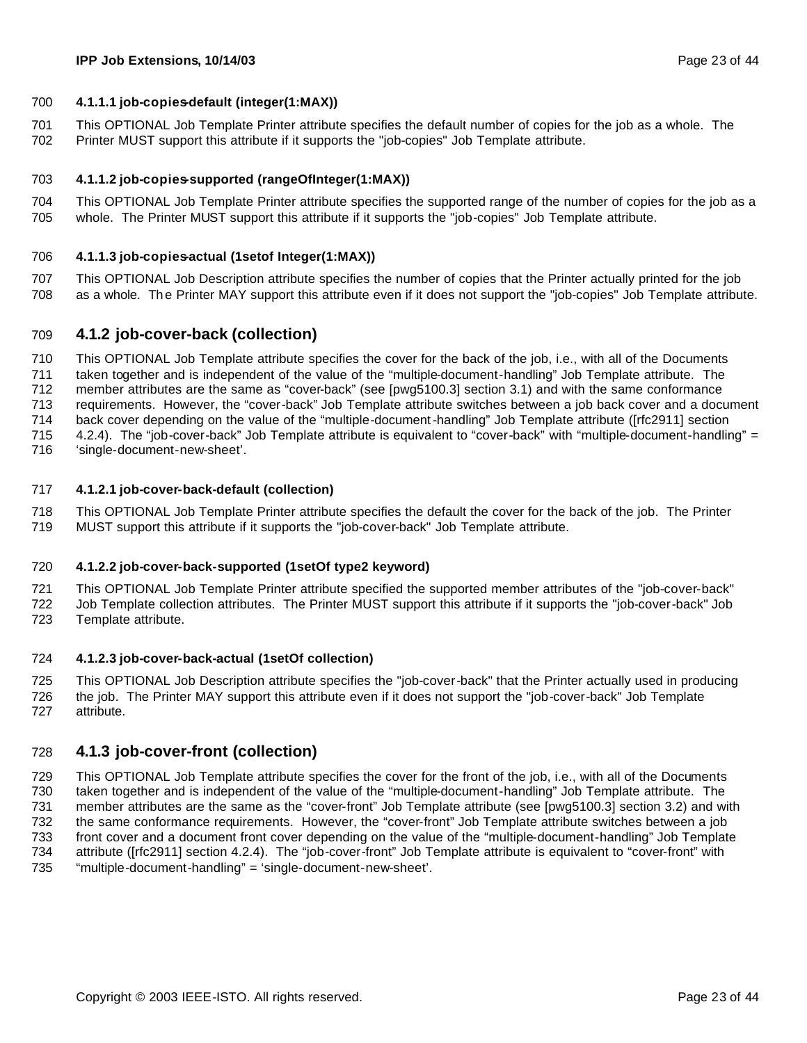#### **4.1.1.1 job-copies-default (integer(1:MAX))**

 This OPTIONAL Job Template Printer attribute specifies the default number of copies for the job as a whole. The Printer MUST support this attribute if it supports the "job-copies" Job Template attribute.

#### **4.1.1.2 job-copies-supported (rangeOfInteger(1:MAX))**

 This OPTIONAL Job Template Printer attribute specifies the supported range of the number of copies for the job as a whole. The Printer MUST support this attribute if it supports the "job-copies" Job Template attribute.

#### **4.1.1.3 job-copies-actual (1setof Integer(1:MAX))**

 This OPTIONAL Job Description attribute specifies the number of copies that the Printer actually printed for the job as a whole. Th e Printer MAY support this attribute even if it does not support the "job-copies" Job Template attribute.

#### **4.1.2 job-cover-back (collection)**

 This OPTIONAL Job Template attribute specifies the cover for the back of the job, i.e., with all of the Documents taken together and is independent of the value of the "multiple-document-handling" Job Template attribute. The member attributes are the same as "cover-back" (see [pwg5100.3] section 3.1) and with the same conformance requirements. However, the "cover-back" Job Template attribute switches between a job back cover and a document back cover depending on the value of the "multiple-document-handling" Job Template attribute ([rfc2911] section 4.2.4). The "job-cover-back" Job Template attribute is equivalent to "cover-back" with "multiple-document-handling" =

'single-document-new-sheet'.

#### **4.1.2.1 job-cover-back-default (collection)**

 This OPTIONAL Job Template Printer attribute specifies the default the cover for the back of the job. The Printer MUST support this attribute if it supports the "job-cover-back" Job Template attribute.

#### **4.1.2.2 job-cover-back-supported (1setOf type2 keyword)**

 This OPTIONAL Job Template Printer attribute specified the supported member attributes of the "job-cover-back" Job Template collection attributes. The Printer MUST support this attribute if it supports the "job-cover-back" Job Template attribute.

#### **4.1.2.3 job-cover-back-actual (1setOf collection)**

 This OPTIONAL Job Description attribute specifies the "job-cover-back" that the Printer actually used in producing the job. The Printer MAY support this attribute even if it does not support the "job-cover-back" Job Template attribute.

#### **4.1.3 job-cover-front (collection)**

 This OPTIONAL Job Template attribute specifies the cover for the front of the job, i.e., with all of the Documents taken together and is independent of the value of the "multiple-document-handling" Job Template attribute. The member attributes are the same as the "cover-front" Job Template attribute (see [pwg5100.3] section 3.2) and with the same conformance requirements. However, the "cover-front" Job Template attribute switches between a job front cover and a document front cover depending on the value of the "multiple-document-handling" Job Template attribute ([rfc2911] section 4.2.4). The "job-cover-front" Job Template attribute is equivalent to "cover-front" with "multiple-document-handling" = 'single-document-new-sheet'.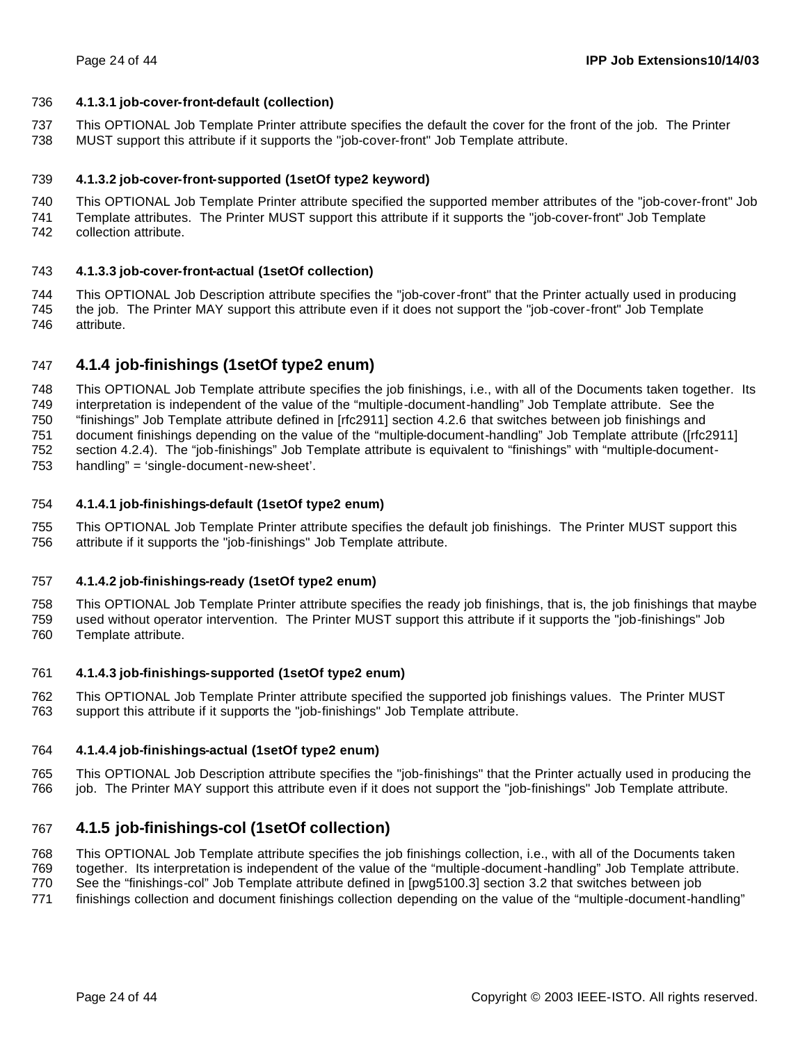#### **4.1.3.1 job-cover-front-default (collection)**

 This OPTIONAL Job Template Printer attribute specifies the default the cover for the front of the job. The Printer MUST support this attribute if it supports the "job-cover-front" Job Template attribute.

#### **4.1.3.2 job-cover-front-supported (1setOf type2 keyword)**

 This OPTIONAL Job Template Printer attribute specified the supported member attributes of the "job-cover-front" Job Template attributes. The Printer MUST support this attribute if it supports the "job-cover-front" Job Template collection attribute.

#### **4.1.3.3 job-cover-front-actual (1setOf collection)**

 This OPTIONAL Job Description attribute specifies the "job-cover-front" that the Printer actually used in producing the job. The Printer MAY support this attribute even if it does not support the "job-cover-front" Job Template attribute.

### **4.1.4 job-finishings (1setOf type2 enum)**

 This OPTIONAL Job Template attribute specifies the job finishings, i.e., with all of the Documents taken together. Its interpretation is independent of the value of the "multiple-document-handling" Job Template attribute. See the "finishings" Job Template attribute defined in [rfc2911] section 4.2.6 that switches between job finishings and document finishings depending on the value of the "multiple-document-handling" Job Template attribute ([rfc2911] section 4.2.4). The "job-finishings" Job Template attribute is equivalent to "finishings" with "multiple-document-handling" = 'single-document-new-sheet'.

#### **4.1.4.1 job-finishings-default (1setOf type2 enum)**

 This OPTIONAL Job Template Printer attribute specifies the default job finishings. The Printer MUST support this attribute if it supports the "job-finishings" Job Template attribute.

#### **4.1.4.2 job-finishings-ready (1setOf type2 enum)**

 This OPTIONAL Job Template Printer attribute specifies the ready job finishings, that is, the job finishings that maybe used without operator intervention. The Printer MUST support this attribute if it supports the "job-finishings" Job Template attribute.

#### **4.1.4.3 job-finishings-supported (1setOf type2 enum)**

 This OPTIONAL Job Template Printer attribute specified the supported job finishings values. The Printer MUST support this attribute if it supports the "job-finishings" Job Template attribute.

#### **4.1.4.4 job-finishings-actual (1setOf type2 enum)**

 This OPTIONAL Job Description attribute specifies the "job-finishings" that the Printer actually used in producing the job. The Printer MAY support this attribute even if it does not support the "job-finishings" Job Template attribute.

### **4.1.5 job-finishings-col (1setOf collection)**

This OPTIONAL Job Template attribute specifies the job finishings collection, i.e., with all of the Documents taken

together. Its interpretation is independent of the value of the "multiple-document-handling" Job Template attribute.

See the "finishings-col" Job Template attribute defined in [pwg5100.3] section 3.2 that switches between job

finishings collection and document finishings collection depending on the value of the "multiple-document-handling"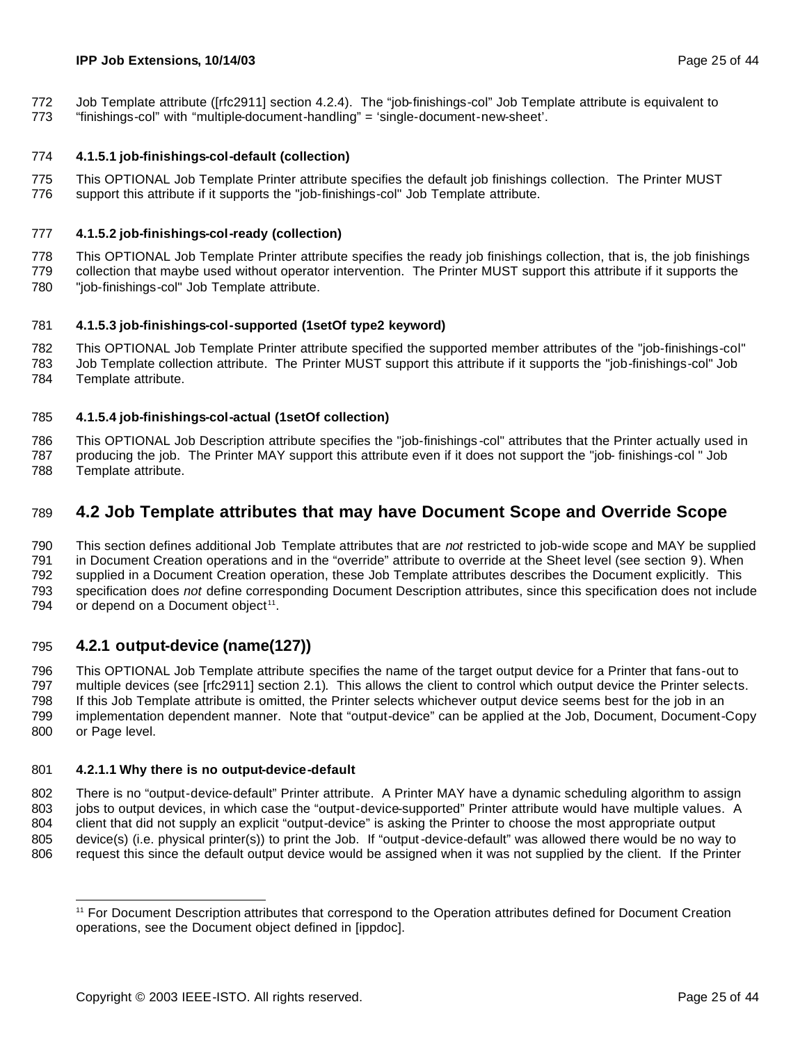#### **IPP Job Extensions, 10/14/03** Page 25 of 44

- Job Template attribute ([rfc2911] section 4.2.4). The "job-finishings-col" Job Template attribute is equivalent to
- "finishings-col" with "multiple-document-handling" = 'single-document-new-sheet'.

#### **4.1.5.1 job-finishings-col-default (collection)**

 This OPTIONAL Job Template Printer attribute specifies the default job finishings collection. The Printer MUST support this attribute if it supports the "job-finishings-col" Job Template attribute.

#### **4.1.5.2 job-finishings-col-ready (collection)**

 This OPTIONAL Job Template Printer attribute specifies the ready job finishings collection, that is, the job finishings collection that maybe used without operator intervention. The Printer MUST support this attribute if it supports the

"job-finishings-col" Job Template attribute.

#### **4.1.5.3 job-finishings-col-supported (1setOf type2 keyword)**

 This OPTIONAL Job Template Printer attribute specified the supported member attributes of the "job-finishings-col" Job Template collection attribute. The Printer MUST support this attribute if it supports the "job-finishings-col" Job

Template attribute.

#### **4.1.5.4 job-finishings-col-actual (1setOf collection)**

 This OPTIONAL Job Description attribute specifies the "job-finishings -col" attributes that the Printer actually used in producing the job. The Printer MAY support this attribute even if it does not support the "job- finishings-col " Job Template attribute.

## **4.2 Job Template attributes that may have Document Scope and Override Scope**

 This section defines additional Job Template attributes that are *not* restricted to job-wide scope and MAY be supplied in Document Creation operations and in the "override" attribute to override at the Sheet level (see section 9). When supplied in a Document Creation operation, these Job Template attributes describes the Document explicitly. This specification does *not* define corresponding Document Description attributes, since this specification does not include 794 or depend on a Document object<sup>11</sup>.

### **4.2.1 output-device (name(127))**

 This OPTIONAL Job Template attribute specifies the name of the target output device for a Printer that fans-out to multiple devices (see [rfc2911] section 2.1). This allows the client to control which output device the Printer selects. If this Job Template attribute is omitted, the Printer selects whichever output device seems best for the job in an implementation dependent manner. Note that "output-device" can be applied at the Job, Document, Document-Copy or Page level.

#### **4.2.1.1 Why there is no output-device-default**

 There is no "output-device-default" Printer attribute. A Printer MAY have a dynamic scheduling algorithm to assign jobs to output devices, in which case the "output-device-supported" Printer attribute would have multiple values. A client that did not supply an explicit "output-device" is asking the Printer to choose the most appropriate output device(s) (i.e. physical printer(s)) to print the Job. If "output-device-default" was allowed there would be no way to request this since the default output device would be assigned when it was not supplied by the client. If the Printer

 For Document Description attributes that correspond to the Operation attributes defined for Document Creation operations, see the Document object defined in [ippdoc].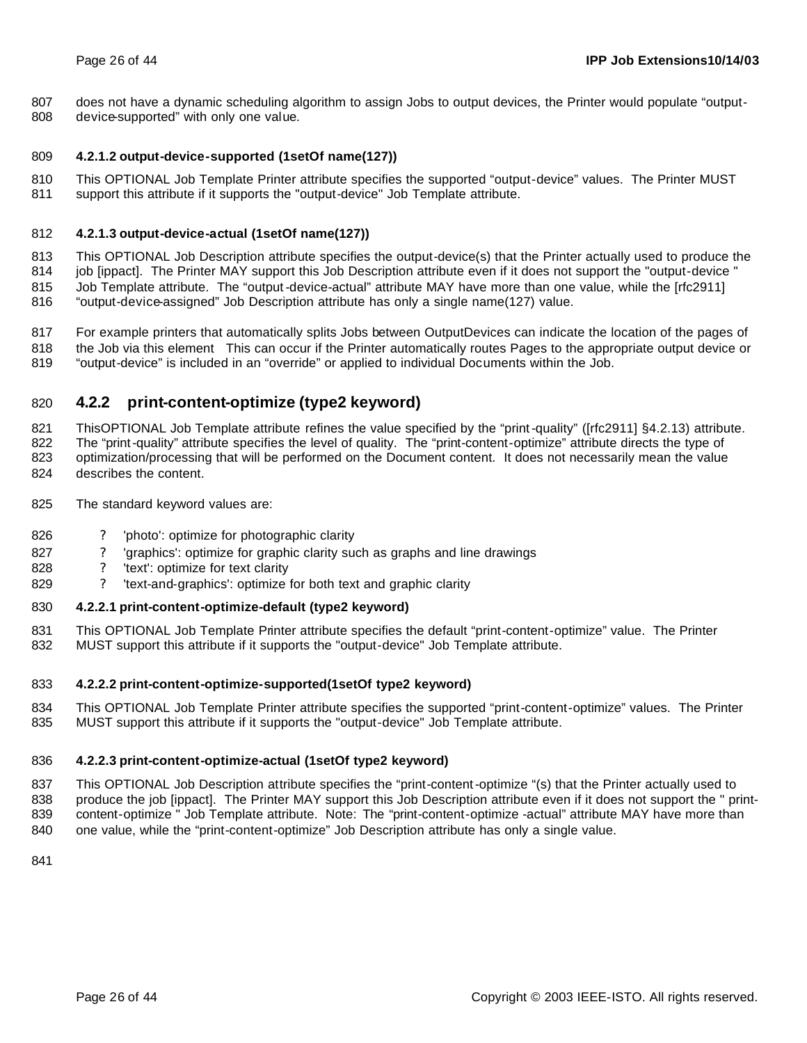does not have a dynamic scheduling algorithm to assign Jobs to output devices, the Printer would populate "output-

device-supported" with only one value.

#### **4.2.1.2 output-device-supported (1setOf name(127))**

 This OPTIONAL Job Template Printer attribute specifies the supported "output-device" values. The Printer MUST support this attribute if it supports the "output-device" Job Template attribute.

#### **4.2.1.3 output-device-actual (1setOf name(127))**

 This OPTIONAL Job Description attribute specifies the output-device(s) that the Printer actually used to produce the job [ippact]. The Printer MAY support this Job Description attribute even if it does not support the "output-device " Job Template attribute. The "output-device-actual" attribute MAY have more than one value, while the [rfc2911] "output-device-assigned" Job Description attribute has only a single name(127) value.

 For example printers that automatically splits Jobs between OutputDevices can indicate the location of the pages of the Job via this element This can occur if the Printer automatically routes Pages to the appropriate output device or "output-device" is included in an "override" or applied to individual Documents within the Job.

## **4.2.2 print-content-optimize (type2 keyword)**

821 ThisOPTIONAL Job Template attribute refines the value specified by the "print-quality" ([rfc2911] §4.2.13) attribute. The "print-quality" attribute specifies the level of quality. The "print-content-optimize" attribute directs the type of optimization/processing that will be performed on the Document content. It does not necessarily mean the value describes the content.

- The standard keyword values are:
- 
- 826 ? 'photo': optimize for photographic clarity
- ? 'graphics': optimize for graphic clarity such as graphs and line drawings
- ? 'text': optimize for text clarity
- ? 'text-and-graphics': optimize for both text and graphic clarity

#### **4.2.2.1 print-content-optimize-default (type2 keyword)**

 This OPTIONAL Job Template Printer attribute specifies the default "print-content-optimize" value. The Printer MUST support this attribute if it supports the "output-device" Job Template attribute.

#### **4.2.2.2 print-content-optimize-supported(1setOf type2 keyword)**

 This OPTIONAL Job Template Printer attribute specifies the supported "print-content-optimize" values. The Printer MUST support this attribute if it supports the "output-device" Job Template attribute.

#### **4.2.2.3 print-content-optimize-actual (1setOf type2 keyword)**

 This OPTIONAL Job Description attribute specifies the "print-content-optimize "(s) that the Printer actually used to 838 produce the job [ippact]. The Printer MAY support this Job Description attribute even if it does not support the " print- content-optimize " Job Template attribute. Note: The "print-content-optimize -actual" attribute MAY have more than one value, while the "print-content-optimize" Job Description attribute has only a single value.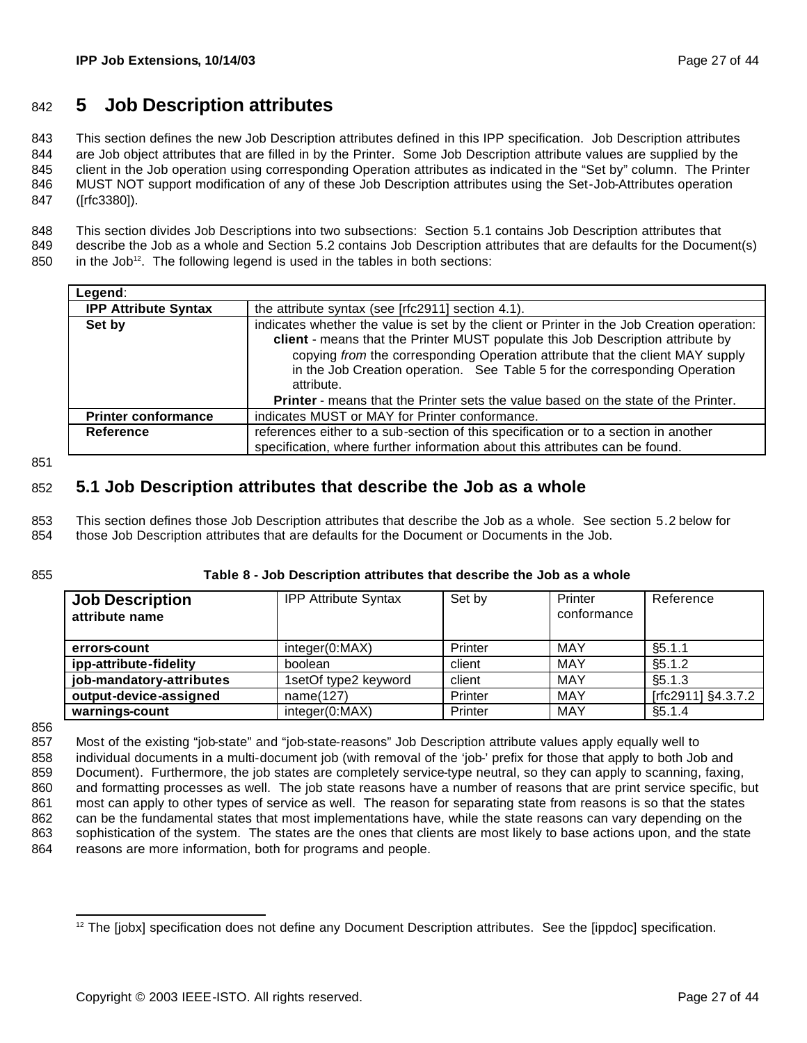## <sup>842</sup> **5 Job Description attributes**

 This section defines the new Job Description attributes defined in this IPP specification. Job Description attributes are Job object attributes that are filled in by the Printer. Some Job Description attribute values are supplied by the client in the Job operation using corresponding Operation attributes as indicated in the "Set by" column. The Printer MUST NOT support modification of any of these Job Description attributes using the Set-Job-Attributes operation ([rfc3380]).

848 This section divides Job Descriptions into two subsections: Section 5.1 contains Job Description attributes that 849 describe the Job as a whole and Section 5.2 contains Job Description attributes that are defaults for the Document(s)

 $850$  in the Job<sup>12</sup>. The following legend is used in the tables in both sections:

| Legend:                     |                                                                                                                                                                                                                                                                                                                                                            |
|-----------------------------|------------------------------------------------------------------------------------------------------------------------------------------------------------------------------------------------------------------------------------------------------------------------------------------------------------------------------------------------------------|
| <b>IPP Attribute Syntax</b> | the attribute syntax (see [rfc2911] section 4.1).                                                                                                                                                                                                                                                                                                          |
| Set by                      | indicates whether the value is set by the client or Printer in the Job Creation operation:<br>client - means that the Printer MUST populate this Job Description attribute by<br>copying from the corresponding Operation attribute that the client MAY supply<br>in the Job Creation operation. See Table 5 for the corresponding Operation<br>attribute. |
|                             | <b>Printer</b> - means that the Printer sets the value based on the state of the Printer.                                                                                                                                                                                                                                                                  |
| <b>Printer conformance</b>  | indicates MUST or MAY for Printer conformance.                                                                                                                                                                                                                                                                                                             |
| <b>Reference</b>            | references either to a sub-section of this specification or to a section in another<br>specification, where further information about this attributes can be found.                                                                                                                                                                                        |

851

## 852 **5.1 Job Description attributes that describe the Job as a whole**

853 This section defines those Job Description attributes that describe the Job as a whole. See section 5.2 below for 854 those Job Description attributes that are defaults for the Document or Documents in the Job.

#### 855 **Table 8 - Job Description attributes that describe the Job as a whole**

| <b>Job Description</b><br>attribute name | <b>IPP Attribute Syntax</b> | Set by  | Printer<br>conformance | Reference          |
|------------------------------------------|-----------------------------|---------|------------------------|--------------------|
| errors-count                             | integer(0:MAX)              | Printer | MAY                    | §5.1.1             |
| ipp-attribute-fidelity                   | boolean                     | client  | MAY                    | §5.1.2             |
| job-mandatory-attributes                 | 1setOf type2 keyword        | client  | MAY                    | §5.1.3             |
| output-device-assigned                   | name(127)                   | Printer | MAY                    | [rfc2911] §4.3.7.2 |
| warnings-count                           | integer(0:MAX)              | Printer | MAY                    | §5.1.4             |

856

 Most of the existing "job-state" and "job-state-reasons" Job Description attribute values apply equally well to 858 individual documents in a multi-document job (with removal of the 'job-' prefix for those that apply to both Job and Document). Furthermore, the job states are completely service-type neutral, so they can apply to scanning, faxing, and formatting processes as well. The job state reasons have a number of reasons that are print service specific, but most can apply to other types of service as well. The reason for separating state from reasons is so that the states can be the fundamental states that most implementations have, while the state reasons can vary depending on the sophistication of the system. The states are the ones that clients are most likely to base actions upon, and the state 864 reasons are more information, both for programs and people.

 <sup>12</sup> The [jobx] specification does not define any Document Description attributes. See the [ippdoc] specification.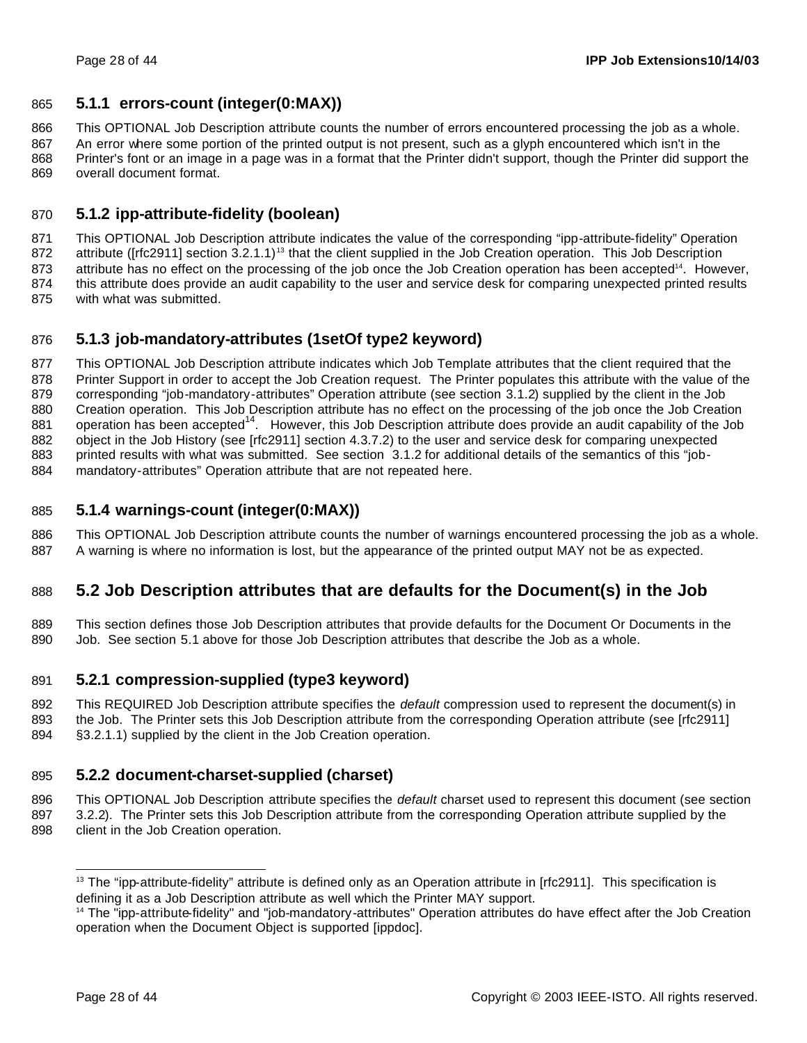### **5.1.1 errors-count (integer(0:MAX))**

 This OPTIONAL Job Description attribute counts the number of errors encountered processing the job as a whole. An error where some portion of the printed output is not present, such as a glyph encountered which isn't in the

868 Printer's font or an image in a page was in a format that the Printer didn't support, though the Printer did support the overall document format.

### **5.1.2 ipp-attribute-fidelity (boolean)**

 This OPTIONAL Job Description attribute indicates the value of the corresponding "ipp-attribute-fidelity" Operation 872 attribute ( $[rfc2911]$  section 3.2.1.1)<sup>13</sup> that the client supplied in the Job Creation operation. This Job Description 873 attribute has no effect on the processing of the job once the Job Creation operation has been accepted<sup>14</sup>. However, this attribute does provide an audit capability to the user and service desk for comparing unexpected printed results with what was submitted.

### **5.1.3 job-mandatory-attributes (1setOf type2 keyword)**

 This OPTIONAL Job Description attribute indicates which Job Template attributes that the client required that the 878 Printer Support in order to accept the Job Creation request. The Printer populates this attribute with the value of the corresponding "job-mandatory-attributes" Operation attribute (see section 3.1.2) supplied by the client in the Job Creation operation. This Job Description attribute has no effect on the processing of the job once the Job Creation operation has been accepted<sup>14</sup>. However, this Job Description attribute does provide an audit capability of the Job object in the Job History (see [rfc2911] section 4.3.7.2) to the user and service desk for comparing unexpected printed results with what was submitted. See section 3.1.2 for additional details of the semantics of this "job-mandatory-attributes" Operation attribute that are not repeated here.

### **5.1.4 warnings-count (integer(0:MAX))**

 This OPTIONAL Job Description attribute counts the number of warnings encountered processing the job as a whole. A warning is where no information is lost, but the appearance of the printed output MAY not be as expected.

### **5.2 Job Description attributes that are defaults for the Document(s) in the Job**

 This section defines those Job Description attributes that provide defaults for the Document Or Documents in the Job. See section 5.1 above for those Job Description attributes that describe the Job as a whole.

### **5.2.1 compression-supplied (type3 keyword)**

 This REQUIRED Job Description attribute specifies the *default* compression used to represent the document(s) in the Job. The Printer sets this Job Description attribute from the corresponding Operation attribute (see [rfc2911] §3.2.1.1) supplied by the client in the Job Creation operation.

## **5.2.2 document-charset-supplied (charset)**

This OPTIONAL Job Description attribute specifies the *default* charset used to represent this document (see section

 3.2.2). The Printer sets this Job Description attribute from the corresponding Operation attribute supplied by the client in the Job Creation operation.

 The "ipp-attribute-fidelity" attribute is defined only as an Operation attribute in [rfc2911]. This specification is defining it as a Job Description attribute as well which the Printer MAY support.

<sup>&</sup>lt;sup>14</sup> The "ipp-attribute-fidelity" and "job-mandatory-attributes" Operation attributes do have effect after the Job Creation operation when the Document Object is supported [ippdoc].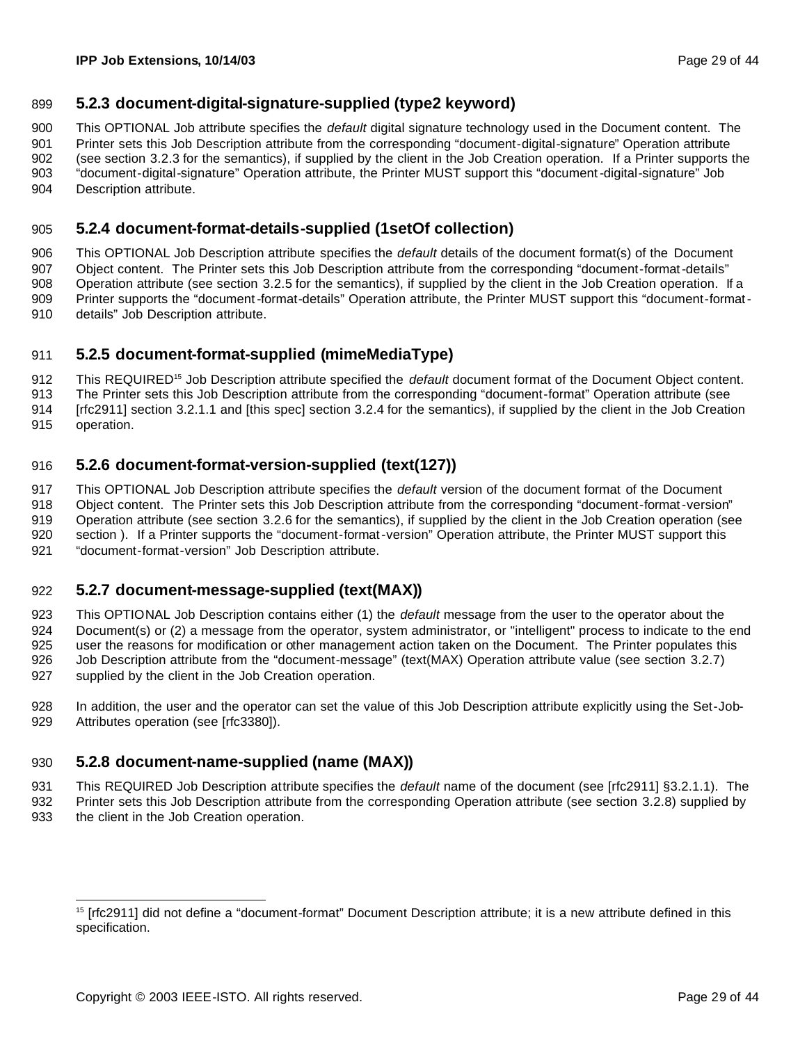### **5.2.3 document-digital-signature-supplied (type2 keyword)**

This OPTIONAL Job attribute specifies the *default* digital signature technology used in the Document content. The

 Printer sets this Job Description attribute from the corresponding "document-digital-signature" Operation attribute (see section 3.2.3 for the semantics), if supplied by the client in the Job Creation operation. If a Printer supports the "document-digital-signature" Operation attribute, the Printer MUST support this "document-digital-signature" Job

Description attribute.

### **5.2.4 document-format-details-supplied (1setOf collection)**

 This OPTIONAL Job Description attribute specifies the *default* details of the document format(s) of the Document Object content. The Printer sets this Job Description attribute from the corresponding "document-format-details" Operation attribute (see section 3.2.5 for the semantics), if supplied by the client in the Job Creation operation. If a Printer supports the "document-format-details" Operation attribute, the Printer MUST support this "document-format-details" Job Description attribute.

### **5.2.5 document-format-supplied (mimeMediaType)**

912 This REQUIRED<sup>15</sup> Job Description attribute specified the *default* document format of the Document Object content.

The Printer sets this Job Description attribute from the corresponding "document-format" Operation attribute (see

[rfc2911] section 3.2.1.1 and [this spec] section 3.2.4 for the semantics), if supplied by the client in the Job Creation

operation.

### **5.2.6 document-format-version-supplied (text(127))**

This OPTIONAL Job Description attribute specifies the *default* version of the document format of the Document

Object content. The Printer sets this Job Description attribute from the corresponding "document-format-version"

Operation attribute (see section 3.2.6 for the semantics), if supplied by the client in the Job Creation operation (see

section ). If a Printer supports the "document-format-version" Operation attribute, the Printer MUST support this

"document-format-version" Job Description attribute.

### **5.2.7 document-message-supplied (text(MAX))**

 This OPTIONAL Job Description contains either (1) the *default* message from the user to the operator about the Document(s) or (2) a message from the operator, system administrator, or "intelligent" process to indicate to the end user the reasons for modification or other management action taken on the Document. The Printer populates this Job Description attribute from the "document-message" (text(MAX) Operation attribute value (see section 3.2.7) supplied by the client in the Job Creation operation.

 In addition, the user and the operator can set the value of this Job Description attribute explicitly using the Set-Job-929 Attributes operation (see [rfc3380]).

### **5.2.8 document-name-supplied (name (MAX))**

 This REQUIRED Job Description attribute specifies the *default* name of the document (see [rfc2911] §3.2.1.1). The Printer sets this Job Description attribute from the corresponding Operation attribute (see section 3.2.8) supplied by the client in the Job Creation operation.

 <sup>15</sup> [rfc2911] did not define a "document-format" Document Description attribute; it is a new attribute defined in this specification.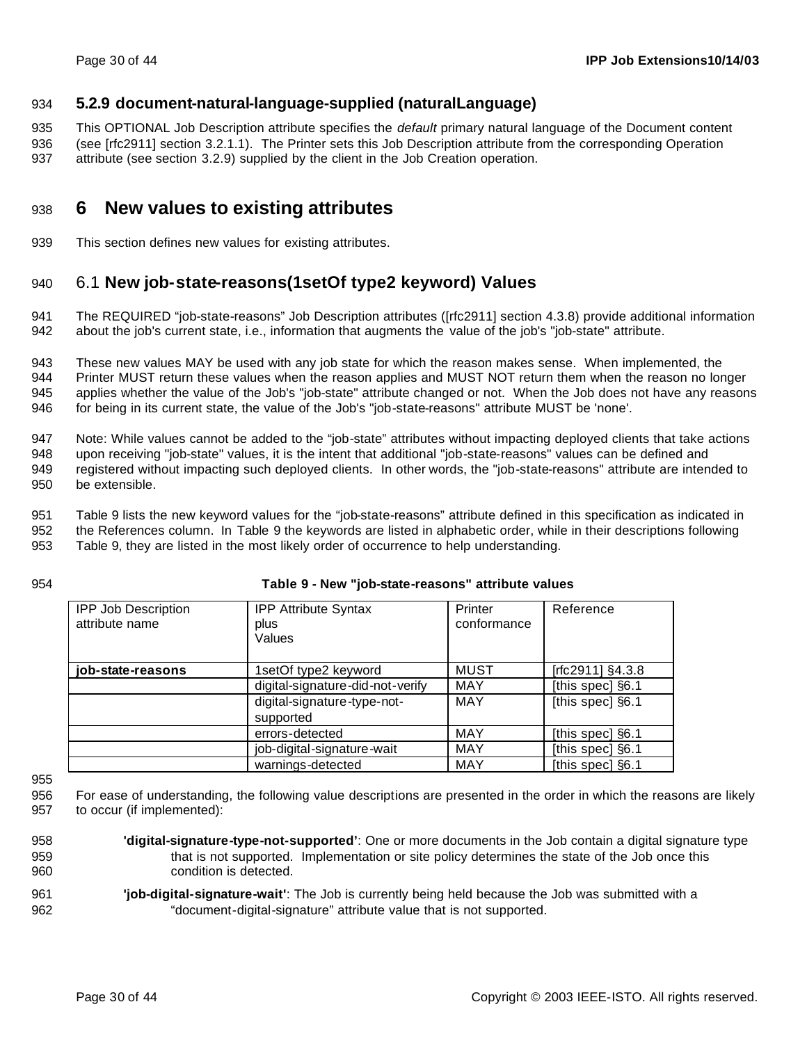### **5.2.9 document-natural-language-supplied (naturalLanguage)**

 This OPTIONAL Job Description attribute specifies the *default* primary natural language of the Document content (see [rfc2911] section 3.2.1.1). The Printer sets this Job Description attribute from the corresponding Operation

attribute (see section 3.2.9) supplied by the client in the Job Creation operation.

## **6 New values to existing attributes**

This section defines new values for existing attributes.

## 6.1 **New job-state-reasons(1setOf type2 keyword) Values**

 The REQUIRED "job-state-reasons" Job Description attributes ([rfc2911] section 4.3.8) provide additional information about the job's current state, i.e., information that augments the value of the job's "job-state" attribute.

 These new values MAY be used with any job state for which the reason makes sense. When implemented, the Printer MUST return these values when the reason applies and MUST NOT return them when the reason no longer applies whether the value of the Job's "job-state" attribute changed or not. When the Job does not have any reasons for being in its current state, the value of the Job's "job-state-reasons" attribute MUST be 'none'.

 Note: While values cannot be added to the "job-state" attributes without impacting deployed clients that take actions upon receiving "job-state" values, it is the intent that additional "job-state-reasons" values can be defined and registered without impacting such deployed clients. In other words, the "job-state-reasons" attribute are intended to be extensible.

 Table 9 lists the new keyword values for the "job-state-reasons" attribute defined in this specification as indicated in the References column. In Table 9 the keywords are listed in alphabetic order, while in their descriptions following

Table 9, they are listed in the most likely order of occurrence to help understanding.

#### **Table 9 - New "job-state-reasons" attribute values**

| <b>IPP Job Description</b><br>attribute name | <b>IPP Attribute Syntax</b><br>plus<br>Values | Printer<br>conformance | Reference        |
|----------------------------------------------|-----------------------------------------------|------------------------|------------------|
| job-state-reasons                            | 1setOf type2 keyword                          | <b>MUST</b>            | [rfc2911] §4.3.8 |
|                                              | digital-signature-did-not-verify              | <b>MAY</b>             | [this spec] §6.1 |
|                                              | digital-signature-type-not-<br>supported      | <b>MAY</b>             | [this spec] §6.1 |
|                                              | errors-detected                               | <b>MAY</b>             | [this spec] §6.1 |
|                                              | job-digital-signature-wait                    | <b>MAY</b>             | [this spec] §6.1 |
|                                              | warnings-detected                             | <b>MAY</b>             | [this spec] §6.1 |

 For ease of understanding, the following value descriptions are presented in the order in which the reasons are likely to occur (if implemented):

- **'digital-signature-type-not-supported'**: One or more documents in the Job contain a digital signature type that is not supported. Implementation or site policy determines the state of the Job once this condition is detected.
- **'job-digital-signature-wait'**: The Job is currently being held because the Job was submitted with a "document-digital-signature" attribute value that is not supported.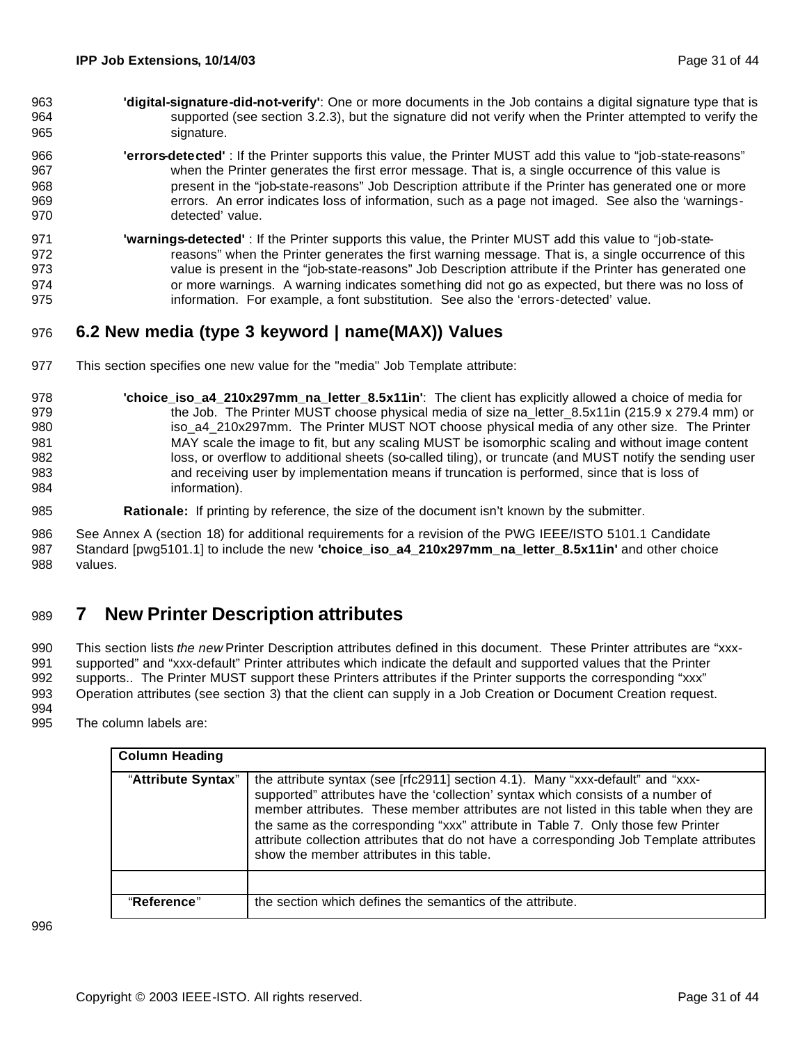- **'digital-signature-did-not-verify'**: One or more documents in the Job contains a digital signature type that is supported (see section 3.2.3), but the signature did not verify when the Printer attempted to verify the 965 signature.
- **'errors-detected'** : If the Printer supports this value, the Printer MUST add this value to "job-state-reasons" when the Printer generates the first error message. That is, a single occurrence of this value is present in the "job-state-reasons" Job Description attribute if the Printer has generated one or more errors. An error indicates loss of information, such as a page not imaged. See also the 'warnings-detected' value.
- **'warnings-detected'** : If the Printer supports this value, the Printer MUST add this value to "job-state-972 reasons" when the Printer generates the first warning message. That is, a single occurrence of this value is present in the "job-state-reasons" Job Description attribute if the Printer has generated one or more warnings. A warning indicates something did not go as expected, but there was no loss of information. For example, a font substitution. See also the 'errors-detected' value.

## **6.2 New media (type 3 keyword | name(MAX)) Values**

- This section specifies one new value for the "media" Job Template attribute:
- **'choice\_iso\_a4\_210x297mm\_na\_letter\_8.5x11in'**: The client has explicitly allowed a choice of media for 979 the Job. The Printer MUST choose physical media of size na\_letter\_8.5x11in (215.9 x 279.4 mm) or 980 iso\_a4\_210x297mm. The Printer MUST NOT choose physical media of any other size. The Printer MAY scale the image to fit, but any scaling MUST be isomorphic scaling and without image content 982 loss, or overflow to additional sheets (so-called tiling), or truncate (and MUST notify the sending user and receiving user by implementation means if truncation is performed, since that is loss of information).
- **Rationale:** If printing by reference, the size of the document isn't known by the submitter.

 See Annex A (section 18) for additional requirements for a revision of the PWG IEEE/ISTO 5101.1 Candidate Standard [pwg5101.1] to include the new **'choice\_iso\_a4\_210x297mm\_na\_letter\_8.5x11in'** and other choice values.

# **7 New Printer Description attributes**

 This section lists *the new* Printer Description attributes defined in this document. These Printer attributes are "xxx- supported" and "xxx-default" Printer attributes which indicate the default and supported values that the Printer supports.. The Printer MUST support these Printers attributes if the Printer supports the corresponding "xxx" Operation attributes (see section 3) that the client can supply in a Job Creation or Document Creation request. 

The column labels are:

| <b>Column Heading</b> |                                                                                                                                                                                                                                                                                                                                                                                                                                                                                          |
|-----------------------|------------------------------------------------------------------------------------------------------------------------------------------------------------------------------------------------------------------------------------------------------------------------------------------------------------------------------------------------------------------------------------------------------------------------------------------------------------------------------------------|
| "Attribute Syntax"    | the attribute syntax (see [rfc2911] section 4.1). Many "xxx-default" and "xxx-<br>supported" attributes have the 'collection' syntax which consists of a number of<br>member attributes. These member attributes are not listed in this table when they are<br>the same as the corresponding "xxx" attribute in Table 7. Only those few Printer<br>attribute collection attributes that do not have a corresponding Job Template attributes<br>show the member attributes in this table. |
|                       |                                                                                                                                                                                                                                                                                                                                                                                                                                                                                          |
| "Reference"           | the section which defines the semantics of the attribute.                                                                                                                                                                                                                                                                                                                                                                                                                                |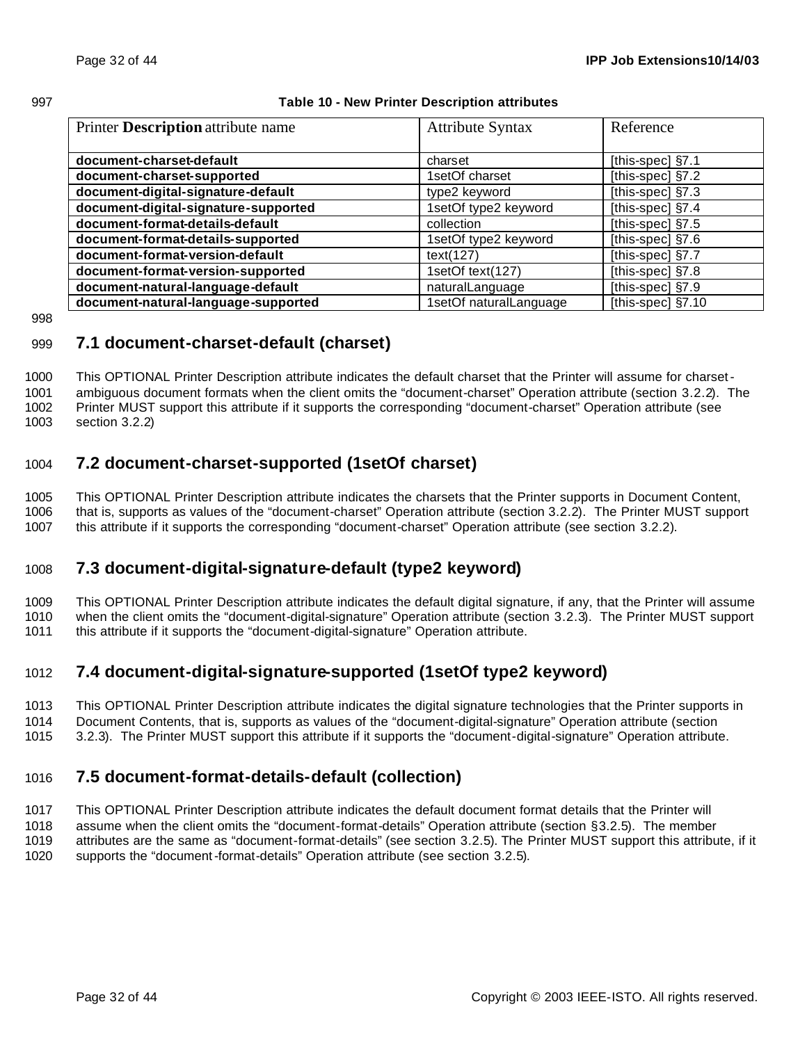#### **Table 10 - New Printer Description attributes**

| Printer Description attribute name   | <b>Attribute Syntax</b> | Reference          |
|--------------------------------------|-------------------------|--------------------|
|                                      |                         |                    |
| document-charset-default             | charset                 | [this-spec] §7.1   |
| document-charset-supported           | 1setOf charset          | [this-spec] §7.2   |
| document-digital-signature-default   | type2 keyword           | [this-spec] §7.3   |
| document-digital-signature-supported | 1setOf type2 keyword    | [this-spec] §7.4   |
| document-format-details-default      | collection              | [this-spec] §7.5   |
| document-format-details-supported    | 1setOf type2 keyword    | [this-spec] $§7.6$ |
| document-format-version-default      | text(127)               | [this-spec] §7.7   |
| document-format-version-supported    | 1setOf text(127)        | [this-spec] §7.8   |
| document-natural-language-default    | naturalLanguage         | [this-spec] §7.9   |
| document-natural-language-supported  | 1setOf naturalLanguage  | [this-spec] §7.10  |

## **7.1 document-charset-default (charset)**

 This OPTIONAL Printer Description attribute indicates the default charset that the Printer will assume for charset- ambiguous document formats when the client omits the "document-charset" Operation attribute (section 3.2.2). The Printer MUST support this attribute if it supports the corresponding "document-charset" Operation attribute (see section 3.2.2)

## **7.2 document-charset-supported (1setOf charset)**

 This OPTIONAL Printer Description attribute indicates the charsets that the Printer supports in Document Content, that is, supports as values of the "document-charset" Operation attribute (section 3.2.2). The Printer MUST support 1007 this attribute if it supports the corresponding "document-charset" Operation attribute (see section 3.2.2).

## **7.3 document-digital-signature-default (type2 keyword)**

 This OPTIONAL Printer Description attribute indicates the default digital signature, if any, that the Printer will assume when the client omits the "document-digital-signature" Operation attribute (section 3.2.3). The Printer MUST support this attribute if it supports the "document-digital-signature" Operation attribute.

## **7.4 document-digital-signature-supported (1setOf type2 keyword)**

- This OPTIONAL Printer Description attribute indicates the digital signature technologies that the Printer supports in
- Document Contents, that is, supports as values of the "document-digital-signature" Operation attribute (section
- 3.2.3). The Printer MUST support this attribute if it supports the "document-digital-signature" Operation attribute.

## **7.5 document-format-details-default (collection)**

This OPTIONAL Printer Description attribute indicates the default document format details that the Printer will

- assume when the client omits the "document-format-details" Operation attribute (section §3.2.5). The member
- attributes are the same as "document-format-details" (see section 3.2.5). The Printer MUST support this attribute, if it
- supports the "document-format-details" Operation attribute (see section 3.2.5).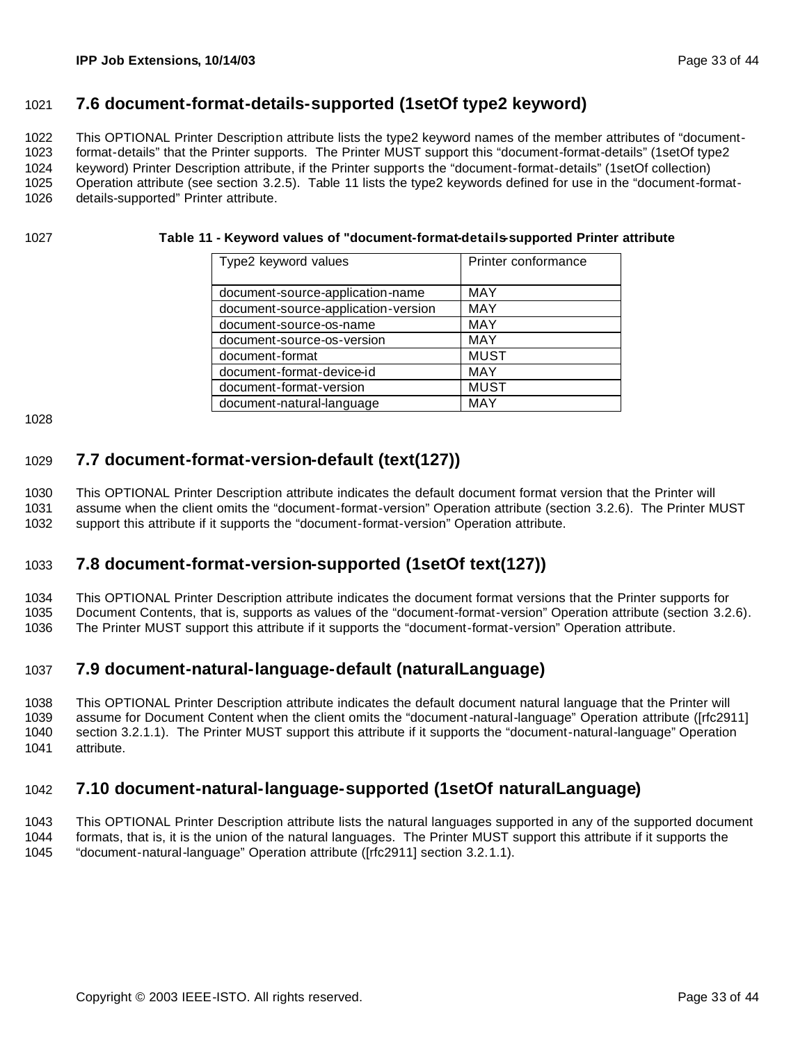### **7.6 document-format-details-supported (1setOf type2 keyword)**

This OPTIONAL Printer Description attribute lists the type2 keyword names of the member attributes of "document-

 format-details" that the Printer supports. The Printer MUST support this "document-format-details" (1setOf type2 keyword) Printer Description attribute, if the Printer supports the "document-format-details" (1setOf collection) Operation attribute (see section 3.2.5). Table 11 lists the type2 keywords defined for use in the "document-format-

details-supported" Printer attribute.

#### **Table 11 - Keyword values of "document-format-details-supported Printer attribute**

| Type2 keyword values                | Printer conformance |
|-------------------------------------|---------------------|
|                                     |                     |
| document-source-application-name    | <b>MAY</b>          |
| document-source-application-version | <b>MAY</b>          |
| document-source-os-name             | <b>MAY</b>          |
| document-source-os-version          | <b>MAY</b>          |
| document-format                     | <b>MUST</b>         |
| document-format-device-id           | <b>MAY</b>          |
| document-format-version             | <b>MUST</b>         |
| document-natural-language           | MAY                 |

## **7.7 document-format-version-default (text(127))**

 This OPTIONAL Printer Description attribute indicates the default document format version that the Printer will assume when the client omits the "document-format-version" Operation attribute (section 3.2.6). The Printer MUST support this attribute if it supports the "document-format-version" Operation attribute.

## **7.8 document-format-version-supported (1setOf text(127))**

This OPTIONAL Printer Description attribute indicates the document format versions that the Printer supports for

Document Contents, that is, supports as values of the "document-format-version" Operation attribute (section 3.2.6).

The Printer MUST support this attribute if it supports the "document-format-version" Operation attribute.

## **7.9 document-natural-language-default (naturalLanguage)**

 This OPTIONAL Printer Description attribute indicates the default document natural language that the Printer will assume for Document Content when the client omits the "document-natural-language" Operation attribute ([rfc2911] section 3.2.1.1). The Printer MUST support this attribute if it supports the "document-natural-language" Operation attribute.

## **7.10 document-natural-language-supported (1setOf naturalLanguage)**

 This OPTIONAL Printer Description attribute lists the natural languages supported in any of the supported document formats, that is, it is the union of the natural languages. The Printer MUST support this attribute if it supports the

"document-natural-language" Operation attribute ([rfc2911] section 3.2.1.1).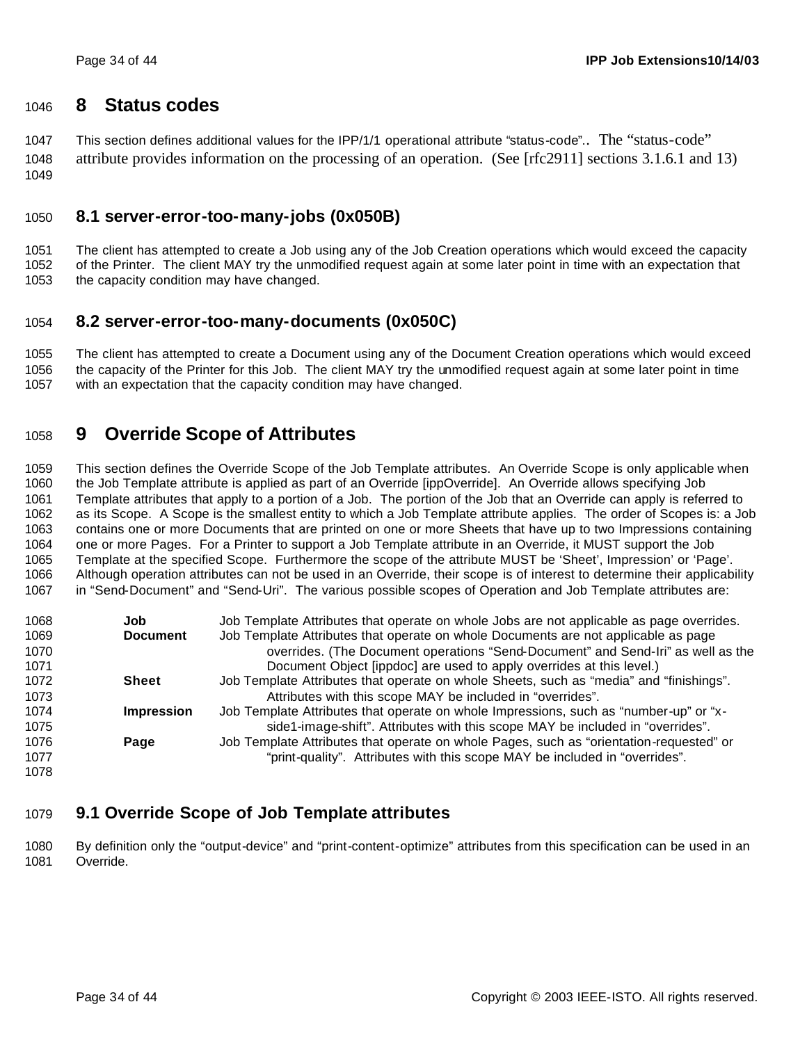### **8 Status codes**

 This section defines additional values for the IPP/1/1 operational attribute "status-code".. The "status-code" attribute provides information on the processing of an operation. (See [rfc2911] sections 3.1.6.1 and 13) 

### **8.1 server-error-too-many-jobs (0x050B)**

 The client has attempted to create a Job using any of the Job Creation operations which would exceed the capacity of the Printer. The client MAY try the unmodified request again at some later point in time with an expectation that the capacity condition may have changed.

### **8.2 server-error-too-many-documents (0x050C)**

 The client has attempted to create a Document using any of the Document Creation operations which would exceed the capacity of the Printer for this Job. The client MAY try the unmodified request again at some later point in time with an expectation that the capacity condition may have changed.

## **9 Override Scope of Attributes**

 This section defines the Override Scope of the Job Template attributes. An Override Scope is only applicable when the Job Template attribute is applied as part of an Override [ippOverride]. An Override allows specifying Job Template attributes that apply to a portion of a Job. The portion of the Job that an Override can apply is referred to as its Scope. A Scope is the smallest entity to which a Job Template attribute applies. The order of Scopes is: a Job contains one or more Documents that are printed on one or more Sheets that have up to two Impressions containing one or more Pages. For a Printer to support a Job Template attribute in an Override, it MUST support the Job Template at the specified Scope. Furthermore the scope of the attribute MUST be 'Sheet', Impression' or 'Page'. Although operation attributes can not be used in an Override, their scope is of interest to determine their applicability in "Send-Document" and "Send-Uri". The various possible scopes of Operation and Job Template attributes are:

| 1068 | Job               | Job Template Attributes that operate on whole Jobs are not applicable as page overrides. |
|------|-------------------|------------------------------------------------------------------------------------------|
| 1069 | <b>Document</b>   | Job Template Attributes that operate on whole Documents are not applicable as page       |
| 1070 |                   | overrides. (The Document operations "Send-Document" and Send-Iri" as well as the         |
| 1071 |                   | Document Object [ippdoc] are used to apply overrides at this level.)                     |
| 1072 | Sheet             | Job Template Attributes that operate on whole Sheets, such as "media" and "finishings".  |
| 1073 |                   | Attributes with this scope MAY be included in "overrides".                               |
| 1074 | <b>Impression</b> | Job Template Attributes that operate on whole Impressions, such as "number-up" or "x-    |
| 1075 |                   | side1-image-shift". Attributes with this scope MAY be included in "overrides".           |
| 1076 | Page              | Job Template Attributes that operate on whole Pages, such as "orientation-requested" or  |
| 1077 |                   | "print-quality". Attributes with this scope MAY be included in "overrides".              |
| 1078 |                   |                                                                                          |

## **9.1 Override Scope of Job Template attributes**

 By definition only the "output-device" and "print-content-optimize" attributes from this specification can be used in an Override.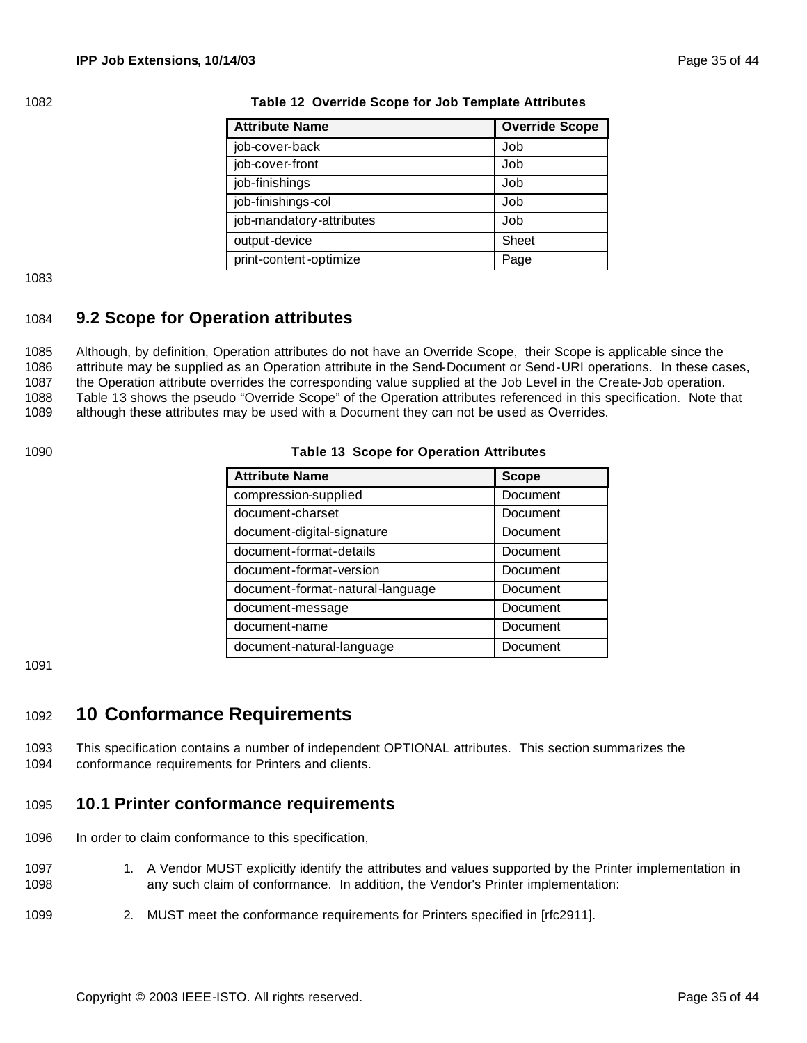| <b>Attribute Name</b>    | <b>Override Scope</b> |
|--------------------------|-----------------------|
| job-cover-back           | Job                   |
| job-cover-front          | Job                   |
| job-finishings           | Job                   |
| job-finishings-col       | Job                   |
| job-mandatory-attributes | Job                   |
| output-device            | Sheet                 |
| print-content-optimize   | Page                  |

#### 1082 **Table 12 Override Scope for Job Template Attributes**

1083

### 1084 **9.2 Scope for Operation attributes**

 Although, by definition, Operation attributes do not have an Override Scope, their Scope is applicable since the attribute may be supplied as an Operation attribute in the Send-Document or Send-URI operations. In these cases, the Operation attribute overrides the corresponding value supplied at the Job Level in the Create-Job operation. Table 13 shows the pseudo "Override Scope" of the Operation attributes referenced in this specification. Note that although these attributes may be used with a Document they can not be used as Overrides.

#### 1090 **Table 13 Scope for Operation Attributes**

| <b>Attribute Name</b>            | <b>Scope</b> |
|----------------------------------|--------------|
| compression-supplied             | Document     |
| document-charset                 | Document     |
| document-digital-signature       | Document     |
| document-format-details          | Document     |
| document-format-version          | Document     |
| document-format-natural-language | Document     |
| document-message                 | Document     |
| document-name                    | Document     |
| document-natural-language        | Document     |

1091

## <sup>1092</sup> **10 Conformance Requirements**

1093 This specification contains a number of independent OPTIONAL attributes. This section summarizes the 1094 conformance requirements for Printers and clients.

### 1095 **10.1 Printer conformance requirements**

- 1096 In order to claim conformance to this specification,
- 1097 1. A Vendor MUST explicitly identify the attributes and values supported by the Printer implementation in 1098 any such claim of conformance. In addition, the Vendor's Printer implementation:
- 1099 2. MUST meet the conformance requirements for Printers specified in [rfc2911].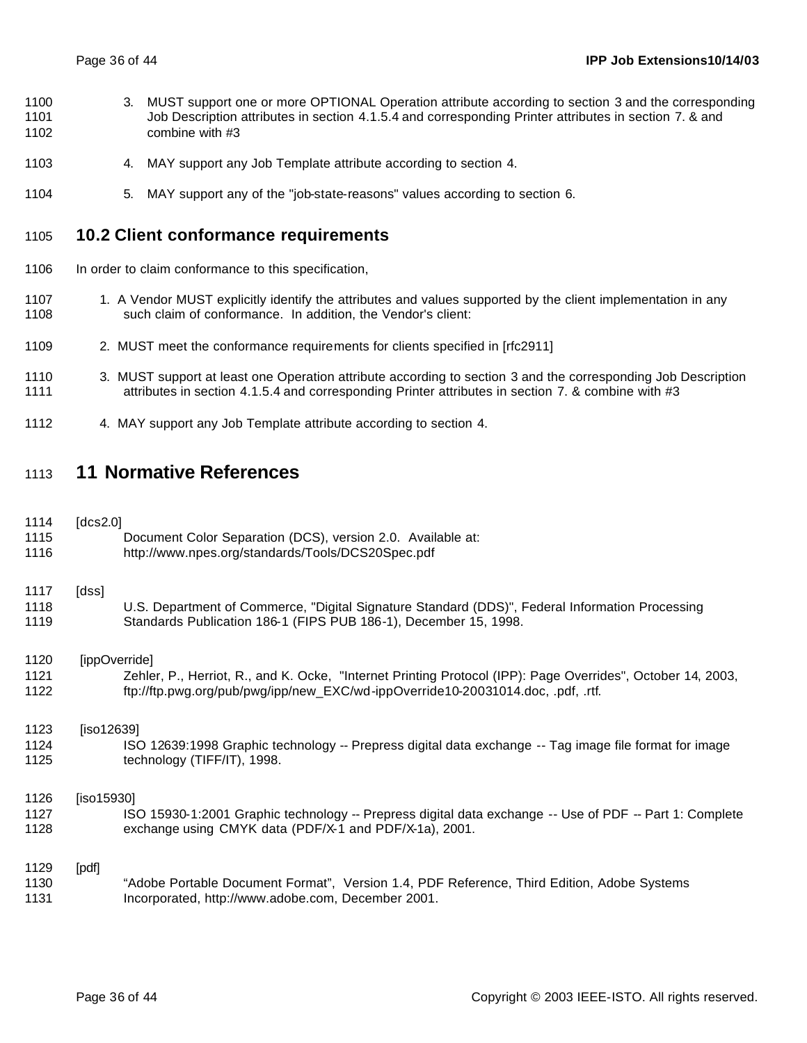- 3. MUST support one or more OPTIONAL Operation attribute according to section 3 and the corresponding 1101 Job Description attributes in section 4.1.5.4 and corresponding Printer attributes in section 7. & and combine with #3
- 4. MAY support any Job Template attribute according to section 4.
- 5. MAY support any of the "job-state-reasons" values according to section 6.

#### **10.2 Client conformance requirements**

- 1106 In order to claim conformance to this specification,
- 1107 1. A Vendor MUST explicitly identify the attributes and values supported by the client implementation in any such claim of conformance. In addition, the Vendor's client:
- 2. MUST meet the conformance requirements for clients specified in [rfc2911]
- 3. MUST support at least one Operation attribute according to section 3 and the corresponding Job Description 1111 attributes in section 4.1.5.4 and corresponding Printer attributes in section 7. & combine with #3
- 4. MAY support any Job Template attribute according to section 4.

## **11 Normative References**

| 1114<br>1115 | [ $dcs2.0$ ]  | Document Color Separation (DCS), version 2.0. Available at:                                                                                                         |
|--------------|---------------|---------------------------------------------------------------------------------------------------------------------------------------------------------------------|
| 1116         |               | http://www.npes.org/standards/Tools/DCS20Spec.pdf                                                                                                                   |
| 1117         | [dss]         |                                                                                                                                                                     |
| 1118<br>1119 |               | U.S. Department of Commerce, "Digital Signature Standard (DDS)", Federal Information Processing<br>Standards Publication 186-1 (FIPS PUB 186-1), December 15, 1998. |
| 1120         | [ippOverride] |                                                                                                                                                                     |
| 1121         |               | Zehler, P., Herriot, R., and K. Ocke, "Internet Printing Protocol (IPP): Page Overrides", October 14, 2003,                                                         |
| 1122         |               | ftp://ftp.pwg.org/pub/pwg/ipp/new_EXC/wd-ippOverride10-20031014.doc, .pdf, .rtf.                                                                                    |
| 1123         | [iso12639]    |                                                                                                                                                                     |
| 1124<br>1125 |               | ISO 12639:1998 Graphic technology -- Prepress digital data exchange -- Tag image file format for image<br>technology (TIFF/IT), 1998.                               |
| 1126         | [iso15930]    |                                                                                                                                                                     |
| 1127         |               | ISO 15930-1:2001 Graphic technology -- Prepress digital data exchange -- Use of PDF -- Part 1: Complete                                                             |
| 1128         |               | exchange using CMYK data (PDF/X-1 and PDF/X-1a), 2001.                                                                                                              |
| 1129         | [pdf]         |                                                                                                                                                                     |
| 1130         |               | "Adobe Portable Document Format", Version 1.4, PDF Reference, Third Edition, Adobe Systems                                                                          |
| 1131         |               | Incorporated, http://www.adobe.com, December 2001.                                                                                                                  |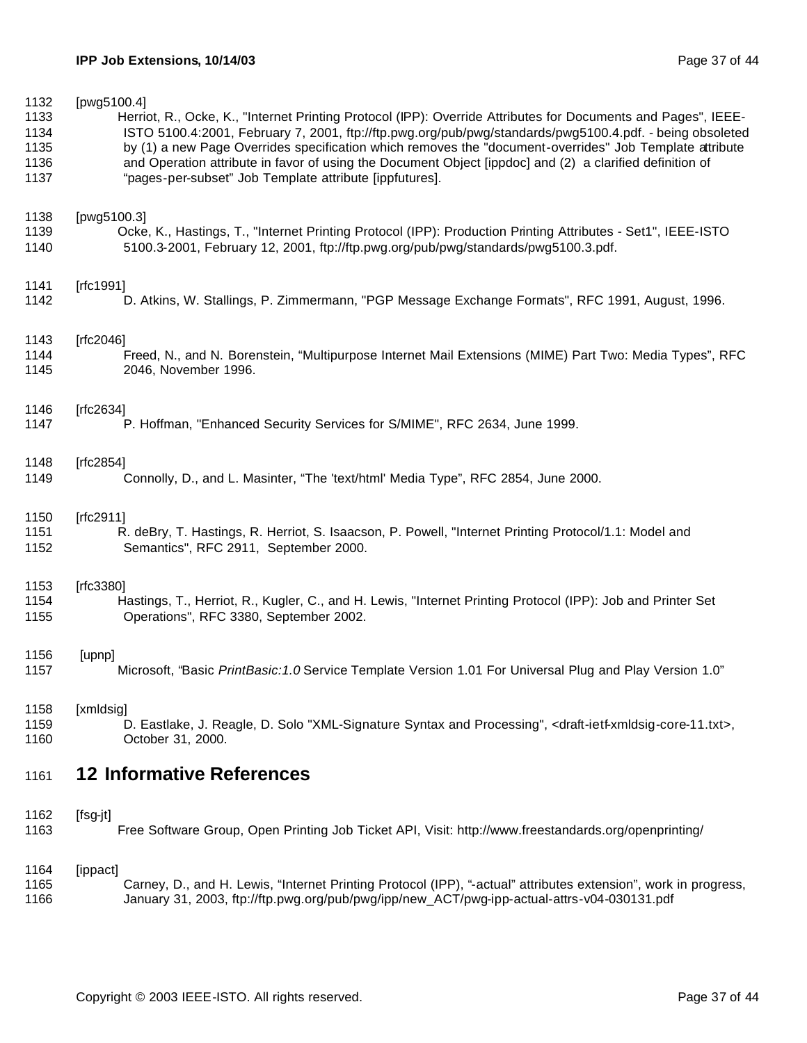| 1132 | [pwg5100.4]                                                                                                                               |
|------|-------------------------------------------------------------------------------------------------------------------------------------------|
| 1133 | Herriot, R., Ocke, K., "Internet Printing Protocol (IPP): Override Attributes for Documents and Pages", IEEE-                             |
| 1134 | ISTO 5100.4:2001, February 7, 2001, ftp://ftp.pwg.org/pub/pwg/standards/pwg5100.4.pdf. - being obsoleted                                  |
| 1135 | by (1) a new Page Overrides specification which removes the "document-overrides" Job Template attribute                                   |
| 1136 | and Operation attribute in favor of using the Document Object [ippdoc] and (2) a clarified definition of                                  |
| 1137 | "pages-per-subset" Job Template attribute [ippfutures].                                                                                   |
| 1138 | [pwg5100.3]                                                                                                                               |
| 1139 | Ocke, K., Hastings, T., "Internet Printing Protocol (IPP): Production Printing Attributes - Set1", IEEE-ISTO                              |
| 1140 | 5100.3-2001, February 12, 2001, ftp://ftp.pwg.org/pub/pwg/standards/pwg5100.3.pdf.                                                        |
| 1141 | [ $rfc1991$ ]                                                                                                                             |
| 1142 | D. Atkins, W. Stallings, P. Zimmermann, "PGP Message Exchange Formats", RFC 1991, August, 1996.                                           |
| 1143 | [ $rfc2046$ ]                                                                                                                             |
| 1144 | Freed, N., and N. Borenstein, "Multipurpose Internet Mail Extensions (MIME) Part Two: Media Types", RFC                                   |
| 1145 | 2046, November 1996.                                                                                                                      |
| 1146 | [ $rfc2634$ ]                                                                                                                             |
| 1147 | P. Hoffman, "Enhanced Security Services for S/MIME", RFC 2634, June 1999.                                                                 |
| 1148 | [ $rfc2854$ ]                                                                                                                             |
| 1149 | Connolly, D., and L. Masinter, "The 'text/html' Media Type", RFC 2854, June 2000.                                                         |
| 1150 | [ $rfc2911$ ]                                                                                                                             |
| 1151 | R. deBry, T. Hastings, R. Herriot, S. Isaacson, P. Powell, "Internet Printing Protocol/1.1: Model and                                     |
| 1152 | Semantics", RFC 2911, September 2000.                                                                                                     |
| 1153 | [ $rfc3380$ ]                                                                                                                             |
| 1154 | Hastings, T., Herriot, R., Kugler, C., and H. Lewis, "Internet Printing Protocol (IPP): Job and Printer Set                               |
| 1155 | Operations", RFC 3380, September 2002.                                                                                                    |
| 1156 | [upnp]                                                                                                                                    |
| 1157 | Microsoft, "Basic PrintBasic: 1.0 Service Template Version 1.01 For Universal Plug and Play Version 1.0"                                  |
| 1158 | [xmldsig]                                                                                                                                 |
| 1159 | D. Eastlake, J. Reagle, D. Solo "XML-Signature Syntax and Processing", <draft-ietf-xmldsig-core-11.txt>,</draft-ietf-xmldsig-core-11.txt> |
| 1160 | October 31, 2000.                                                                                                                         |
| 1161 | <b>12 Informative References</b>                                                                                                          |
| 1162 | [fsg-jt]                                                                                                                                  |
| 1163 | Free Software Group, Open Printing Job Ticket API, Visit: http://www.freestandards.org/openprinting/                                      |
| 1164 | [ippact]                                                                                                                                  |
| 1165 | Carney, D., and H. Lewis, "Internet Printing Protocol (IPP), "-actual" attributes extension", work in progress,                           |
| 1166 | January 31, 2003, ftp://ftp.pwg.org/pub/pwg/ipp/new_ACT/pwg-ipp-actual-attrs-v04-030131.pdf                                               |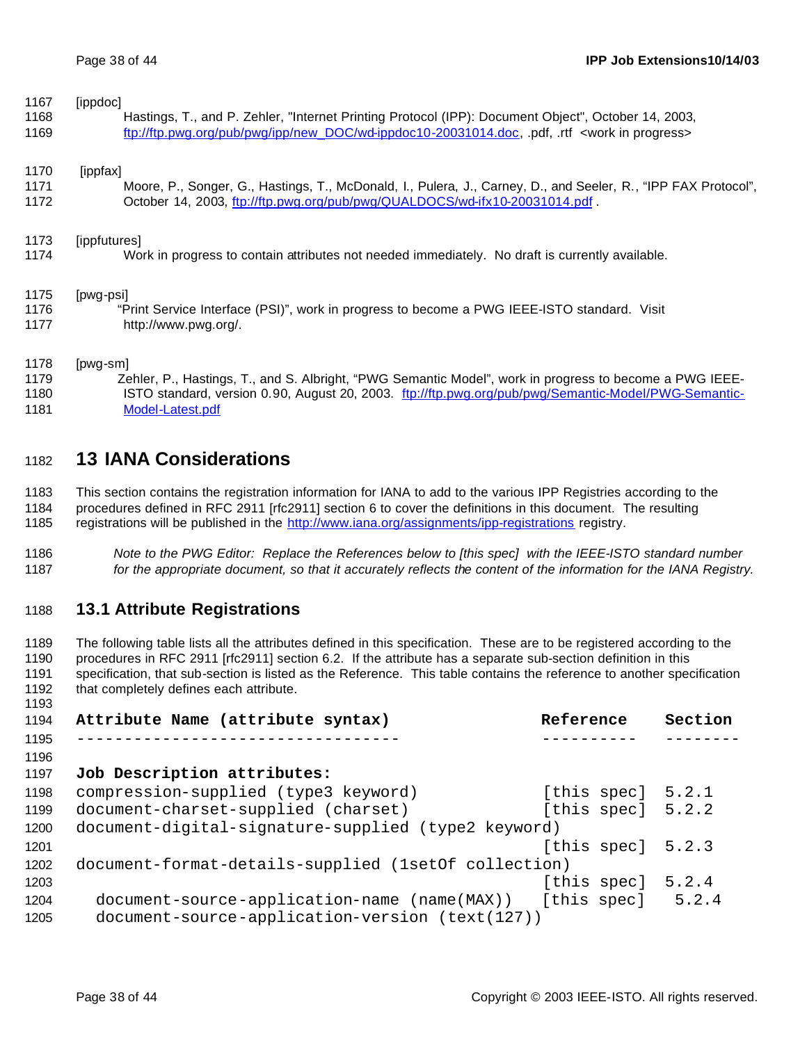| 1167 | [ippdoc]                                                                                                       |
|------|----------------------------------------------------------------------------------------------------------------|
| 1168 | Hastings, T., and P. Zehler, "Internet Printing Protocol (IPP): Document Object", October 14, 2003,            |
| 1169 | ftp://ftp.pwg.org/pub/pwg/ipp/new_DOC/wd-ippdoc10-20031014.doc, .pdf, .rtf <work in="" progress=""></work>     |
| 1170 | [ippfax]                                                                                                       |
| 1171 | Moore, P., Songer, G., Hastings, T., McDonald, I., Pulera, J., Carney, D., and Seeler, R., "IPP FAX Protocol", |
| 1172 | October 14, 2003, ftp://ftp.pwg.org/pub/pwg/QUALDOCS/wd-ifx10-20031014.pdf.                                    |
| 1173 | [ippfutures]                                                                                                   |
| 1174 | Work in progress to contain attributes not needed immediately. No draft is currently available.                |
| 1175 | [pwg-psi]                                                                                                      |
| 1176 | "Print Service Interface (PSI)", work in progress to become a PWG IEEE-ISTO standard. Visit                    |
| 1177 | http://www.pwg.org/.                                                                                           |
| 1178 | [pwg-sm]                                                                                                       |
| 1179 | Zehler, P., Hastings, T., and S. Albright, "PWG Semantic Model", work in progress to become a PWG IEEE-        |
| 1180 | ISTO standard, version 0.90, August 20, 2003. ftp://ftp.pwg.org/pub/pwg/Semantic-Model/PWG-Semantic-           |

**13 IANA Considerations**

Model-Latest.pdf

 This section contains the registration information for IANA to add to the various IPP Registries according to the procedures defined in RFC 2911 [rfc2911] section 6 to cover the definitions in this document. The resulting 1185 registrations will be published in the http://www.iana.org/assignments/ipp-registrations registry.

 *Note to the PWG Editor: Replace the References below to [this spec] with the IEEE-ISTO standard number for the appropriate document, so that it accurately reflects the content of the information for the IANA Registry.*

## **13.1 Attribute Registrations**

 The following table lists all the attributes defined in this specification. These are to be registered according to the procedures in RFC 2911 [rfc2911] section 6.2. If the attribute has a separate sub-section definition in this specification, that sub-section is listed as the Reference. This table contains the reference to another specification 1192 that completely defines each attribute. 

| 1194 | Attribute Name (attribute syntax)                              | Reference           | Section |
|------|----------------------------------------------------------------|---------------------|---------|
| 1195 |                                                                |                     |         |
| 1196 |                                                                |                     |         |
| 1197 | Job Description attributes:                                    |                     |         |
| 1198 | compression-supplied (type3 keyword)                           | [this spec] $5.2.1$ |         |
| 1199 | document-charset-supplied (charset)                            | [this spec]         | 5.2.2   |
| 1200 | document-digital-signature-supplied (type2 keyword)            |                     |         |
| 1201 |                                                                | [this spec]         | 5.2.3   |
| 1202 | document-format-details-supplied (1setOf collection)           |                     |         |
| 1203 |                                                                | [this spec]         | 5.2.4   |
| 1204 | document-source-application-name (name(MAX)) [this spec] 5.2.4 |                     |         |
| 1205 | document-source-application-version (text(127))                |                     |         |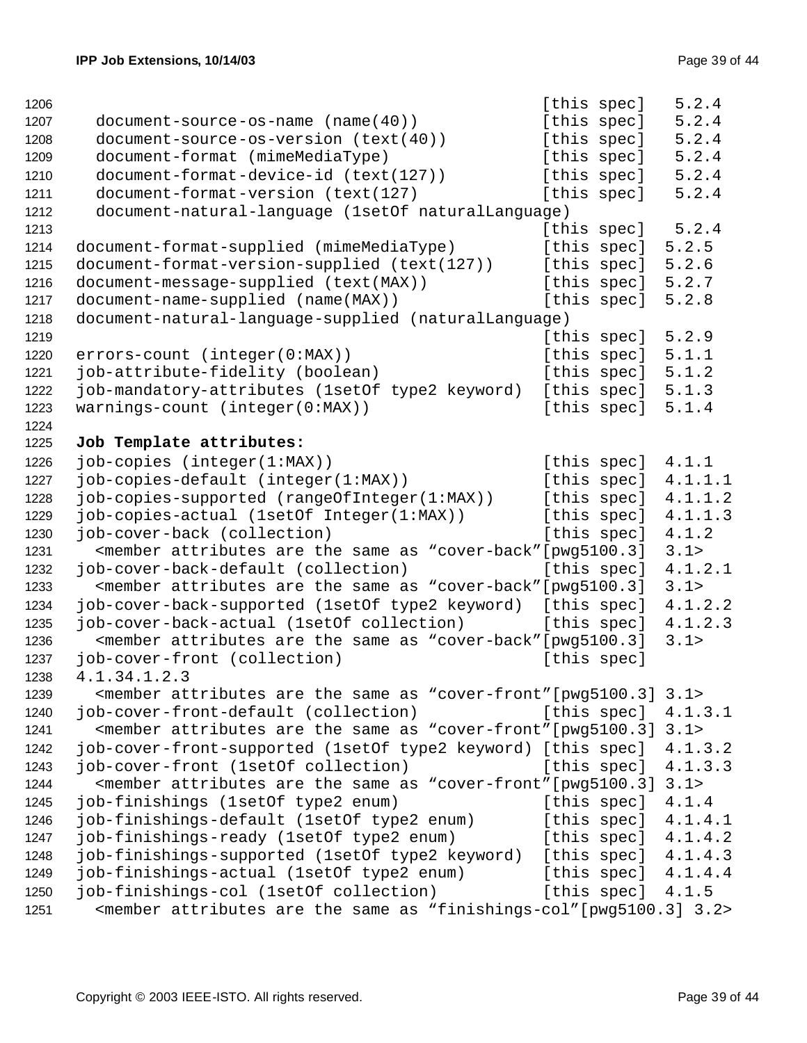| 1206 |                                                                                                                                     | [this spec] |                     | 5.2.4                 |
|------|-------------------------------------------------------------------------------------------------------------------------------------|-------------|---------------------|-----------------------|
| 1207 | $document-source-os-name (name(40))$                                                                                                | [this spec] |                     | 5.2.4                 |
| 1208 | document-source-os-version (text(40))                                                                                               | [this spec] |                     | 5.2.4                 |
| 1209 | document-format (mimeMediaType)                                                                                                     | [this spec] |                     | 5.2.4                 |
| 1210 | document-format-device-id (text(127))                                                                                               | [this spec] |                     | 5.2.4                 |
| 1211 | document-format-version (text(127)                                                                                                  | [this spec] |                     | 5.2.4                 |
| 1212 | document-natural-language (1setOf naturalLanguage)                                                                                  |             |                     |                       |
| 1213 |                                                                                                                                     |             | [this spec]         | 5.2.4                 |
| 1214 | document-format-supplied (mimeMediaType)                                                                                            | [this spec] |                     | 5.2.5                 |
| 1215 | document-format-version-supplied (text(127))                                                                                        | [this spec] |                     | 5.2.6                 |
| 1216 | document-message-supplied (text(MAX))                                                                                               |             | [this spec]         | 5.2.7                 |
| 1217 | document-name-supplied (name(MAX))                                                                                                  | [this spec] |                     | 5.2.8                 |
| 1218 | document-natural-language-supplied (naturalLanguage)                                                                                |             |                     |                       |
| 1219 |                                                                                                                                     | [this spec] |                     | 5.2.9                 |
| 1220 | errors-count (integer(0:MAX))                                                                                                       | [this spec] |                     | 5.1.1                 |
| 1221 | job-attribute-fidelity (boolean)                                                                                                    | [this spec] |                     | 5.1.2                 |
| 1222 | job-mandatory-attributes (1setOf type2 keyword)                                                                                     |             | [this spec]         | 5.1.3                 |
| 1223 | warnings-count (integer(0:MAX))                                                                                                     | [this spec] |                     | 5.1.4                 |
| 1224 |                                                                                                                                     |             |                     |                       |
| 1225 | Job Template attributes:                                                                                                            |             |                     |                       |
| 1226 | job-copies (integer(1:MAX))                                                                                                         | [this spec] |                     | 4.1.1                 |
| 1227 | job-copies-default (integer(1:MAX))                                                                                                 |             | [this spec]         | 4.1.1.1               |
| 1228 | job-copies-supported (rangeOfInteger(1:MAX))                                                                                        | [this spec] |                     | 4.1.1.2               |
| 1229 | job-copies-actual (1setOf Integer(1:MAX))                                                                                           | [this spec] |                     | 4.1.1.3               |
| 1230 | job-cover-back (collection)                                                                                                         | [this spec] |                     | 4.1.2                 |
| 1231 | <member "cover-back"="" [pwg5100.3]<="" are="" as="" attributes="" same="" td="" the=""><td></td><td></td><td>3.1&gt;</td></member> |             |                     | 3.1>                  |
| 1232 | job-cover-back-default (collection)                                                                                                 | [this spec] |                     | 4.1.2.1               |
| 1233 | <member "cover-back"="" [pwg5100.3]<="" are="" as="" attributes="" same="" td="" the=""><td></td><td></td><td>3.1&gt;</td></member> |             |                     | 3.1>                  |
| 1234 | job-cover-back-supported (1setOf type2 keyword)                                                                                     | [this spec] |                     | 4.1.2.2               |
| 1235 | job-cover-back-actual (1setOf collection)                                                                                           | [this spec] |                     | 4.1.2.3               |
| 1236 | <member "cover-back"="" [pwg5100.3]<="" are="" as="" attributes="" same="" td="" the=""><td></td><td></td><td>3.1&gt;</td></member> |             |                     | 3.1>                  |
| 1237 | job-cover-front (collection)                                                                                                        | [this spec] |                     |                       |
| 1238 | 4.1.34.1.2.3                                                                                                                        |             |                     |                       |
| 1239 | <member "cover-front"="" 3.1="" [pwg5100.3]="" are="" as="" attributes="" same="" the=""></member>                                  |             |                     |                       |
| 1240 | job-cover-front-default (collection)                                                                                                |             | [this spec]         | 4.1.3.1               |
| 1241 | <member "cover-front"[pwg5100.3]="" 3.1="" are="" as="" attributes="" same="" the=""></member>                                      |             |                     |                       |
| 1242 | job-cover-front-supported (1setOf type2 keyword) [this spec] 4.1.3.2                                                                |             |                     |                       |
| 1243 | job-cover-front (1setOf collection)                                                                                                 |             |                     | [this spec] $4.1.3.3$ |
| 1244 | <member "cover-front"="" 3.1="" [pwq5100.3]="" are="" as="" attributes="" same="" the=""></member>                                  |             |                     |                       |
| 1245 | job-finishings (1setOf type2 enum)                                                                                                  |             | [this spec]         | 4.1.4                 |
| 1246 | job-finishings-default (1setOf type2 enum)                                                                                          |             |                     | [this spec] $4.1.4.1$ |
| 1247 | job-finishings-ready (1setOf type2 enum)                                                                                            |             |                     | [this spec] $4.1.4.2$ |
| 1248 | job-finishings-supported (1setOf type2 keyword)                                                                                     |             |                     | [this spec] $4.1.4.3$ |
| 1249 | job-finishings-actual (1setOf type2 enum) [this spec] 4.1.4.4                                                                       |             |                     |                       |
| 1250 | job-finishings-col (1setOf collection)                                                                                              |             | [this spec] $4.1.5$ |                       |
| 1251 | <member "finishings-col"[pwg5100.3]="" 3.2="" are="" as="" attributes="" same="" the=""></member>                                   |             |                     |                       |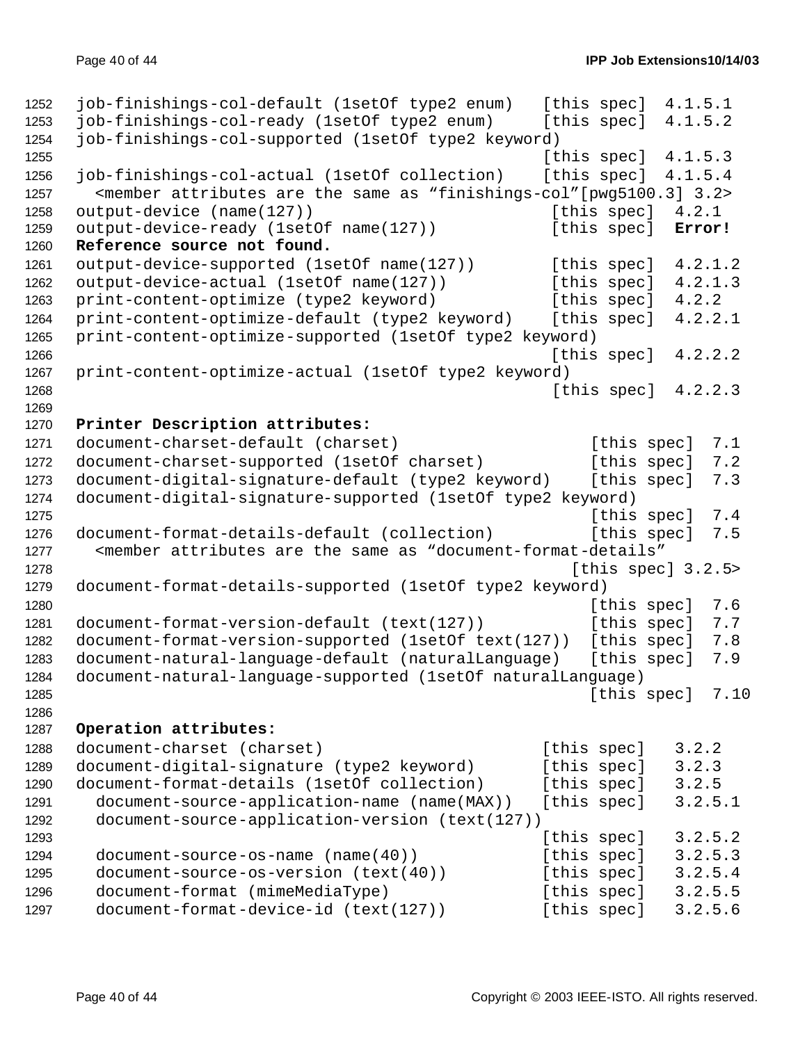```
1252 job-finishings-col-default (1setOf type2 enum) [this spec] 4.1.5.1
1253 job-finishings-col-ready (1setOf type2 enum) [this spec] 4.1.5.2
1254 job-finishings-col-supported (1setOf type2 keyword)
1255 [this spec] 4.1.5.3
1256 job-finishings-col-actual (1setOf collection) [this spec] 4.1.5.4
1257 <member attributes are the same as "finishings-col"[pwg5100.3] 3.2>
1258 output-device (name(127)) [this spec] 4.2.1
1259 output-device-ready (1setOf name(127)) [this spec] Error! 
1260 Reference source not found.
1261 output-device-supported (1setOf name(127)) [this spec] 4.2.1.2
1262 output-device-actual (1setOf name(127)) [this spec] 4.2.1.3
1263 print-content-optimize (type2 keyword) [this spec] 4.2.2
1264 print-content-optimize-default (type2 keyword) [this spec] 4.2.2.1
1265 print-content-optimize-supported (1setOf type2 keyword)
1266 [this spec] 4.2.2.2
1267 print-content-optimize-actual (1setOf type2 keyword)
1268 [this spec] 4.2.2.3
1269
1270 Printer Description attributes:
1271 document-charset-default (charset) [this spec] 7.1
1272 document-charset-supported (1setOf charset) [this spec] 7.2
1273 document-digital-signature-default (type2 keyword) [this spec] 7.3
1274 document-digital-signature-supported (1setOf type2 keyword)
1275 f this spec 3 and 1275
1276 document-format-details-default (collection) [this spec] 7.5
1277 <member attributes are the same as "document-format-details"
1278 I this spec] 3.2.5>
1279 document-format-details-supported (1setOf type2 keyword)
1280 [this spec] 7.6
1281 document-format-version-default (text(127)) [this spec] 7.7
1282 document-format-version-supported (1setOf text(127)) [this spec] 7.8
1283 document-natural-language-default (naturalLanguage) [this spec] 7.9
1284 document-natural-language-supported (1setOf naturalLanguage)
1285 [this spec] 7.10
1286
1287 Operation attributes:
1288 document-charset (charset) [this spec] 3.2.2
1289 document-digital-signature (type2 keyword) [this spec] 3.2.3
1290 document-format-details (1setOf collection) [this spec] 3.2.5
1291 document-source-application-name (name(MAX)) [this spec] 3.2.5.1
1292 document-source-application-version (text(127))
1293 Intervention Contract Contract Contract Contract Contract Contract Contract Contract Contract Contract Contract Contract Contract Contract Contract Contract Contract Contract Contract Contract Contract Contract Contr
1294 document-source-os-name (name(40)) [this spec] 3.2.5.3
1295 document-source-os-version (text(40)) [this spec] 3.2.5.4
1296 document-format (mimeMediaType) [this spec] 3.2.5.5
1297 document-format-device-id (text(127)) [this spec] 3.2.5.6
```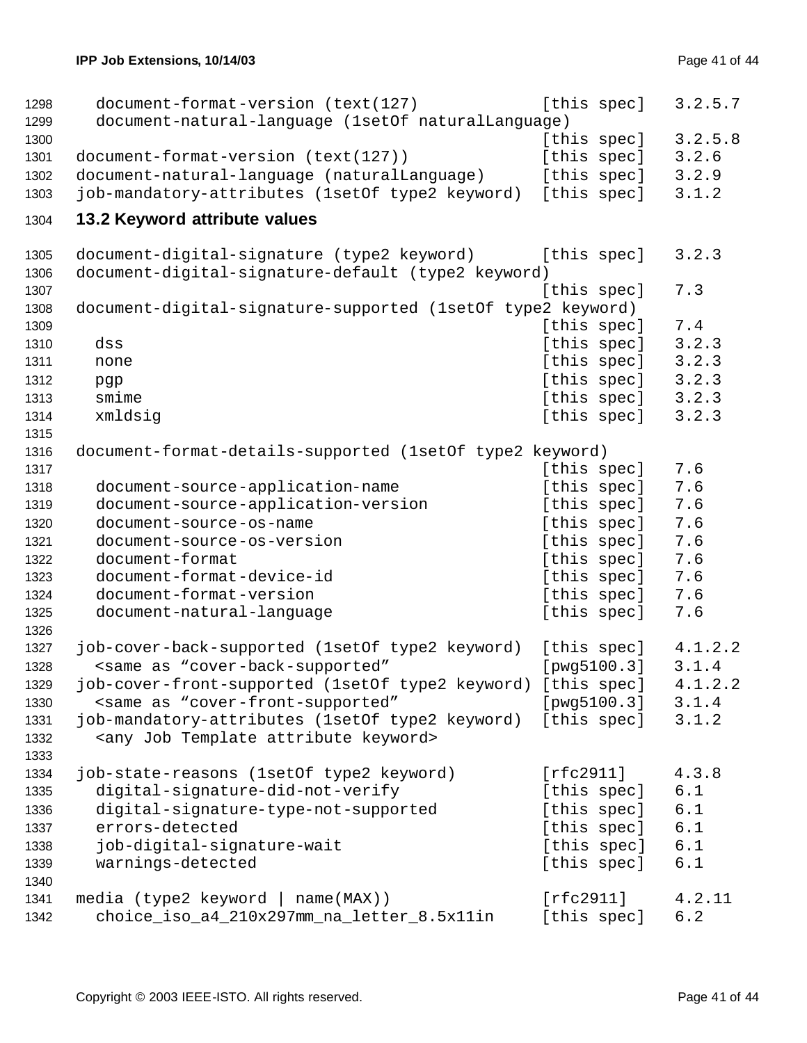```
1298 document-format-version (text(127) [this spec] 3.2.5.7
1299 document-natural-language (1setOf naturalLanguage)
1300 f this spec 3.2.5.8
1301 document-format-version (text(127)) [this spec] 3.2.6
1302 document-natural-language (naturalLanguage) [this spec] 3.2.9
1303 job-mandatory-attributes (1setOf type2 keyword) [this spec] 3.1.2
1304 13.2 Keyword attribute values
1305 document-digital-signature (type2 keyword) [this spec] 3.2.3
1306 document-digital-signature-default (type2 keyword)
1307 Intervention Contract Contract Contract Contract Contract Contract Contract Contract Contract Contract Contract Contract Contract Contract Contract Contract Contract Contract Contract Contract Contract Contract Contr
1308 document-digital-signature-supported (1setOf type2 keyword)
1309 In the contract of the contract of the contract of the contract of the contract of the contract of the contract of the contract of the contract of the contract of the contract of the contract of the contract of the c
1310 dss [this spec] 3.2.3
1311 none [this spec] 3.2.3
1312 pqp [this spec] 3.2.3
1313 smime [this spec] 3.2.3
1314 xmldsig 2.2.3
1315
1316 document-format-details-supported (1setOf type2 keyword)
1317 In the contract of the contract of the contract of the contract of the contract of the contract of the contract of the contract of the contract of the contract of the contract of the contract of the contract of the c
1318 document-source-application-name [this spec] 7.6
1319 document-source-application-version [this spec] 7.6
1320 document-source-os-name [this spec] 7.6
1321 document-source-os-version [this spec] 7.6
1322 document-format interest in the species of the species of the species of the species of the species of th
1323 document-format-device-id [this spec] 7.6
1324 document-format-version 1324 document-format-version [this spec] 7.6
1325 document-natural-language (this spec) 7.6
1326
1327 job-cover-back-supported (1setOf type2 keyword) [this spec] 4.1.2.2
1328 <same as "cover-back-supported" [pwg5100.3] 3.1.4
1329 job-cover-front-supported (1setOf type2 keyword) [this spec] 4.1.2.2
1330 <same as "cover-front-supported" [pwg5100.3] 3.1.4
1331 job-mandatory-attributes (1setOf type2 keyword) [this spec] 3.1.2
1332 <any Job Template attribute keyword>
1333
1334 job-state-reasons (1setOf type2 keyword) [rfc2911] 4.3.8
1335 digital-signature-did-not-verify [this spec] 6.1
1336 digital-signature-type-not-supported [this spec] 6.1
1337 errors-detected [this spec] 6.1
1338 job-digital-signature-wait [this spec] 6.1
1339 warnings-detected 1339 warnings-detected 1339 [this spec] 6.1
1340
1341 media (type2 keyword | name(MAX)) [rfc2911] 4.2.11
1342 choice iso a4 210x297mm na letter 8.5x11in [this spec] 6.2
```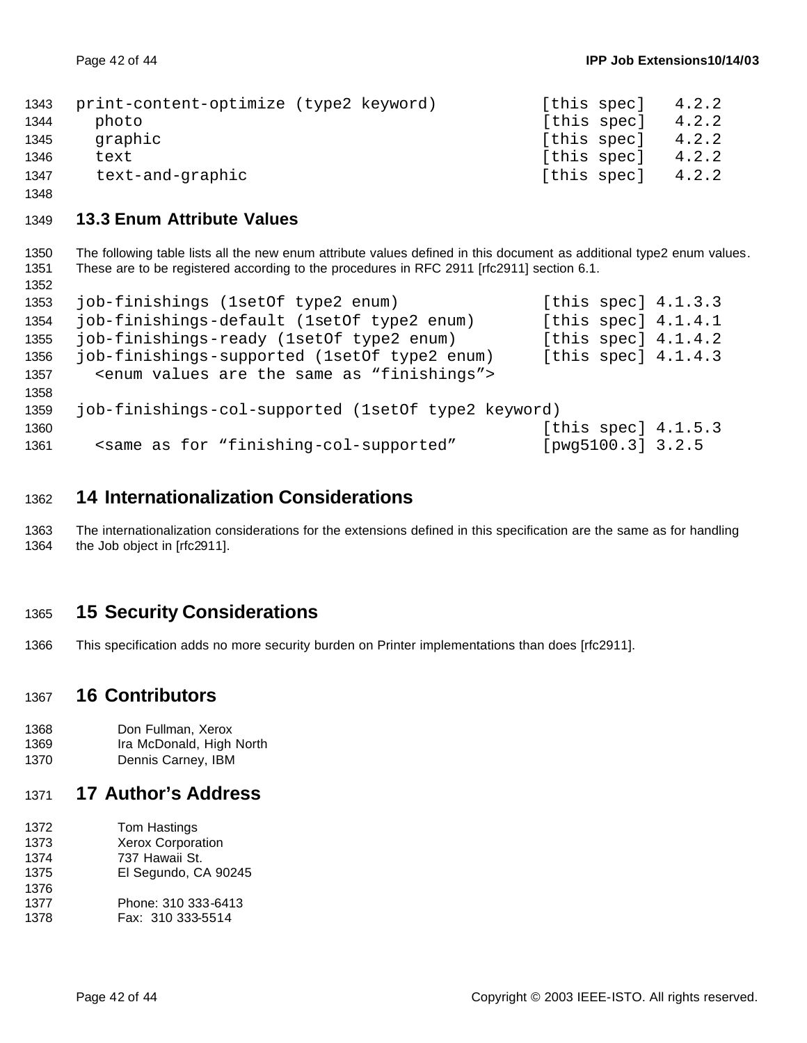| 1343 | print-content-optimize (type2 keyword) | [this spec] | 4.2.2 |
|------|----------------------------------------|-------------|-------|
| 1344 | photo                                  | [this spec] | 4.2.2 |
| 1345 | graphic                                | [this spec] | 4.2.2 |
| 1346 | text                                   | [this spec] | 4.2.2 |
| 1347 | text-and-graphic                       | [this spec] | 4.2.2 |

### **13.3 Enum Attribute Values**

 The following table lists all the new enum attribute values defined in this document as additional type2 enum values. These are to be registered according to the procedures in RFC 2911 [rfc2911] section 6.1. 

| 1353 | job-finishings (1setOf type2 enum)                                                                |                   | [this spec] $4.1.3.3$ |
|------|---------------------------------------------------------------------------------------------------|-------------------|-----------------------|
| 1354 | job-finishings-default (1setOf type2 enum)                                                        |                   | [this spec] $4.1.4.1$ |
| 1355 | job-finishings-ready (1setOf type2 enum)                                                          |                   | [this spec] $4.1.4.2$ |
| 1356 | job-finishings-supported (1setOf type2 enum)                                                      |                   | [this spec] $4.1.4.3$ |
| 1357 | <enum "finishings"="" are="" as="" same="" the="" values=""></enum>                               |                   |                       |
| 1358 |                                                                                                   |                   |                       |
| 1359 | job-finishings-col-supported (1setOf type2 keyword)                                               |                   |                       |
| 1360 |                                                                                                   |                   | [this spec] $4.1.5.3$ |
| 1361 | <same "finishing-col-supported"<="" as="" for="" td=""><td>[pwg5100.3] 3.2.5</td><td></td></same> | [pwg5100.3] 3.2.5 |                       |
|      |                                                                                                   |                   |                       |

## **14 Internationalization Considerations**

 The internationalization considerations for the extensions defined in this specification are the same as for handling the Job object in [rfc2911].

## **15 Security Considerations**

This specification adds no more security burden on Printer implementations than does [rfc2911].

### **16 Contributors**

```
1368 Don Fullman, Xerox
```
- Ira McDonald, High North
- Dennis Carney, IBM

## **17 Author's Address**

 Tom Hastings Xerox Corporation 737 Hawaii St. El Segundo, CA 90245 Phone: 310 333-6413 Fax: 310 333-5514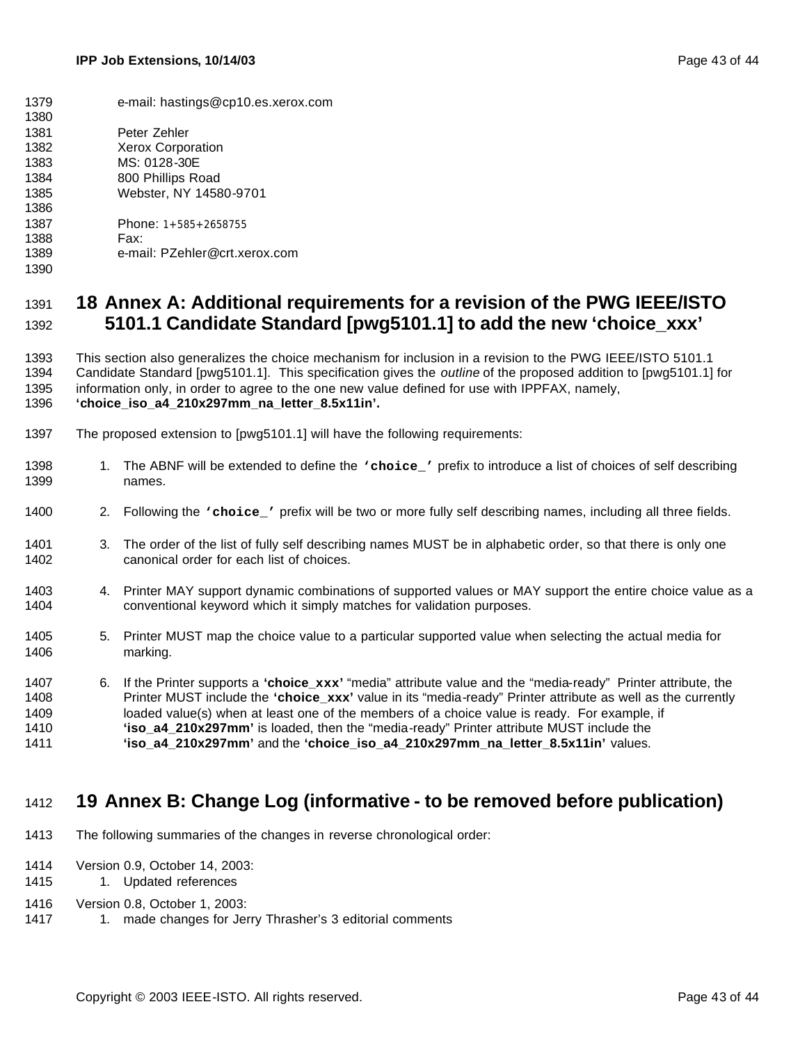e-mail: hastings@cp10.es.xerox.com Peter Zehler Xerox Corporation MS: 0128-30E 800 Phillips Road Webster, NY 14580-9701 Phone: 1+585+2658755 Fax: e-mail: PZehler@crt.xerox.com 

## **18 Annex A: Additional requirements for a revision of the PWG IEEE/ISTO 5101.1 Candidate Standard [pwg5101.1] to add the new 'choice\_xxx'**

 This section also generalizes the choice mechanism for inclusion in a revision to the PWG IEEE/ISTO 5101.1 Candidate Standard [pwg5101.1]. This specification gives the *outline* of the proposed addition to [pwg5101.1] for information only, in order to agree to the one new value defined for use with IPPFAX, namely, **'choice\_iso\_a4\_210x297mm\_na\_letter\_8.5x11in'.**

- The proposed extension to [pwg5101.1] will have the following requirements:
- 1. The ABNF will be extended to define the **'choice\_'** prefix to introduce a list of choices of self describing names.
- 2. Following the **'choice\_'** prefix will be two or more fully self describing names, including all three fields.
- 3. The order of the list of fully self describing names MUST be in alphabetic order, so that there is only one canonical order for each list of choices.
- 1403 4. Printer MAY support dynamic combinations of supported values or MAY support the entire choice value as a conventional keyword which it simply matches for validation purposes.
- 5. Printer MUST map the choice value to a particular supported value when selecting the actual media for marking.
- 6. If the Printer supports a **'choice\_xxx'** "media" attribute value and the "media-ready" Printer attribute, the Printer MUST include the **'choice\_xxx'** value in its "media-ready" Printer attribute as well as the currently loaded value(s) when at least one of the members of a choice value is ready. For example, if **'iso\_a4\_210x297mm'** is loaded, then the "media-ready" Printer attribute MUST include the **'iso\_a4\_210x297mm'** and the **'choice\_iso\_a4\_210x297mm\_na\_letter\_8.5x11in'** values.

## **19 Annex B: Change Log (informative - to be removed before publication)**

- The following summaries of the changes in reverse chronological order:
- Version 0.9, October 14, 2003:
- 1415 1. Updated references
- Version 0.8, October 1, 2003:
- 1417 1. made changes for Jerry Thrasher's 3 editorial comments